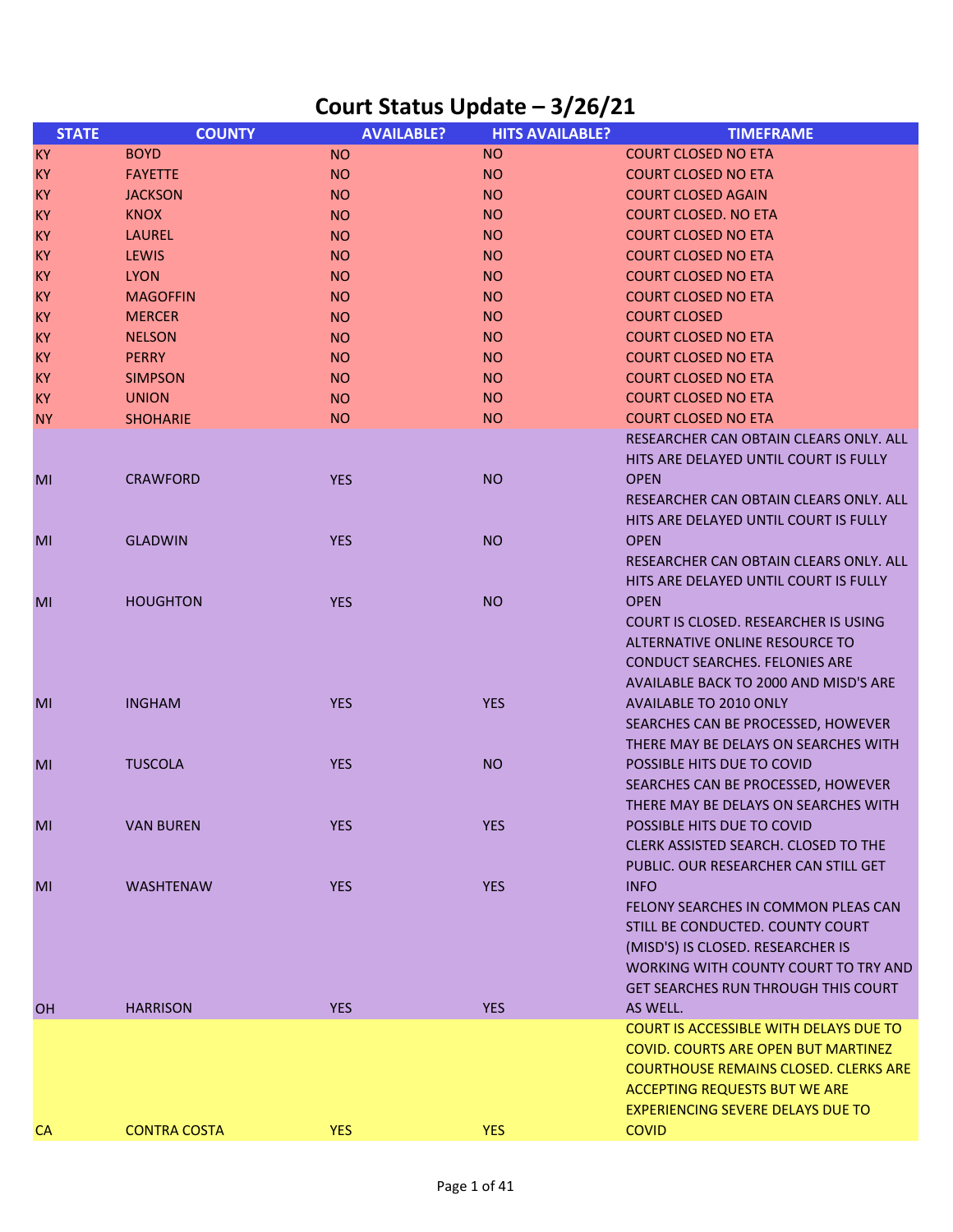| <b>STATE</b> | <b>COUNTY</b>       | <b>AVAILABLE?</b> | <b>HITS AVAILABLE?</b> | <b>TIMEFRAME</b>                              |
|--------------|---------------------|-------------------|------------------------|-----------------------------------------------|
| <b>KY</b>    | <b>BOYD</b>         | <b>NO</b>         | <b>NO</b>              | <b>COURT CLOSED NO ETA</b>                    |
| <b>KY</b>    | <b>FAYETTE</b>      | <b>NO</b>         | <b>NO</b>              | <b>COURT CLOSED NO ETA</b>                    |
| <b>KY</b>    | <b>JACKSON</b>      | <b>NO</b>         | <b>NO</b>              | <b>COURT CLOSED AGAIN</b>                     |
| KY           | <b>KNOX</b>         | <b>NO</b>         | <b>NO</b>              | <b>COURT CLOSED. NO ETA</b>                   |
| <b>KY</b>    | LAUREL              | <b>NO</b>         | <b>NO</b>              | <b>COURT CLOSED NO ETA</b>                    |
| KY           | <b>LEWIS</b>        | <b>NO</b>         | <b>NO</b>              | <b>COURT CLOSED NO ETA</b>                    |
| <b>KY</b>    | <b>LYON</b>         | <b>NO</b>         | <b>NO</b>              | <b>COURT CLOSED NO ETA</b>                    |
| <b>KY</b>    | <b>MAGOFFIN</b>     | <b>NO</b>         | <b>NO</b>              | <b>COURT CLOSED NO ETA</b>                    |
| KY           | <b>MERCER</b>       | <b>NO</b>         | <b>NO</b>              | <b>COURT CLOSED</b>                           |
| <b>KY</b>    | <b>NELSON</b>       | <b>NO</b>         | <b>NO</b>              | <b>COURT CLOSED NO ETA</b>                    |
| <b>KY</b>    | <b>PERRY</b>        | <b>NO</b>         | <b>NO</b>              | <b>COURT CLOSED NO ETA</b>                    |
| <b>KY</b>    | <b>SIMPSON</b>      | <b>NO</b>         | <b>NO</b>              | <b>COURT CLOSED NO ETA</b>                    |
| <b>KY</b>    | <b>UNION</b>        | <b>NO</b>         | <b>NO</b>              | <b>COURT CLOSED NO ETA</b>                    |
| <b>NY</b>    | <b>SHOHARIE</b>     | <b>NO</b>         | <b>NO</b>              | <b>COURT CLOSED NO ETA</b>                    |
|              |                     |                   |                        | RESEARCHER CAN OBTAIN CLEARS ONLY. ALL        |
|              |                     |                   |                        | HITS ARE DELAYED UNTIL COURT IS FULLY         |
| MI           | <b>CRAWFORD</b>     | <b>YES</b>        | <b>NO</b>              | <b>OPEN</b>                                   |
|              |                     |                   |                        | RESEARCHER CAN OBTAIN CLEARS ONLY. ALL        |
|              |                     |                   |                        | HITS ARE DELAYED UNTIL COURT IS FULLY         |
| MI           | <b>GLADWIN</b>      | <b>YES</b>        | <b>NO</b>              | <b>OPEN</b>                                   |
|              |                     |                   |                        | RESEARCHER CAN OBTAIN CLEARS ONLY. ALL        |
|              |                     |                   |                        | HITS ARE DELAYED UNTIL COURT IS FULLY         |
| MI           | <b>HOUGHTON</b>     | <b>YES</b>        | <b>NO</b>              | <b>OPEN</b>                                   |
|              |                     |                   |                        | COURT IS CLOSED. RESEARCHER IS USING          |
|              |                     |                   |                        | ALTERNATIVE ONLINE RESOURCE TO                |
|              |                     |                   |                        | <b>CONDUCT SEARCHES. FELONIES ARE</b>         |
|              |                     |                   |                        | AVAILABLE BACK TO 2000 AND MISD'S ARE         |
| MI           | <b>INGHAM</b>       | <b>YES</b>        | <b>YES</b>             | AVAILABLE TO 2010 ONLY                        |
|              |                     |                   |                        | SEARCHES CAN BE PROCESSED, HOWEVER            |
|              |                     |                   |                        | THERE MAY BE DELAYS ON SEARCHES WITH          |
| MI           | <b>TUSCOLA</b>      | <b>YES</b>        | <b>NO</b>              | POSSIBLE HITS DUE TO COVID                    |
|              |                     |                   |                        | SEARCHES CAN BE PROCESSED, HOWEVER            |
|              |                     |                   |                        | THERE MAY BE DELAYS ON SEARCHES WITH          |
| MI           | <b>VAN BUREN</b>    | <b>YES</b>        | <b>YES</b>             | POSSIBLE HITS DUE TO COVID                    |
|              |                     |                   |                        | CLERK ASSISTED SEARCH. CLOSED TO THE          |
|              |                     |                   |                        | PUBLIC. OUR RESEARCHER CAN STILL GET          |
| MI           | <b>WASHTENAW</b>    | <b>YES</b>        | <b>YES</b>             | <b>INFO</b>                                   |
|              |                     |                   |                        | FELONY SEARCHES IN COMMON PLEAS CAN           |
|              |                     |                   |                        | STILL BE CONDUCTED. COUNTY COURT              |
|              |                     |                   |                        | (MISD'S) IS CLOSED. RESEARCHER IS             |
|              |                     |                   |                        | WORKING WITH COUNTY COURT TO TRY AND          |
|              |                     |                   |                        | <b>GET SEARCHES RUN THROUGH THIS COURT</b>    |
| OH.          | <b>HARRISON</b>     | <b>YES</b>        | <b>YES</b>             | AS WELL.                                      |
|              |                     |                   |                        | <b>COURT IS ACCESSIBLE WITH DELAYS DUE TO</b> |
|              |                     |                   |                        | <b>COVID. COURTS ARE OPEN BUT MARTINEZ</b>    |
|              |                     |                   |                        | <b>COURTHOUSE REMAINS CLOSED. CLERKS ARE</b>  |
|              |                     |                   |                        | <b>ACCEPTING REQUESTS BUT WE ARE</b>          |
|              |                     |                   |                        | <b>EXPERIENCING SEVERE DELAYS DUE TO</b>      |
| CA           | <b>CONTRA COSTA</b> | <b>YES</b>        | <b>YES</b>             | <b>COVID</b>                                  |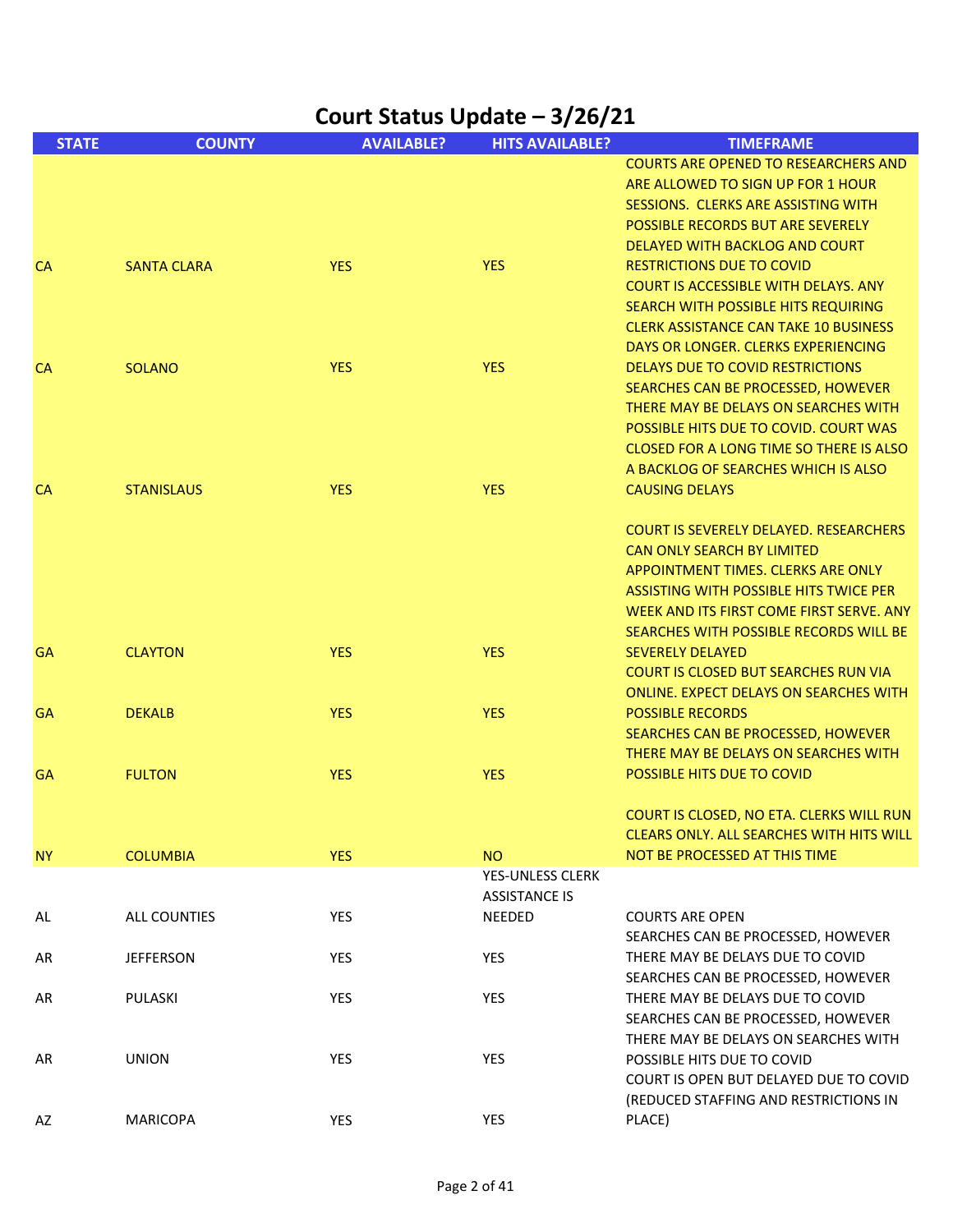| Court Status Update - 3/26/21 |                     |                   |                                          |                                                                                                                                                                                                                                                                                   |
|-------------------------------|---------------------|-------------------|------------------------------------------|-----------------------------------------------------------------------------------------------------------------------------------------------------------------------------------------------------------------------------------------------------------------------------------|
| <b>STATE</b>                  | <b>COUNTY</b>       | <b>AVAILABLE?</b> | <b>HITS AVAILABLE?</b>                   | <b>TIMEFRAME</b>                                                                                                                                                                                                                                                                  |
|                               |                     |                   |                                          | <b>COURTS ARE OPENED TO RESEARCHERS AND</b><br>ARE ALLOWED TO SIGN UP FOR 1 HOUR<br>SESSIONS. CLERKS ARE ASSISTING WITH<br><b>POSSIBLE RECORDS BUT ARE SEVERELY</b><br>DELAYED WITH BACKLOG AND COURT                                                                             |
| <b>CA</b>                     | <b>SANTA CLARA</b>  | <b>YES</b>        | <b>YES</b>                               | <b>RESTRICTIONS DUE TO COVID</b><br><b>COURT IS ACCESSIBLE WITH DELAYS. ANY</b><br>SEARCH WITH POSSIBLE HITS REQUIRING<br><b>CLERK ASSISTANCE CAN TAKE 10 BUSINESS</b><br>DAYS OR LONGER. CLERKS EXPERIENCING                                                                     |
| <b>CA</b>                     | <b>SOLANO</b>       | <b>YES</b>        | <b>YES</b>                               | <b>DELAYS DUE TO COVID RESTRICTIONS</b><br>SEARCHES CAN BE PROCESSED, HOWEVER<br>THERE MAY BE DELAYS ON SEARCHES WITH<br>POSSIBLE HITS DUE TO COVID. COURT WAS<br>CLOSED FOR A LONG TIME SO THERE IS ALSO<br>A BACKLOG OF SEARCHES WHICH IS ALSO                                  |
| <b>CA</b>                     | <b>STANISLAUS</b>   | <b>YES</b>        | <b>YES</b>                               | <b>CAUSING DELAYS</b><br><b>COURT IS SEVERELY DELAYED. RESEARCHERS</b><br><b>CAN ONLY SEARCH BY LIMITED</b><br>APPOINTMENT TIMES. CLERKS ARE ONLY<br>ASSISTING WITH POSSIBLE HITS TWICE PER<br>WEEK AND ITS FIRST COME FIRST SERVE. ANY<br>SEARCHES WITH POSSIBLE RECORDS WILL BE |
| GA                            | <b>CLAYTON</b>      | <b>YES</b>        | <b>YES</b>                               | <b>SEVERELY DELAYED</b><br><b>COURT IS CLOSED BUT SEARCHES RUN VIA</b><br>ONLINE. EXPECT DELAYS ON SEARCHES WITH                                                                                                                                                                  |
| <b>GA</b>                     | <b>DEKALB</b>       | <b>YES</b>        | <b>YES</b>                               | <b>POSSIBLE RECORDS</b><br>SEARCHES CAN BE PROCESSED, HOWEVER<br>THERE MAY BE DELAYS ON SEARCHES WITH                                                                                                                                                                             |
| <b>GA</b>                     | <b>FULTON</b>       | <b>YES</b>        | <b>YES</b>                               | POSSIBLE HITS DUE TO COVID<br>COURT IS CLOSED, NO ETA. CLERKS WILL RUN                                                                                                                                                                                                            |
| <b>NY</b>                     | <b>COLUMBIA</b>     | <b>YES</b>        | <b>NO</b>                                | <b>CLEARS ONLY. ALL SEARCHES WITH HITS WILL</b><br>NOT BE PROCESSED AT THIS TIME                                                                                                                                                                                                  |
|                               |                     |                   | YES-UNLESS CLERK<br><b>ASSISTANCE IS</b> |                                                                                                                                                                                                                                                                                   |
| AL                            | <b>ALL COUNTIES</b> | YES               | <b>NEEDED</b>                            | <b>COURTS ARE OPEN</b><br>SEARCHES CAN BE PROCESSED, HOWEVER                                                                                                                                                                                                                      |
| AR                            | <b>JEFFERSON</b>    | YES               | <b>YES</b>                               | THERE MAY BE DELAYS DUE TO COVID<br>SEARCHES CAN BE PROCESSED, HOWEVER                                                                                                                                                                                                            |
| AR                            | PULASKI             | YES               | YES                                      | THERE MAY BE DELAYS DUE TO COVID<br>SEARCHES CAN BE PROCESSED, HOWEVER<br>THERE MAY BE DELAYS ON SEARCHES WITH                                                                                                                                                                    |
| AR                            | <b>UNION</b>        | YES               | YES                                      | POSSIBLE HITS DUE TO COVID<br>COURT IS OPEN BUT DELAYED DUE TO COVID<br>(REDUCED STAFFING AND RESTRICTIONS IN                                                                                                                                                                     |
| AZ                            | <b>MARICOPA</b>     | YES               | YES                                      | PLACE)                                                                                                                                                                                                                                                                            |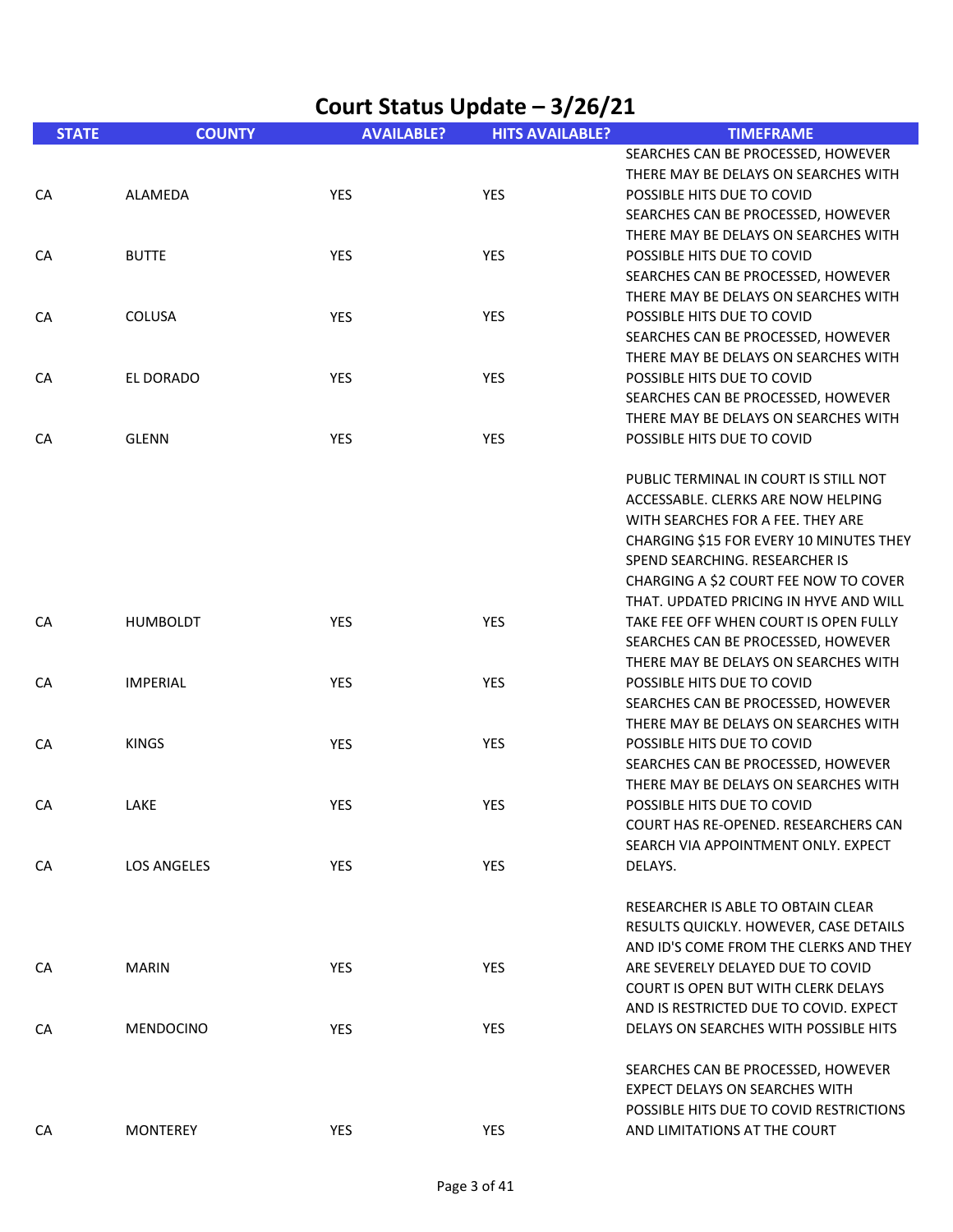|              | Court Status Update - 3/26/21 |                   |                        |                                                                                                                                                                                                                                                                                  |  |
|--------------|-------------------------------|-------------------|------------------------|----------------------------------------------------------------------------------------------------------------------------------------------------------------------------------------------------------------------------------------------------------------------------------|--|
| <b>STATE</b> | <b>COUNTY</b>                 | <b>AVAILABLE?</b> | <b>HITS AVAILABLE?</b> | <b>TIMEFRAME</b>                                                                                                                                                                                                                                                                 |  |
|              |                               |                   |                        | SEARCHES CAN BE PROCESSED, HOWEVER<br>THERE MAY BE DELAYS ON SEARCHES WITH                                                                                                                                                                                                       |  |
| CA           | ALAMEDA                       | YES               | <b>YES</b>             | POSSIBLE HITS DUE TO COVID<br>SEARCHES CAN BE PROCESSED, HOWEVER<br>THERE MAY BE DELAYS ON SEARCHES WITH                                                                                                                                                                         |  |
| CA           | <b>BUTTE</b>                  | YES               | YES                    | POSSIBLE HITS DUE TO COVID<br>SEARCHES CAN BE PROCESSED, HOWEVER                                                                                                                                                                                                                 |  |
| CA           | <b>COLUSA</b>                 | YES               | YES                    | THERE MAY BE DELAYS ON SEARCHES WITH<br>POSSIBLE HITS DUE TO COVID<br>SEARCHES CAN BE PROCESSED, HOWEVER                                                                                                                                                                         |  |
| CA           | EL DORADO                     | YES               | YES                    | THERE MAY BE DELAYS ON SEARCHES WITH<br>POSSIBLE HITS DUE TO COVID<br>SEARCHES CAN BE PROCESSED, HOWEVER                                                                                                                                                                         |  |
| CA           | <b>GLENN</b>                  | YES               | <b>YES</b>             | THERE MAY BE DELAYS ON SEARCHES WITH<br>POSSIBLE HITS DUE TO COVID                                                                                                                                                                                                               |  |
|              |                               |                   |                        | PUBLIC TERMINAL IN COURT IS STILL NOT<br>ACCESSABLE. CLERKS ARE NOW HELPING<br>WITH SEARCHES FOR A FEE. THEY ARE<br>CHARGING \$15 FOR EVERY 10 MINUTES THEY<br>SPEND SEARCHING. RESEARCHER IS<br>CHARGING A \$2 COURT FEE NOW TO COVER<br>THAT. UPDATED PRICING IN HYVE AND WILL |  |
| CA           | <b>HUMBOLDT</b>               | YES               | <b>YES</b>             | TAKE FEE OFF WHEN COURT IS OPEN FULLY<br>SEARCHES CAN BE PROCESSED, HOWEVER<br>THERE MAY BE DELAYS ON SEARCHES WITH                                                                                                                                                              |  |
| CA           | <b>IMPERIAL</b>               | YES               | <b>YES</b>             | POSSIBLE HITS DUE TO COVID<br>SEARCHES CAN BE PROCESSED, HOWEVER<br>THERE MAY BE DELAYS ON SEARCHES WITH                                                                                                                                                                         |  |
| CA           | <b>KINGS</b>                  | YES               | YES                    | POSSIBLE HITS DUE TO COVID<br>SEARCHES CAN BE PROCESSED, HOWEVER<br>THERE MAY BE DELAYS ON SEARCHES WITH                                                                                                                                                                         |  |
| CA           | LAKE                          | YES               | YES                    | POSSIBLE HITS DUE TO COVID<br>COURT HAS RE-OPENED. RESEARCHERS CAN<br>SEARCH VIA APPOINTMENT ONLY. EXPECT                                                                                                                                                                        |  |
| CA           | <b>LOS ANGELES</b>            | YES               | <b>YES</b>             | DELAYS.                                                                                                                                                                                                                                                                          |  |
|              |                               |                   |                        | RESEARCHER IS ABLE TO OBTAIN CLEAR<br>RESULTS QUICKLY. HOWEVER, CASE DETAILS<br>AND ID'S COME FROM THE CLERKS AND THEY                                                                                                                                                           |  |
| CA           | <b>MARIN</b>                  | YES               | YES                    | ARE SEVERELY DELAYED DUE TO COVID<br>COURT IS OPEN BUT WITH CLERK DELAYS<br>AND IS RESTRICTED DUE TO COVID. EXPECT                                                                                                                                                               |  |
| CA           | <b>MENDOCINO</b>              | <b>YES</b>        | YES                    | DELAYS ON SEARCHES WITH POSSIBLE HITS                                                                                                                                                                                                                                            |  |
|              |                               |                   |                        | SEARCHES CAN BE PROCESSED, HOWEVER<br>EXPECT DELAYS ON SEARCHES WITH<br>POSSIBLE HITS DUE TO COVID RESTRICTIONS                                                                                                                                                                  |  |
| CA           | <b>MONTEREY</b>               | YES               | YES                    | AND LIMITATIONS AT THE COURT                                                                                                                                                                                                                                                     |  |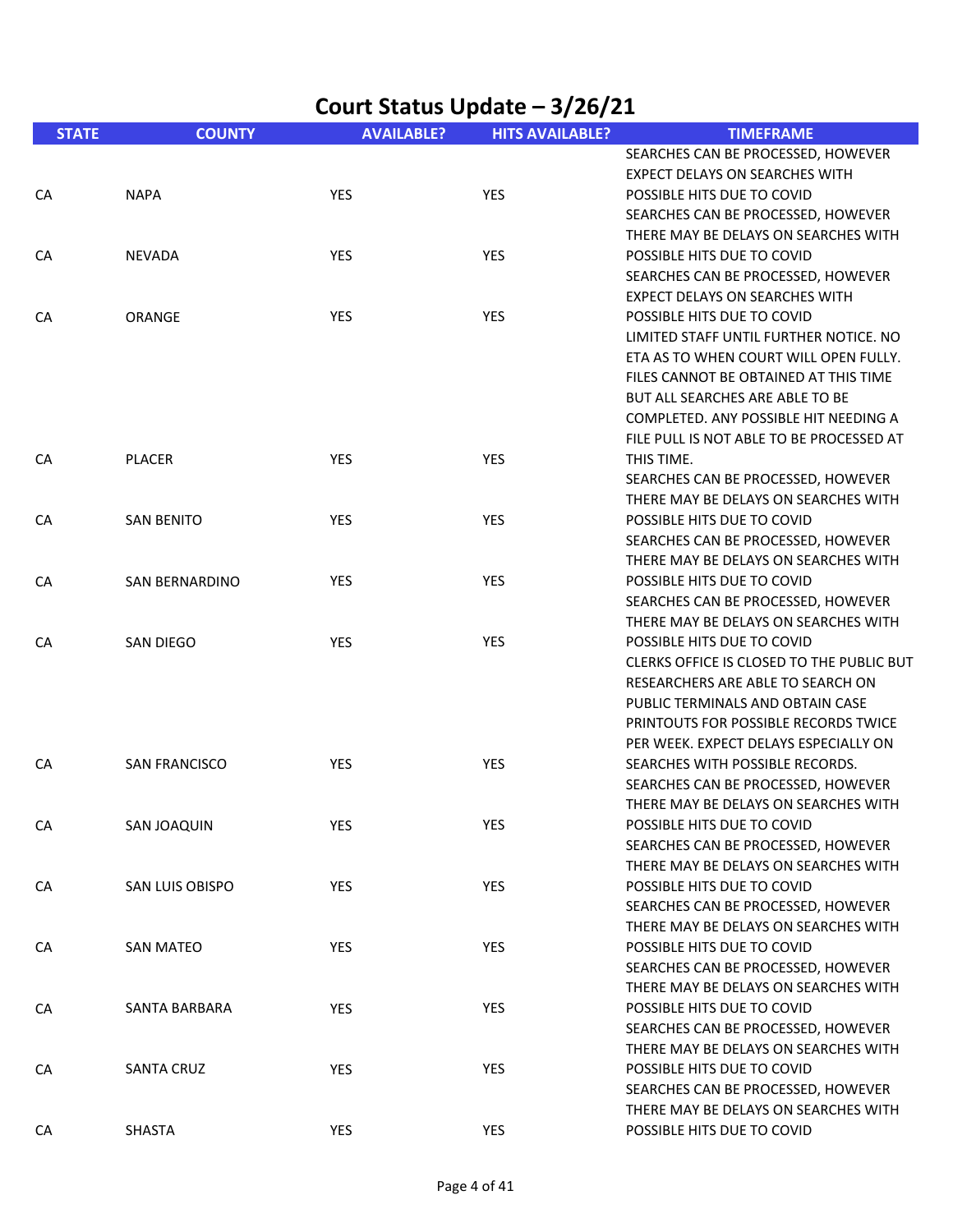|              | Court Status Update - 3/26/21 |                   |                        |                                                                            |  |  |
|--------------|-------------------------------|-------------------|------------------------|----------------------------------------------------------------------------|--|--|
| <b>STATE</b> | <b>COUNTY</b>                 | <b>AVAILABLE?</b> | <b>HITS AVAILABLE?</b> | <b>TIMEFRAME</b>                                                           |  |  |
|              |                               |                   |                        | SEARCHES CAN BE PROCESSED, HOWEVER                                         |  |  |
|              |                               |                   |                        | <b>EXPECT DELAYS ON SEARCHES WITH</b>                                      |  |  |
| CA           | <b>NAPA</b>                   | <b>YES</b>        | <b>YES</b>             | POSSIBLE HITS DUE TO COVID                                                 |  |  |
|              |                               |                   |                        | SEARCHES CAN BE PROCESSED, HOWEVER                                         |  |  |
|              |                               |                   |                        | THERE MAY BE DELAYS ON SEARCHES WITH                                       |  |  |
| CA           | <b>NEVADA</b>                 | YES               | YES                    | POSSIBLE HITS DUE TO COVID                                                 |  |  |
|              |                               |                   |                        | SEARCHES CAN BE PROCESSED, HOWEVER                                         |  |  |
|              |                               |                   |                        | <b>EXPECT DELAYS ON SEARCHES WITH</b>                                      |  |  |
| CA           | ORANGE                        | YES               | YES                    | POSSIBLE HITS DUE TO COVID                                                 |  |  |
|              |                               |                   |                        | LIMITED STAFF UNTIL FURTHER NOTICE. NO                                     |  |  |
|              |                               |                   |                        | ETA AS TO WHEN COURT WILL OPEN FULLY.                                      |  |  |
|              |                               |                   |                        | FILES CANNOT BE OBTAINED AT THIS TIME                                      |  |  |
|              |                               |                   |                        | <b>BUT ALL SEARCHES ARE ABLE TO BE</b>                                     |  |  |
|              |                               |                   |                        | COMPLETED. ANY POSSIBLE HIT NEEDING A                                      |  |  |
|              |                               |                   |                        | FILE PULL IS NOT ABLE TO BE PROCESSED AT                                   |  |  |
| CA           | <b>PLACER</b>                 | YES               | YES                    | THIS TIME.                                                                 |  |  |
|              |                               |                   |                        | SEARCHES CAN BE PROCESSED, HOWEVER                                         |  |  |
|              |                               |                   |                        | THERE MAY BE DELAYS ON SEARCHES WITH                                       |  |  |
| CA           | <b>SAN BENITO</b>             | YES               | <b>YES</b>             | POSSIBLE HITS DUE TO COVID                                                 |  |  |
|              |                               |                   |                        | SEARCHES CAN BE PROCESSED, HOWEVER                                         |  |  |
|              |                               |                   |                        | THERE MAY BE DELAYS ON SEARCHES WITH                                       |  |  |
| CA           | <b>SAN BERNARDINO</b>         | YES               | YES                    | POSSIBLE HITS DUE TO COVID                                                 |  |  |
|              |                               |                   |                        | SEARCHES CAN BE PROCESSED, HOWEVER                                         |  |  |
|              |                               |                   |                        | THERE MAY BE DELAYS ON SEARCHES WITH                                       |  |  |
| CA           | <b>SAN DIEGO</b>              | YES               | YES                    | POSSIBLE HITS DUE TO COVID                                                 |  |  |
|              |                               |                   |                        | CLERKS OFFICE IS CLOSED TO THE PUBLIC BUT                                  |  |  |
|              |                               |                   |                        | RESEARCHERS ARE ABLE TO SEARCH ON                                          |  |  |
|              |                               |                   |                        | PUBLIC TERMINALS AND OBTAIN CASE                                           |  |  |
|              |                               |                   |                        | PRINTOUTS FOR POSSIBLE RECORDS TWICE                                       |  |  |
|              |                               |                   |                        | PER WEEK. EXPECT DELAYS ESPECIALLY ON                                      |  |  |
| CA           | <b>SAN FRANCISCO</b>          | YES               | YES                    | SEARCHES WITH POSSIBLE RECORDS.                                            |  |  |
|              |                               |                   |                        | SEARCHES CAN BE PROCESSED, HOWEVER                                         |  |  |
|              |                               |                   |                        | THERE MAY BE DELAYS ON SEARCHES WITH                                       |  |  |
| CA           | <b>SAN JOAQUIN</b>            | <b>YES</b>        | YES                    | POSSIBLE HITS DUE TO COVID                                                 |  |  |
|              |                               |                   |                        | SEARCHES CAN BE PROCESSED, HOWEVER                                         |  |  |
|              |                               |                   |                        | THERE MAY BE DELAYS ON SEARCHES WITH                                       |  |  |
| CA           | <b>SAN LUIS OBISPO</b>        | YES               | YES                    | POSSIBLE HITS DUE TO COVID                                                 |  |  |
|              |                               |                   |                        | SEARCHES CAN BE PROCESSED, HOWEVER                                         |  |  |
|              |                               |                   |                        | THERE MAY BE DELAYS ON SEARCHES WITH                                       |  |  |
| CA           | <b>SAN MATEO</b>              | <b>YES</b>        | <b>YES</b>             | POSSIBLE HITS DUE TO COVID                                                 |  |  |
|              |                               |                   |                        | SEARCHES CAN BE PROCESSED, HOWEVER<br>THERE MAY BE DELAYS ON SEARCHES WITH |  |  |
|              |                               |                   |                        |                                                                            |  |  |
| CA           | SANTA BARBARA                 | YES               | YES                    | POSSIBLE HITS DUE TO COVID                                                 |  |  |
|              |                               |                   |                        | SEARCHES CAN BE PROCESSED, HOWEVER                                         |  |  |
|              |                               |                   |                        | THERE MAY BE DELAYS ON SEARCHES WITH                                       |  |  |
| CA           | <b>SANTA CRUZ</b>             | <b>YES</b>        | <b>YES</b>             | POSSIBLE HITS DUE TO COVID<br>SEARCHES CAN BE PROCESSED, HOWEVER           |  |  |
|              |                               |                   |                        | THERE MAY BE DELAYS ON SEARCHES WITH                                       |  |  |
|              | <b>SHASTA</b>                 |                   | YES                    | POSSIBLE HITS DUE TO COVID                                                 |  |  |
| CA           |                               | YES               |                        |                                                                            |  |  |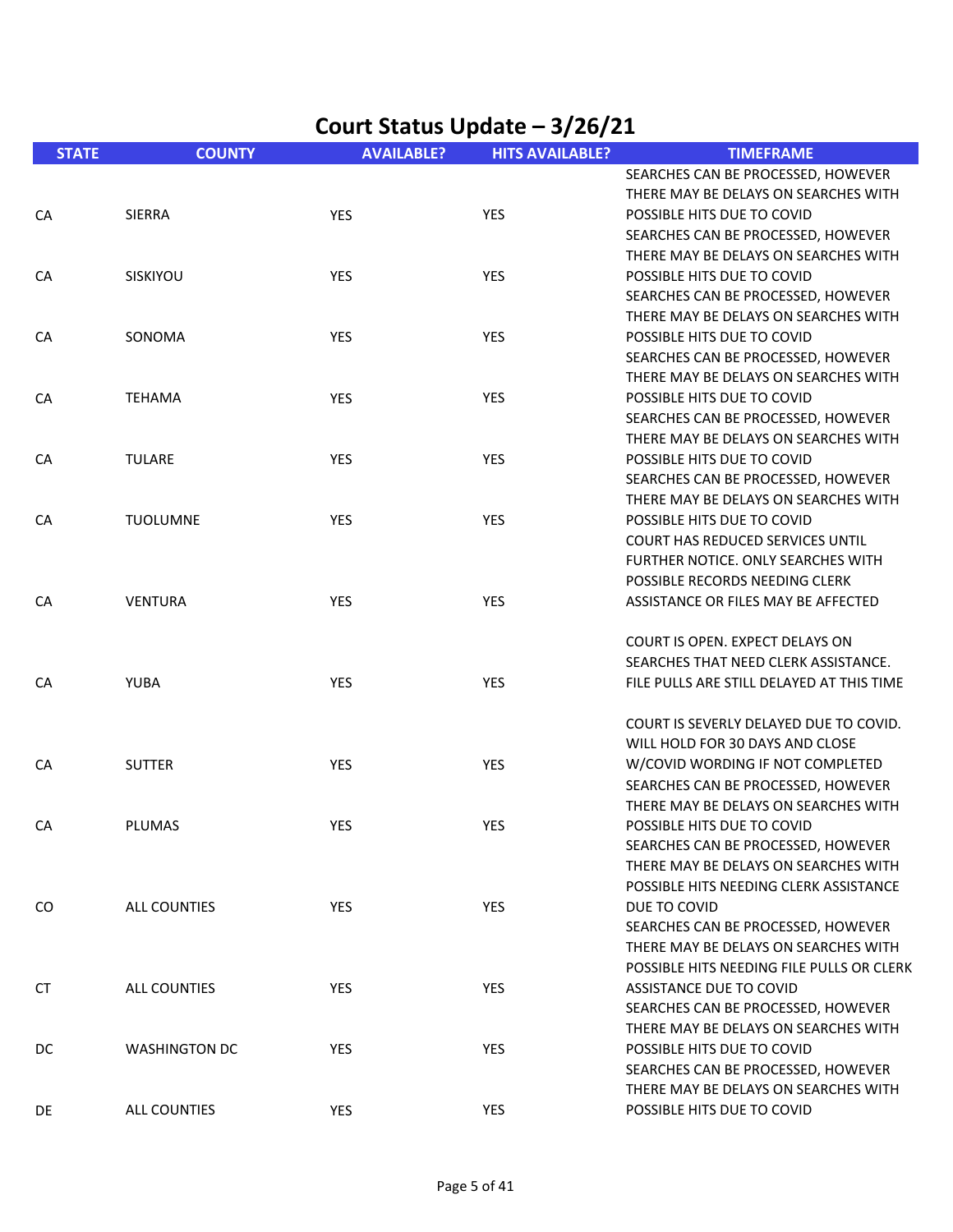| <b>STATE</b> | <b>COUNTY</b>        | <b>AVAILABLE?</b> | <b>HITS AVAILABLE?</b> | <b>TIMEFRAME</b>                          |
|--------------|----------------------|-------------------|------------------------|-------------------------------------------|
|              |                      |                   |                        | SEARCHES CAN BE PROCESSED, HOWEVER        |
|              |                      |                   |                        | THERE MAY BE DELAYS ON SEARCHES WITH      |
| CA           | <b>SIERRA</b>        | <b>YES</b>        | YES                    | POSSIBLE HITS DUE TO COVID                |
|              |                      |                   |                        | SEARCHES CAN BE PROCESSED, HOWEVER        |
|              |                      |                   |                        | THERE MAY BE DELAYS ON SEARCHES WITH      |
| CA           | SISKIYOU             | <b>YES</b>        | <b>YES</b>             | POSSIBLE HITS DUE TO COVID                |
|              |                      |                   |                        | SEARCHES CAN BE PROCESSED, HOWEVER        |
|              |                      |                   |                        | THERE MAY BE DELAYS ON SEARCHES WITH      |
| CA           | SONOMA               | YES               | YES                    | POSSIBLE HITS DUE TO COVID                |
|              |                      |                   |                        | SEARCHES CAN BE PROCESSED, HOWEVER        |
|              |                      |                   |                        | THERE MAY BE DELAYS ON SEARCHES WITH      |
| CA           | <b>TEHAMA</b>        | YES               | <b>YES</b>             | POSSIBLE HITS DUE TO COVID                |
|              |                      |                   |                        | SEARCHES CAN BE PROCESSED, HOWEVER        |
|              |                      |                   |                        | THERE MAY BE DELAYS ON SEARCHES WITH      |
| CA           | <b>TULARE</b>        | <b>YES</b>        | <b>YES</b>             | POSSIBLE HITS DUE TO COVID                |
|              |                      |                   |                        | SEARCHES CAN BE PROCESSED, HOWEVER        |
|              |                      |                   |                        | THERE MAY BE DELAYS ON SEARCHES WITH      |
| CA           | <b>TUOLUMNE</b>      | <b>YES</b>        | YES                    | POSSIBLE HITS DUE TO COVID                |
|              |                      |                   |                        | <b>COURT HAS REDUCED SERVICES UNTIL</b>   |
|              |                      |                   |                        | FURTHER NOTICE. ONLY SEARCHES WITH        |
|              |                      |                   |                        | POSSIBLE RECORDS NEEDING CLERK            |
| CA           | <b>VENTURA</b>       | YES               | YES                    | ASSISTANCE OR FILES MAY BE AFFECTED       |
|              |                      |                   |                        |                                           |
|              |                      |                   |                        | COURT IS OPEN. EXPECT DELAYS ON           |
|              |                      |                   |                        | SEARCHES THAT NEED CLERK ASSISTANCE.      |
| CA           | <b>YUBA</b>          | <b>YES</b>        | <b>YES</b>             | FILE PULLS ARE STILL DELAYED AT THIS TIME |
|              |                      |                   |                        |                                           |
|              |                      |                   |                        | COURT IS SEVERLY DELAYED DUE TO COVID.    |
|              |                      |                   |                        | WILL HOLD FOR 30 DAYS AND CLOSE           |
| CA           | <b>SUTTER</b>        | YES               | YES                    | W/COVID WORDING IF NOT COMPLETED          |
|              |                      |                   |                        | SEARCHES CAN BE PROCESSED, HOWEVER        |
|              |                      |                   |                        | THERE MAY BE DELAYS ON SEARCHES WITH      |
| CA           | <b>PLUMAS</b>        | YES               | YES                    | POSSIBLE HITS DUE TO COVID                |
|              |                      |                   |                        | SEARCHES CAN BE PROCESSED, HOWEVER        |
|              |                      |                   |                        | THERE MAY BE DELAYS ON SEARCHES WITH      |
|              |                      |                   |                        | POSSIBLE HITS NEEDING CLERK ASSISTANCE    |
| CO           | ALL COUNTIES         | YES               | YES                    | DUE TO COVID                              |
|              |                      |                   |                        | SEARCHES CAN BE PROCESSED, HOWEVER        |
|              |                      |                   |                        | THERE MAY BE DELAYS ON SEARCHES WITH      |
|              |                      |                   |                        | POSSIBLE HITS NEEDING FILE PULLS OR CLERK |
| CT           | ALL COUNTIES         | YES               | YES                    | ASSISTANCE DUE TO COVID                   |
|              |                      |                   |                        | SEARCHES CAN BE PROCESSED, HOWEVER        |
|              |                      |                   |                        | THERE MAY BE DELAYS ON SEARCHES WITH      |
| DC           | <b>WASHINGTON DC</b> | <b>YES</b>        | <b>YES</b>             | POSSIBLE HITS DUE TO COVID                |
|              |                      |                   |                        | SEARCHES CAN BE PROCESSED, HOWEVER        |
|              |                      |                   |                        | THERE MAY BE DELAYS ON SEARCHES WITH      |
| DE           | ALL COUNTIES         | <b>YES</b>        | <b>YES</b>             | POSSIBLE HITS DUE TO COVID                |
|              |                      |                   |                        |                                           |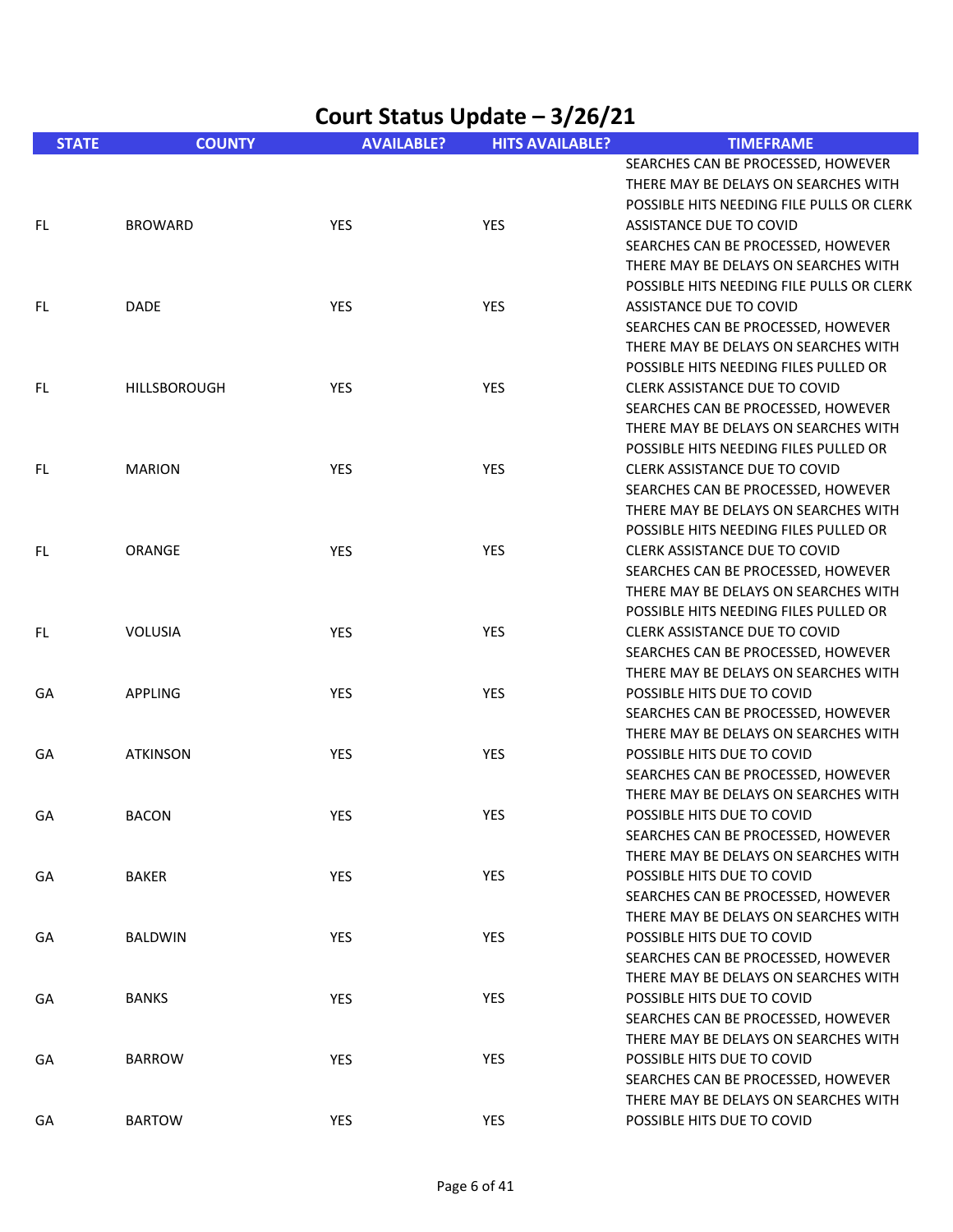| Court Status Update - 3/26/21 |                 |                   |                        |                                                                                                                                                                                            |  |
|-------------------------------|-----------------|-------------------|------------------------|--------------------------------------------------------------------------------------------------------------------------------------------------------------------------------------------|--|
| <b>STATE</b>                  | <b>COUNTY</b>   | <b>AVAILABLE?</b> | <b>HITS AVAILABLE?</b> | <b>TIMEFRAME</b>                                                                                                                                                                           |  |
| FL.                           | <b>BROWARD</b>  | <b>YES</b>        | <b>YES</b>             | SEARCHES CAN BE PROCESSED, HOWEVER<br>THERE MAY BE DELAYS ON SEARCHES WITH<br>POSSIBLE HITS NEEDING FILE PULLS OR CLERK<br>ASSISTANCE DUE TO COVID<br>SEARCHES CAN BE PROCESSED, HOWEVER   |  |
| FL.                           | DADE            | YES               | <b>YES</b>             | THERE MAY BE DELAYS ON SEARCHES WITH<br>POSSIBLE HITS NEEDING FILE PULLS OR CLERK<br>ASSISTANCE DUE TO COVID<br>SEARCHES CAN BE PROCESSED, HOWEVER<br>THERE MAY BE DELAYS ON SEARCHES WITH |  |
| FL                            | HILLSBOROUGH    | YES               | <b>YES</b>             | POSSIBLE HITS NEEDING FILES PULLED OR<br><b>CLERK ASSISTANCE DUE TO COVID</b><br>SEARCHES CAN BE PROCESSED, HOWEVER<br>THERE MAY BE DELAYS ON SEARCHES WITH                                |  |
| FL                            | <b>MARION</b>   | YES               | YES                    | POSSIBLE HITS NEEDING FILES PULLED OR<br><b>CLERK ASSISTANCE DUE TO COVID</b><br>SEARCHES CAN BE PROCESSED, HOWEVER<br>THERE MAY BE DELAYS ON SEARCHES WITH                                |  |
| FL.                           | ORANGE          | YES               | <b>YES</b>             | POSSIBLE HITS NEEDING FILES PULLED OR<br><b>CLERK ASSISTANCE DUE TO COVID</b><br>SEARCHES CAN BE PROCESSED, HOWEVER<br>THERE MAY BE DELAYS ON SEARCHES WITH                                |  |
| FL                            | <b>VOLUSIA</b>  | YES               | <b>YES</b>             | POSSIBLE HITS NEEDING FILES PULLED OR<br>CLERK ASSISTANCE DUE TO COVID<br>SEARCHES CAN BE PROCESSED, HOWEVER<br>THERE MAY BE DELAYS ON SEARCHES WITH                                       |  |
| GА                            | <b>APPLING</b>  | YES               | YES                    | POSSIBLE HITS DUE TO COVID<br>SEARCHES CAN BE PROCESSED, HOWEVER<br>THERE MAY BE DELAYS ON SEARCHES WITH                                                                                   |  |
| GA                            | <b>ATKINSON</b> | YES               | YES                    | POSSIBLE HITS DUE TO COVID<br>SEARCHES CAN BE PROCESSED, HOWEVER<br>THERE MAY BE DELAYS ON SEARCHES WITH                                                                                   |  |
| GA                            | <b>BACON</b>    | <b>YES</b>        | YES                    | POSSIBLE HITS DUE TO COVID<br>SEARCHES CAN BE PROCESSED, HOWEVER<br>THERE MAY BE DELAYS ON SEARCHES WITH                                                                                   |  |
| GA                            | BAKER           | YES               | YES                    | POSSIBLE HITS DUE TO COVID<br>SEARCHES CAN BE PROCESSED, HOWEVER<br>THERE MAY BE DELAYS ON SEARCHES WITH                                                                                   |  |
| GА                            | <b>BALDWIN</b>  | <b>YES</b>        | <b>YES</b>             | POSSIBLE HITS DUE TO COVID<br>SEARCHES CAN BE PROCESSED, HOWEVER<br>THERE MAY BE DELAYS ON SEARCHES WITH                                                                                   |  |
| GА                            | <b>BANKS</b>    | YES               | YES                    | POSSIBLE HITS DUE TO COVID<br>SEARCHES CAN BE PROCESSED, HOWEVER<br>THERE MAY BE DELAYS ON SEARCHES WITH                                                                                   |  |
| GA                            | <b>BARROW</b>   | YES               | <b>YES</b>             | POSSIBLE HITS DUE TO COVID<br>SEARCHES CAN BE PROCESSED, HOWEVER<br>THERE MAY BE DELAYS ON SEARCHES WITH                                                                                   |  |
| GА                            | <b>BARTOW</b>   | YES               | YES                    | POSSIBLE HITS DUE TO COVID                                                                                                                                                                 |  |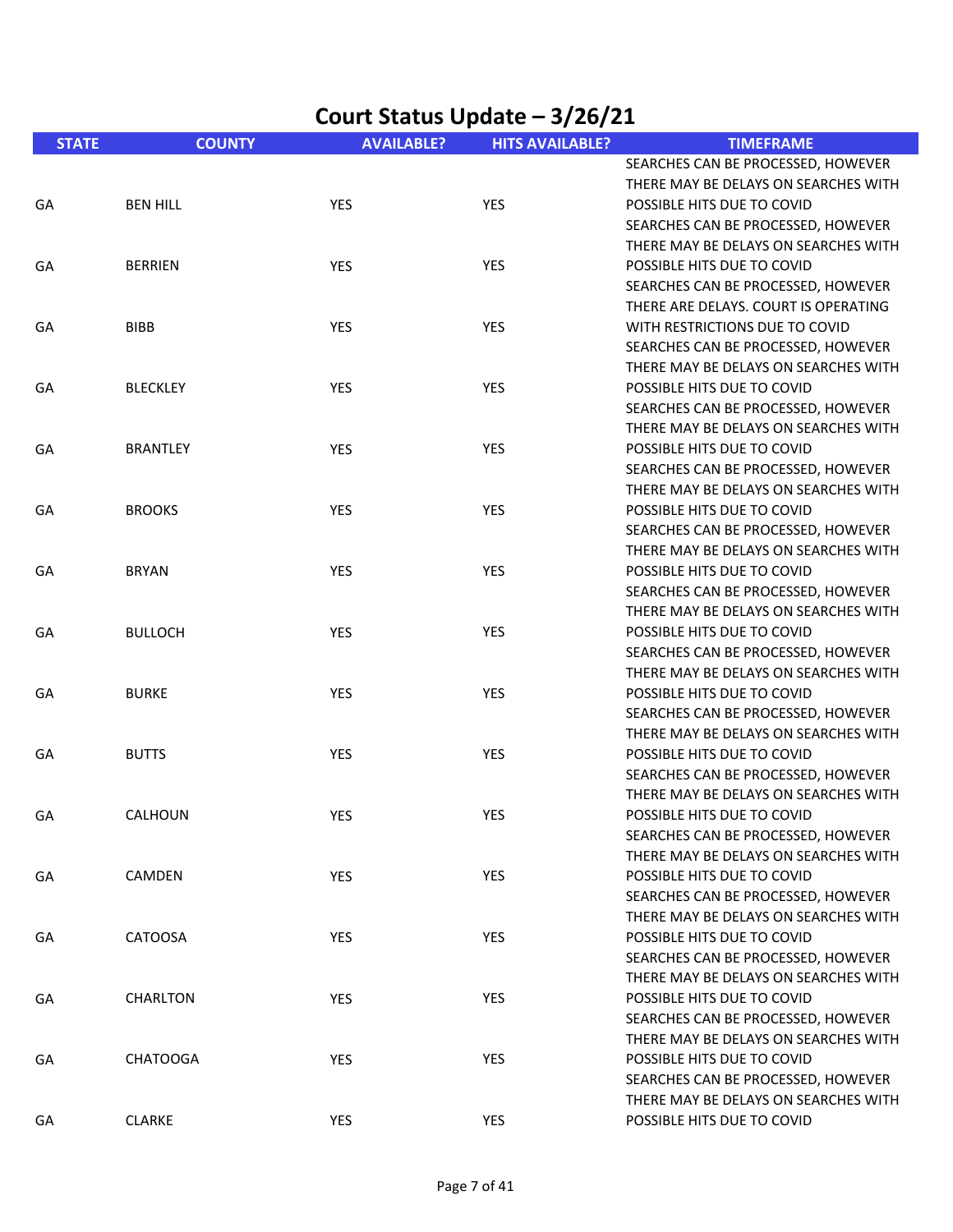| Court Status Update - 3/26/21 |                 |                   |                        |                                                                                                              |
|-------------------------------|-----------------|-------------------|------------------------|--------------------------------------------------------------------------------------------------------------|
| <b>STATE</b>                  | <b>COUNTY</b>   | <b>AVAILABLE?</b> | <b>HITS AVAILABLE?</b> | <b>TIMEFRAME</b>                                                                                             |
| GA                            | <b>BEN HILL</b> | <b>YES</b>        | YES                    | SEARCHES CAN BE PROCESSED, HOWEVER<br>THERE MAY BE DELAYS ON SEARCHES WITH<br>POSSIBLE HITS DUE TO COVID     |
|                               |                 |                   |                        | SEARCHES CAN BE PROCESSED, HOWEVER<br>THERE MAY BE DELAYS ON SEARCHES WITH                                   |
| GA                            | <b>BERRIEN</b>  | <b>YES</b>        | YES                    | POSSIBLE HITS DUE TO COVID<br>SEARCHES CAN BE PROCESSED, HOWEVER<br>THERE ARE DELAYS. COURT IS OPERATING     |
| GA                            | <b>BIBB</b>     | <b>YES</b>        | YES                    | WITH RESTRICTIONS DUE TO COVID<br>SEARCHES CAN BE PROCESSED, HOWEVER<br>THERE MAY BE DELAYS ON SEARCHES WITH |
| GA                            | <b>BLECKLEY</b> | <b>YES</b>        | <b>YES</b>             | POSSIBLE HITS DUE TO COVID<br>SEARCHES CAN BE PROCESSED, HOWEVER<br>THERE MAY BE DELAYS ON SEARCHES WITH     |
| GA                            | <b>BRANTLEY</b> | <b>YES</b>        | YES                    | POSSIBLE HITS DUE TO COVID<br>SEARCHES CAN BE PROCESSED, HOWEVER<br>THERE MAY BE DELAYS ON SEARCHES WITH     |
| GA                            | <b>BROOKS</b>   | YES               | <b>YES</b>             | POSSIBLE HITS DUE TO COVID<br>SEARCHES CAN BE PROCESSED, HOWEVER<br>THERE MAY BE DELAYS ON SEARCHES WITH     |
| GA                            | <b>BRYAN</b>    | YES               | YES                    | POSSIBLE HITS DUE TO COVID<br>SEARCHES CAN BE PROCESSED, HOWEVER<br>THERE MAY BE DELAYS ON SEARCHES WITH     |
| GA                            | <b>BULLOCH</b>  | <b>YES</b>        | <b>YES</b>             | POSSIBLE HITS DUE TO COVID<br>SEARCHES CAN BE PROCESSED, HOWEVER<br>THERE MAY BE DELAYS ON SEARCHES WITH     |
| GA                            | <b>BURKE</b>    | <b>YES</b>        | YES                    | POSSIBLE HITS DUE TO COVID<br>SEARCHES CAN BE PROCESSED, HOWEVER<br>THERE MAY BE DELAYS ON SEARCHES WITH     |
| GA                            | <b>BUTTS</b>    | <b>YES</b>        | YES                    | POSSIBLE HITS DUE TO COVID<br>SEARCHES CAN BE PROCESSED, HOWEVER<br>THERE MAY BE DELAYS ON SEARCHES WITH     |
| GA                            | CALHOUN         | <b>YES</b>        | YES                    | POSSIBLE HITS DUE TO COVID<br>SEARCHES CAN BE PROCESSED, HOWEVER<br>THERE MAY BE DELAYS ON SEARCHES WITH     |
| GA                            | CAMDEN          | YES               | YES                    | POSSIBLE HITS DUE TO COVID<br>SEARCHES CAN BE PROCESSED, HOWEVER<br>THERE MAY BE DELAYS ON SEARCHES WITH     |
| GA                            | CATOOSA         | <b>YES</b>        | YES                    | POSSIBLE HITS DUE TO COVID<br>SEARCHES CAN BE PROCESSED, HOWEVER<br>THERE MAY BE DELAYS ON SEARCHES WITH     |
| GA                            | CHARLTON        | YES               | <b>YES</b>             | POSSIBLE HITS DUE TO COVID<br>SEARCHES CAN BE PROCESSED, HOWEVER<br>THERE MAY BE DELAYS ON SEARCHES WITH     |
| GA                            | <b>CHATOOGA</b> | <b>YES</b>        | YES                    | POSSIBLE HITS DUE TO COVID<br>SEARCHES CAN BE PROCESSED, HOWEVER<br>THERE MAY BE DELAYS ON SEARCHES WITH     |
| GA                            | <b>CLARKE</b>   | <b>YES</b>        | YES                    | POSSIBLE HITS DUE TO COVID                                                                                   |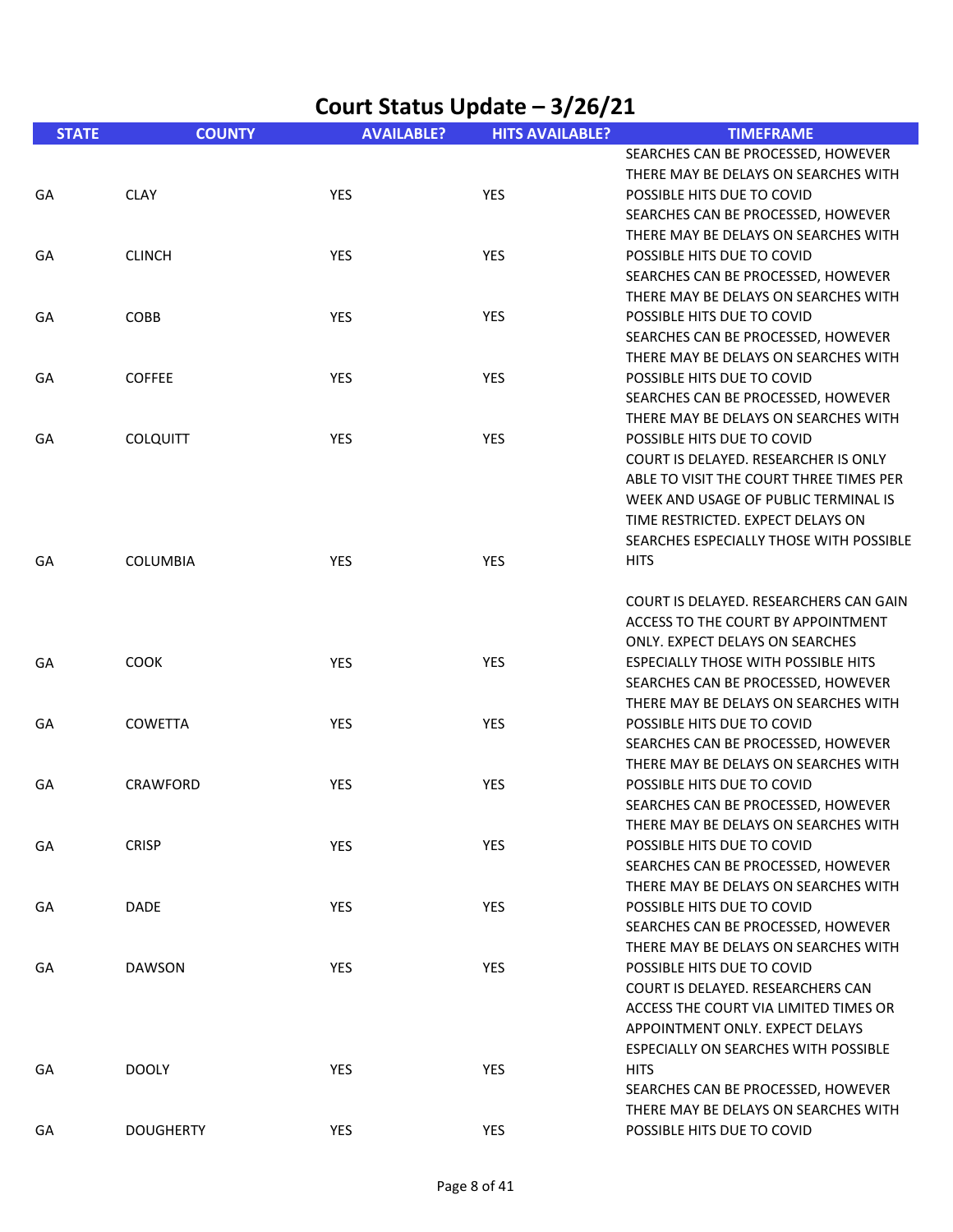| Court Status Update - 3/26/21 |                  |                   |                        |                                                                            |
|-------------------------------|------------------|-------------------|------------------------|----------------------------------------------------------------------------|
| <b>STATE</b>                  | <b>COUNTY</b>    | <b>AVAILABLE?</b> | <b>HITS AVAILABLE?</b> | <b>TIMEFRAME</b>                                                           |
|                               |                  |                   |                        | SEARCHES CAN BE PROCESSED, HOWEVER                                         |
|                               |                  |                   |                        | THERE MAY BE DELAYS ON SEARCHES WITH                                       |
| GA                            | <b>CLAY</b>      | YES               | <b>YES</b>             | POSSIBLE HITS DUE TO COVID                                                 |
|                               |                  |                   |                        | SEARCHES CAN BE PROCESSED, HOWEVER                                         |
|                               | <b>CLINCH</b>    | YES               | <b>YES</b>             | THERE MAY BE DELAYS ON SEARCHES WITH<br>POSSIBLE HITS DUE TO COVID         |
| GА                            |                  |                   |                        | SEARCHES CAN BE PROCESSED, HOWEVER                                         |
|                               |                  |                   |                        | THERE MAY BE DELAYS ON SEARCHES WITH                                       |
| GA                            | COBB             | YES               | <b>YES</b>             | POSSIBLE HITS DUE TO COVID                                                 |
|                               |                  |                   |                        | SEARCHES CAN BE PROCESSED, HOWEVER                                         |
|                               |                  |                   |                        | THERE MAY BE DELAYS ON SEARCHES WITH                                       |
| GА                            | <b>COFFEE</b>    | YES               | <b>YES</b>             | POSSIBLE HITS DUE TO COVID                                                 |
|                               |                  |                   |                        | SEARCHES CAN BE PROCESSED, HOWEVER                                         |
|                               |                  |                   |                        | THERE MAY BE DELAYS ON SEARCHES WITH                                       |
| GA                            | <b>COLQUITT</b>  | YES               | <b>YES</b>             | POSSIBLE HITS DUE TO COVID                                                 |
|                               |                  |                   |                        | COURT IS DELAYED. RESEARCHER IS ONLY                                       |
|                               |                  |                   |                        | ABLE TO VISIT THE COURT THREE TIMES PER                                    |
|                               |                  |                   |                        | WEEK AND USAGE OF PUBLIC TERMINAL IS                                       |
|                               |                  |                   |                        | TIME RESTRICTED. EXPECT DELAYS ON                                          |
|                               |                  |                   |                        | SEARCHES ESPECIALLY THOSE WITH POSSIBLE                                    |
| GA                            | <b>COLUMBIA</b>  | YES               | <b>YES</b>             | <b>HITS</b>                                                                |
|                               |                  |                   |                        | COURT IS DELAYED. RESEARCHERS CAN GAIN                                     |
|                               |                  |                   |                        | ACCESS TO THE COURT BY APPOINTMENT                                         |
|                               |                  |                   |                        | ONLY. EXPECT DELAYS ON SEARCHES                                            |
| GA                            | <b>COOK</b>      | YES               | <b>YES</b>             | <b>ESPECIALLY THOSE WITH POSSIBLE HITS</b>                                 |
|                               |                  |                   |                        | SEARCHES CAN BE PROCESSED, HOWEVER                                         |
|                               |                  |                   |                        | THERE MAY BE DELAYS ON SEARCHES WITH                                       |
| GА                            | COWETTA          | YES               | <b>YES</b>             | POSSIBLE HITS DUE TO COVID                                                 |
|                               |                  |                   |                        | SEARCHES CAN BE PROCESSED, HOWEVER                                         |
|                               |                  |                   |                        | THERE MAY BE DELAYS ON SEARCHES WITH                                       |
| GА                            | <b>CRAWFORD</b>  | <b>YES</b>        | <b>YES</b>             | POSSIBLE HITS DUE TO COVID                                                 |
|                               |                  |                   |                        | SEARCHES CAN BE PROCESSED, HOWEVER<br>THERE MAY BE DELAYS ON SEARCHES WITH |
| GA                            | <b>CRISP</b>     | YES               | YES                    | POSSIBLE HITS DUE TO COVID                                                 |
|                               |                  |                   |                        | SEARCHES CAN BE PROCESSED, HOWEVER                                         |
|                               |                  |                   |                        | THERE MAY BE DELAYS ON SEARCHES WITH                                       |
| GА                            | <b>DADE</b>      | YES               | <b>YES</b>             | POSSIBLE HITS DUE TO COVID                                                 |
|                               |                  |                   |                        | SEARCHES CAN BE PROCESSED, HOWEVER                                         |
|                               |                  |                   |                        | THERE MAY BE DELAYS ON SEARCHES WITH                                       |
| GA                            | <b>DAWSON</b>    | YES               | YES                    | POSSIBLE HITS DUE TO COVID                                                 |
|                               |                  |                   |                        | COURT IS DELAYED. RESEARCHERS CAN                                          |
|                               |                  |                   |                        | ACCESS THE COURT VIA LIMITED TIMES OR                                      |
|                               |                  |                   |                        | APPOINTMENT ONLY. EXPECT DELAYS                                            |
|                               |                  |                   |                        | ESPECIALLY ON SEARCHES WITH POSSIBLE                                       |
| GA                            | <b>DOOLY</b>     | YES               | <b>YES</b>             | <b>HITS</b>                                                                |
|                               |                  |                   |                        | SEARCHES CAN BE PROCESSED, HOWEVER                                         |
|                               |                  |                   |                        | THERE MAY BE DELAYS ON SEARCHES WITH                                       |
| GA                            | <b>DOUGHERTY</b> | YES               | YES                    | POSSIBLE HITS DUE TO COVID                                                 |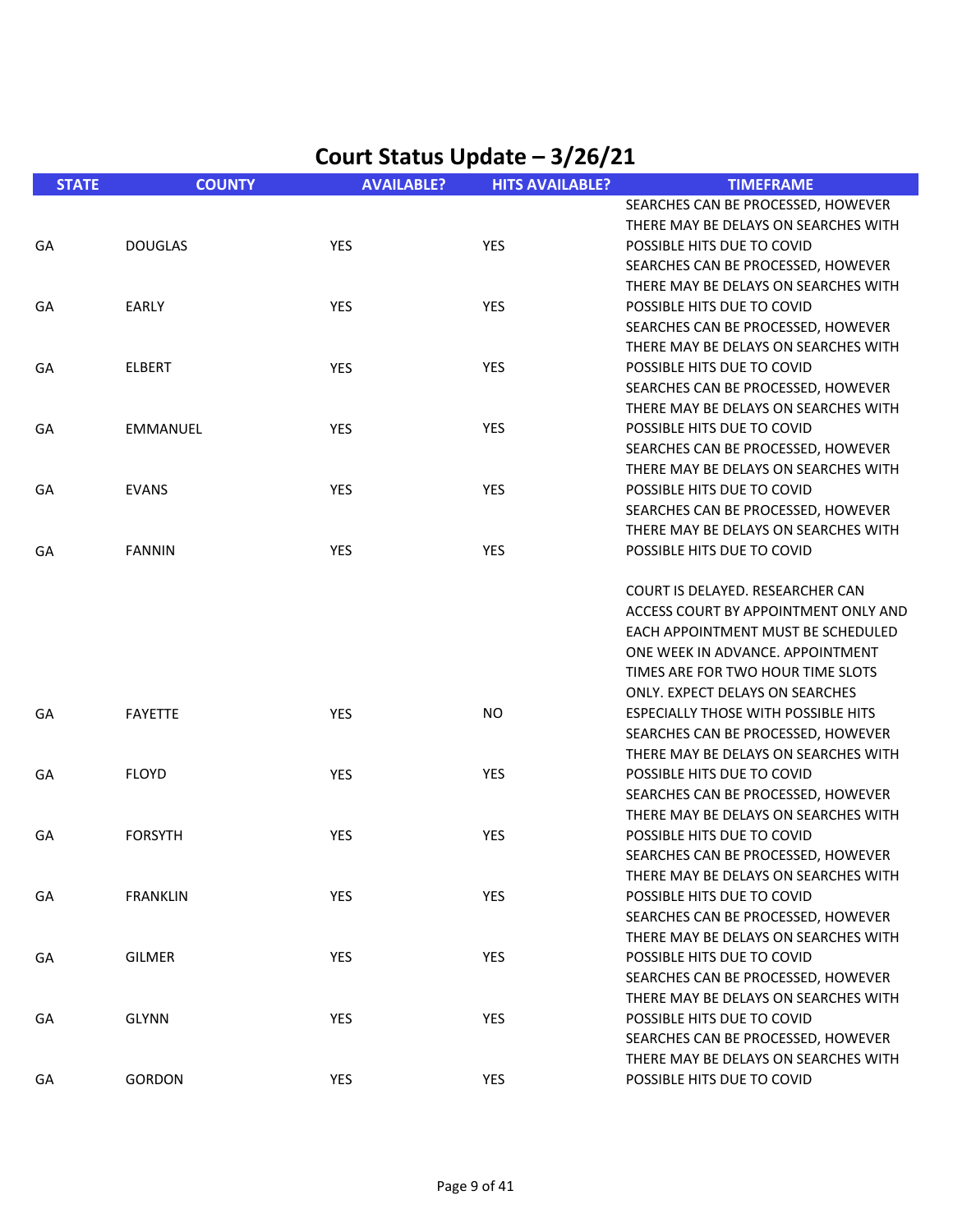| <b>STATE</b> | <b>COUNTY</b>   | <b>AVAILABLE?</b> | <b>HITS AVAILABLE?</b> | <b>TIMEFRAME</b>                           |
|--------------|-----------------|-------------------|------------------------|--------------------------------------------|
|              |                 |                   |                        | SEARCHES CAN BE PROCESSED, HOWEVER         |
|              |                 |                   |                        | THERE MAY BE DELAYS ON SEARCHES WITH       |
| GA           | <b>DOUGLAS</b>  | <b>YES</b>        | YES                    | POSSIBLE HITS DUE TO COVID                 |
|              |                 |                   |                        | SEARCHES CAN BE PROCESSED, HOWEVER         |
|              |                 |                   |                        | THERE MAY BE DELAYS ON SEARCHES WITH       |
| GA           | <b>EARLY</b>    | YES               | YES                    | POSSIBLE HITS DUE TO COVID                 |
|              |                 |                   |                        | SEARCHES CAN BE PROCESSED, HOWEVER         |
|              |                 |                   |                        | THERE MAY BE DELAYS ON SEARCHES WITH       |
| GA           | <b>ELBERT</b>   | YES               | YES                    | POSSIBLE HITS DUE TO COVID                 |
|              |                 |                   |                        | SEARCHES CAN BE PROCESSED, HOWEVER         |
|              |                 |                   |                        | THERE MAY BE DELAYS ON SEARCHES WITH       |
| GA           | <b>EMMANUEL</b> | YES               | YES                    | POSSIBLE HITS DUE TO COVID                 |
|              |                 |                   |                        | SEARCHES CAN BE PROCESSED, HOWEVER         |
|              |                 |                   |                        | THERE MAY BE DELAYS ON SEARCHES WITH       |
| GA           | <b>EVANS</b>    | <b>YES</b>        | YES                    | POSSIBLE HITS DUE TO COVID                 |
|              |                 |                   |                        | SEARCHES CAN BE PROCESSED, HOWEVER         |
|              |                 |                   |                        | THERE MAY BE DELAYS ON SEARCHES WITH       |
| GA           | <b>FANNIN</b>   | <b>YES</b>        | YES                    | POSSIBLE HITS DUE TO COVID                 |
|              |                 |                   |                        | COURT IS DELAYED. RESEARCHER CAN           |
|              |                 |                   |                        | ACCESS COURT BY APPOINTMENT ONLY AND       |
|              |                 |                   |                        | EACH APPOINTMENT MUST BE SCHEDULED         |
|              |                 |                   |                        | ONE WEEK IN ADVANCE, APPOINTMENT           |
|              |                 |                   |                        | TIMES ARE FOR TWO HOUR TIME SLOTS          |
|              |                 |                   |                        | ONLY. EXPECT DELAYS ON SEARCHES            |
| GA           | <b>FAYETTE</b>  | YES               | NO.                    | <b>ESPECIALLY THOSE WITH POSSIBLE HITS</b> |
|              |                 |                   |                        | SEARCHES CAN BE PROCESSED, HOWEVER         |
|              |                 |                   |                        | THERE MAY BE DELAYS ON SEARCHES WITH       |
| GA           | <b>FLOYD</b>    | YES               | YES                    | POSSIBLE HITS DUE TO COVID                 |
|              |                 |                   |                        | SEARCHES CAN BE PROCESSED, HOWEVER         |
|              |                 |                   |                        | THERE MAY BE DELAYS ON SEARCHES WITH       |
| GA           | <b>FORSYTH</b>  | <b>YES</b>        | YES                    | POSSIBLE HITS DUE TO COVID                 |
|              |                 |                   |                        | SEARCHES CAN BE PROCESSED, HOWEVER         |
|              |                 |                   |                        | THERE MAY BE DELAYS ON SEARCHES WITH       |
| GA           | <b>FRANKLIN</b> | YES               | YES                    | POSSIBLE HITS DUE TO COVID                 |
|              |                 |                   |                        | SEARCHES CAN BE PROCESSED, HOWEVER         |
|              |                 |                   |                        | THERE MAY BE DELAYS ON SEARCHES WITH       |
| GA           | <b>GILMER</b>   | YES               | YES                    | POSSIBLE HITS DUE TO COVID                 |
|              |                 |                   |                        | SEARCHES CAN BE PROCESSED, HOWEVER         |
|              |                 |                   |                        | THERE MAY BE DELAYS ON SEARCHES WITH       |
| GA           | <b>GLYNN</b>    | YES               | YES                    | POSSIBLE HITS DUE TO COVID                 |
|              |                 |                   |                        | SEARCHES CAN BE PROCESSED, HOWEVER         |
|              |                 |                   |                        | THERE MAY BE DELAYS ON SEARCHES WITH       |
| GA           | <b>GORDON</b>   | YES               | YES                    | POSSIBLE HITS DUE TO COVID                 |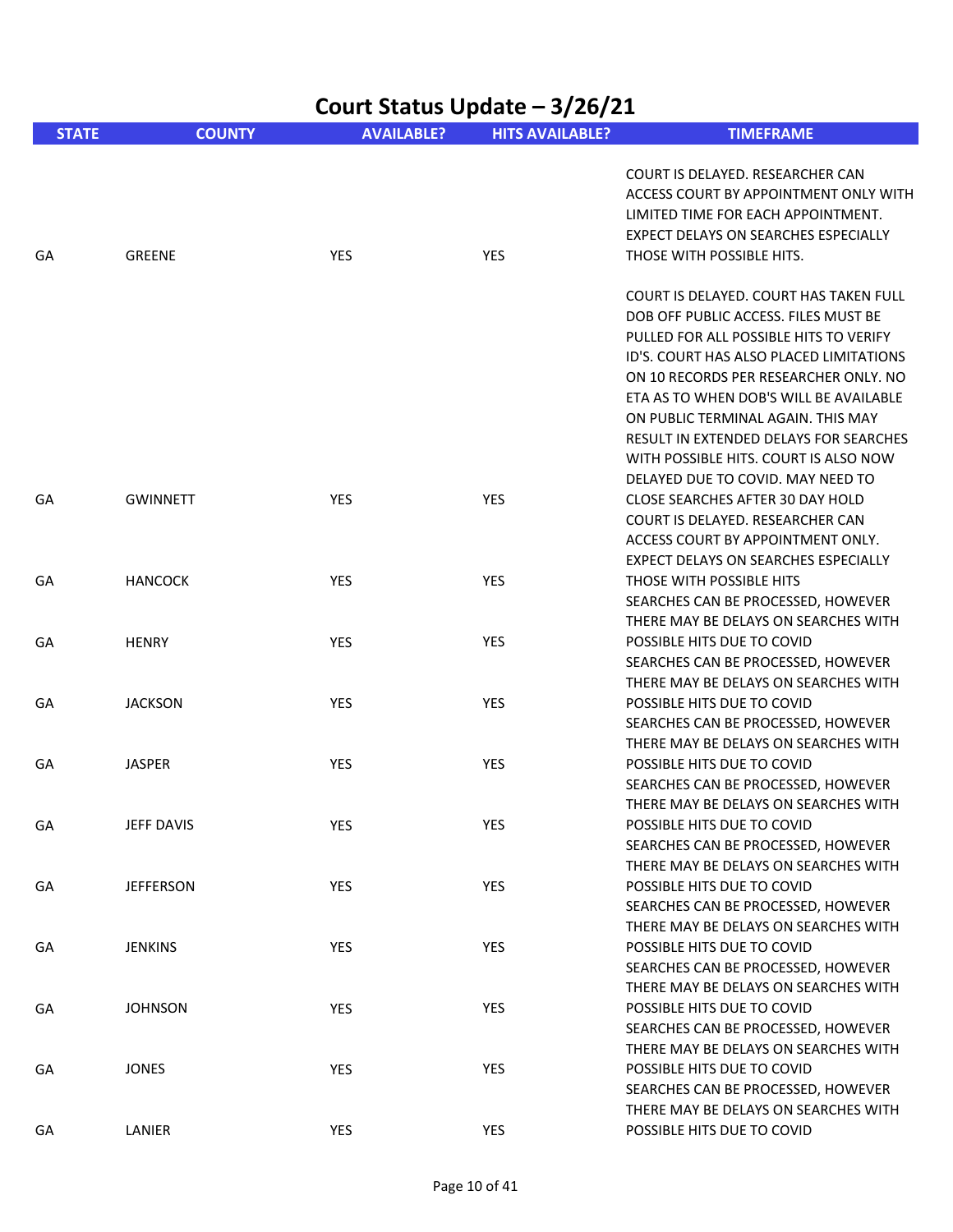|              |                   |                   | Court Status Update - 3/26/21 |                                                                                                                                                                                                                                                                                                                                                                                                                      |
|--------------|-------------------|-------------------|-------------------------------|----------------------------------------------------------------------------------------------------------------------------------------------------------------------------------------------------------------------------------------------------------------------------------------------------------------------------------------------------------------------------------------------------------------------|
| <b>STATE</b> | <b>COUNTY</b>     | <b>AVAILABLE?</b> | <b>HITS AVAILABLE?</b>        | <b>TIMEFRAME</b>                                                                                                                                                                                                                                                                                                                                                                                                     |
| GA           | <b>GREENE</b>     | YES               | YES                           | COURT IS DELAYED. RESEARCHER CAN<br>ACCESS COURT BY APPOINTMENT ONLY WITH<br>LIMITED TIME FOR EACH APPOINTMENT.<br>EXPECT DELAYS ON SEARCHES ESPECIALLY<br>THOSE WITH POSSIBLE HITS.                                                                                                                                                                                                                                 |
|              |                   |                   |                               | COURT IS DELAYED. COURT HAS TAKEN FULL<br>DOB OFF PUBLIC ACCESS. FILES MUST BE<br>PULLED FOR ALL POSSIBLE HITS TO VERIFY<br>ID'S. COURT HAS ALSO PLACED LIMITATIONS<br>ON 10 RECORDS PER RESEARCHER ONLY. NO<br>ETA AS TO WHEN DOB'S WILL BE AVAILABLE<br>ON PUBLIC TERMINAL AGAIN. THIS MAY<br>RESULT IN EXTENDED DELAYS FOR SEARCHES<br>WITH POSSIBLE HITS. COURT IS ALSO NOW<br>DELAYED DUE TO COVID. MAY NEED TO |
| GA           | <b>GWINNETT</b>   | YES               | YES                           | CLOSE SEARCHES AFTER 30 DAY HOLD<br>COURT IS DELAYED. RESEARCHER CAN<br>ACCESS COURT BY APPOINTMENT ONLY.<br>EXPECT DELAYS ON SEARCHES ESPECIALLY                                                                                                                                                                                                                                                                    |
| GA           | <b>HANCOCK</b>    | <b>YES</b>        | <b>YES</b>                    | THOSE WITH POSSIBLE HITS<br>SEARCHES CAN BE PROCESSED, HOWEVER<br>THERE MAY BE DELAYS ON SEARCHES WITH                                                                                                                                                                                                                                                                                                               |
| GA           | <b>HENRY</b>      | YES               | <b>YES</b>                    | POSSIBLE HITS DUE TO COVID<br>SEARCHES CAN BE PROCESSED, HOWEVER<br>THERE MAY BE DELAYS ON SEARCHES WITH                                                                                                                                                                                                                                                                                                             |
| GA           | <b>JACKSON</b>    | YES               | YES                           | POSSIBLE HITS DUE TO COVID<br>SEARCHES CAN BE PROCESSED, HOWEVER<br>THERE MAY BE DELAYS ON SEARCHES WITH                                                                                                                                                                                                                                                                                                             |
| GА           | <b>JASPER</b>     | YES               | YES                           | POSSIBLE HITS DUE TO COVID<br>SEARCHES CAN BE PROCESSED, HOWEVER<br>THERE MAY BE DELAYS ON SEARCHES WITH                                                                                                                                                                                                                                                                                                             |
| GA           | <b>JEFF DAVIS</b> | YES               | YES                           | POSSIBLE HITS DUE TO COVID<br>SEARCHES CAN BE PROCESSED, HOWEVER<br>THERE MAY BE DELAYS ON SEARCHES WITH                                                                                                                                                                                                                                                                                                             |
| GA           | <b>JEFFERSON</b>  | YES               | YES                           | POSSIBLE HITS DUE TO COVID<br>SEARCHES CAN BE PROCESSED, HOWEVER<br>THERE MAY BE DELAYS ON SEARCHES WITH                                                                                                                                                                                                                                                                                                             |
| GA           | <b>JENKINS</b>    | YES               | <b>YES</b>                    | POSSIBLE HITS DUE TO COVID<br>SEARCHES CAN BE PROCESSED, HOWEVER<br>THERE MAY BE DELAYS ON SEARCHES WITH                                                                                                                                                                                                                                                                                                             |
| GA           | <b>JOHNSON</b>    | YES               | YES                           | POSSIBLE HITS DUE TO COVID<br>SEARCHES CAN BE PROCESSED, HOWEVER<br>THERE MAY BE DELAYS ON SEARCHES WITH                                                                                                                                                                                                                                                                                                             |
| GA           | <b>JONES</b>      | YES               | YES                           | POSSIBLE HITS DUE TO COVID<br>SEARCHES CAN BE PROCESSED, HOWEVER<br>THERE MAY BE DELAYS ON SEARCHES WITH                                                                                                                                                                                                                                                                                                             |
| GA           | LANIER            | YES               | YES                           | POSSIBLE HITS DUE TO COVID                                                                                                                                                                                                                                                                                                                                                                                           |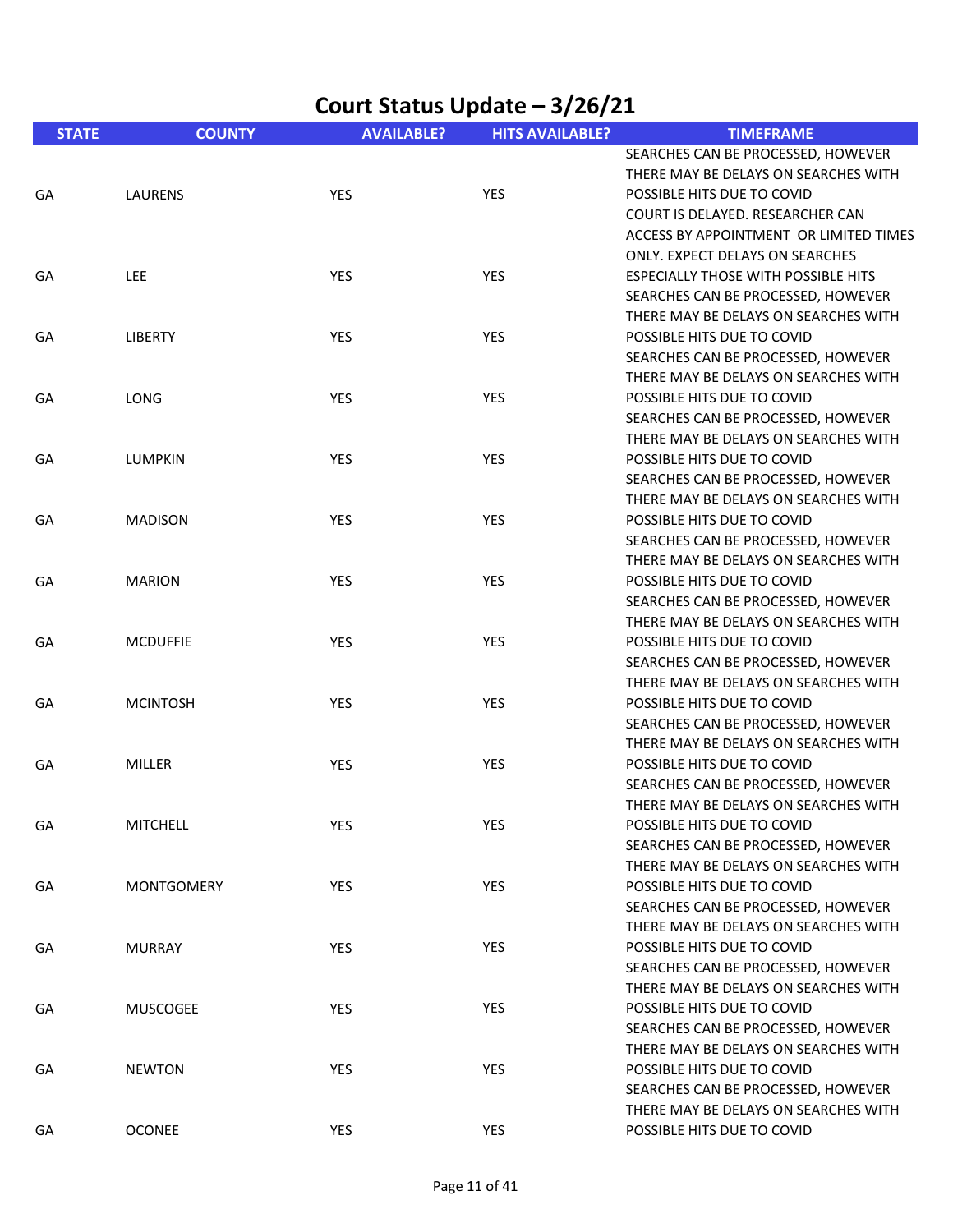|              | Court Status Update - 3/26/21 |                   |                        |                                                                                                                                                                      |  |
|--------------|-------------------------------|-------------------|------------------------|----------------------------------------------------------------------------------------------------------------------------------------------------------------------|--|
| <b>STATE</b> | <b>COUNTY</b>                 | <b>AVAILABLE?</b> | <b>HITS AVAILABLE?</b> | <b>TIMEFRAME</b>                                                                                                                                                     |  |
| GA           | LAURENS                       | YES               | YES                    | SEARCHES CAN BE PROCESSED, HOWEVER<br>THERE MAY BE DELAYS ON SEARCHES WITH<br>POSSIBLE HITS DUE TO COVID<br>COURT IS DELAYED. RESEARCHER CAN                         |  |
| GA           | LEE                           | YES               | YES                    | ACCESS BY APPOINTMENT OR LIMITED TIMES<br><b>ONLY. EXPECT DELAYS ON SEARCHES</b><br><b>ESPECIALLY THOSE WITH POSSIBLE HITS</b><br>SEARCHES CAN BE PROCESSED, HOWEVER |  |
| GA           | <b>LIBERTY</b>                | <b>YES</b>        | YES                    | THERE MAY BE DELAYS ON SEARCHES WITH<br>POSSIBLE HITS DUE TO COVID<br>SEARCHES CAN BE PROCESSED, HOWEVER                                                             |  |
| GA           | LONG                          | <b>YES</b>        | YES                    | THERE MAY BE DELAYS ON SEARCHES WITH<br>POSSIBLE HITS DUE TO COVID<br>SEARCHES CAN BE PROCESSED, HOWEVER<br>THERE MAY BE DELAYS ON SEARCHES WITH                     |  |
| GA           | <b>LUMPKIN</b>                | <b>YES</b>        | YES                    | POSSIBLE HITS DUE TO COVID<br>SEARCHES CAN BE PROCESSED, HOWEVER<br>THERE MAY BE DELAYS ON SEARCHES WITH                                                             |  |
| GA           | <b>MADISON</b>                | <b>YES</b>        | <b>YES</b>             | POSSIBLE HITS DUE TO COVID<br>SEARCHES CAN BE PROCESSED, HOWEVER<br>THERE MAY BE DELAYS ON SEARCHES WITH                                                             |  |
| GA           | <b>MARION</b>                 | <b>YES</b>        | YES                    | POSSIBLE HITS DUE TO COVID<br>SEARCHES CAN BE PROCESSED, HOWEVER<br>THERE MAY BE DELAYS ON SEARCHES WITH                                                             |  |
| GA           | <b>MCDUFFIE</b>               | YES               | YES                    | POSSIBLE HITS DUE TO COVID<br>SEARCHES CAN BE PROCESSED, HOWEVER<br>THERE MAY BE DELAYS ON SEARCHES WITH                                                             |  |
| GA           | <b>MCINTOSH</b>               | YES               | YES                    | POSSIBLE HITS DUE TO COVID<br>SEARCHES CAN BE PROCESSED, HOWEVER<br>THERE MAY BE DELAYS ON SEARCHES WITH                                                             |  |
| GA           | <b>MILLER</b>                 | YES               | YES                    | POSSIBLE HITS DUE TO COVID<br>SEARCHES CAN BE PROCESSED, HOWEVER<br>THERE MAY BE DELAYS ON SEARCHES WITH                                                             |  |
| GA           | <b>MITCHELL</b>               | <b>YES</b>        | YES                    | POSSIBLE HITS DUE TO COVID<br>SEARCHES CAN BE PROCESSED, HOWEVER<br>THERE MAY BE DELAYS ON SEARCHES WITH                                                             |  |
| GA           | <b>MONTGOMERY</b>             | YES               | YES                    | POSSIBLE HITS DUE TO COVID<br>SEARCHES CAN BE PROCESSED, HOWEVER<br>THERE MAY BE DELAYS ON SEARCHES WITH                                                             |  |
| GA           | <b>MURRAY</b>                 | <b>YES</b>        | <b>YES</b>             | POSSIBLE HITS DUE TO COVID<br>SEARCHES CAN BE PROCESSED, HOWEVER<br>THERE MAY BE DELAYS ON SEARCHES WITH                                                             |  |
| GA           | <b>MUSCOGEE</b>               | YES               | YES                    | POSSIBLE HITS DUE TO COVID<br>SEARCHES CAN BE PROCESSED, HOWEVER<br>THERE MAY BE DELAYS ON SEARCHES WITH                                                             |  |
| GA           | <b>NEWTON</b>                 | <b>YES</b>        | <b>YES</b>             | POSSIBLE HITS DUE TO COVID<br>SEARCHES CAN BE PROCESSED, HOWEVER<br>THERE MAY BE DELAYS ON SEARCHES WITH                                                             |  |
| GA           | <b>OCONEE</b>                 | YES               | <b>YES</b>             | POSSIBLE HITS DUE TO COVID                                                                                                                                           |  |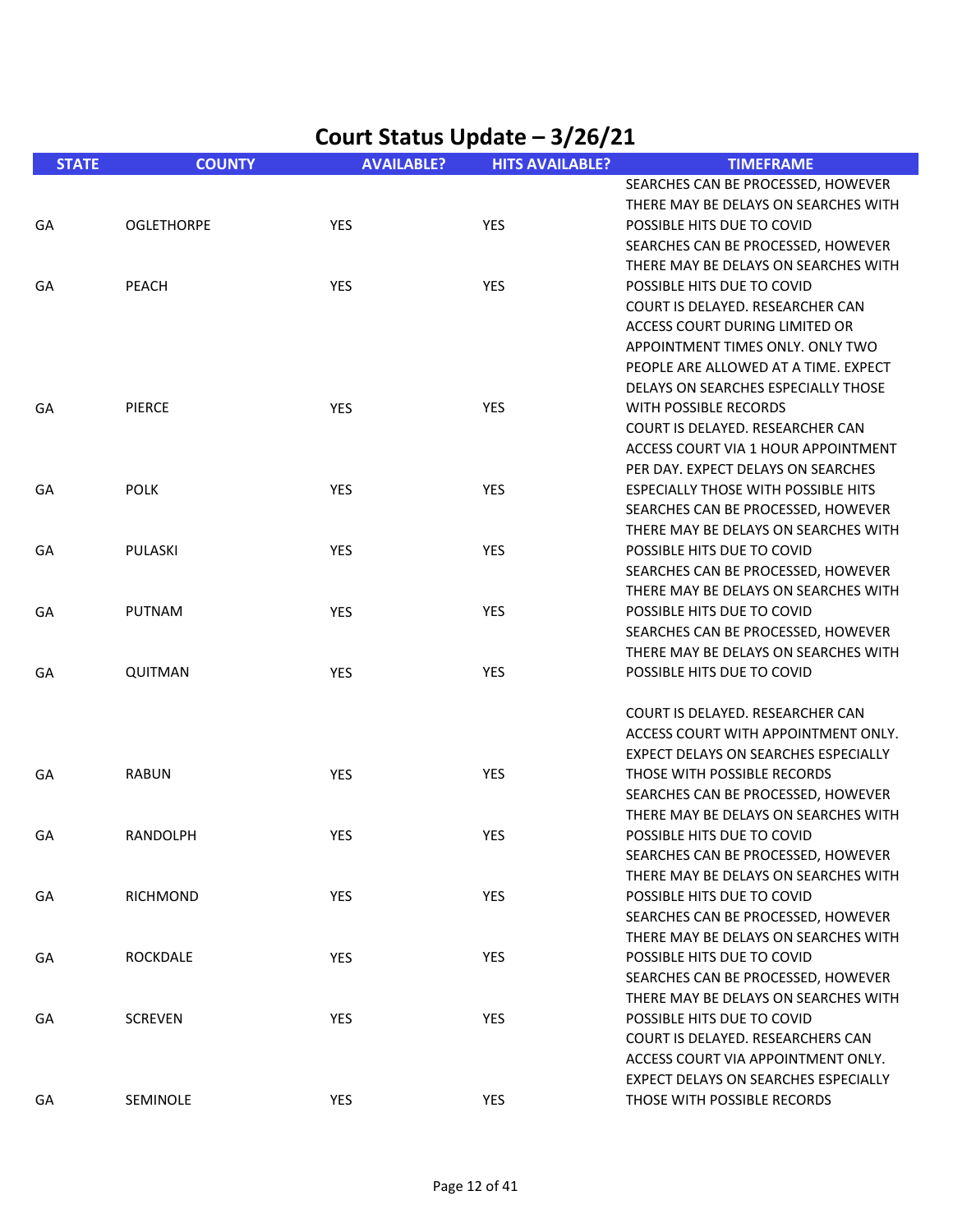| <b>STATE</b> | <b>COUNTY</b>     | <b>AVAILABLE?</b> | <b>HITS AVAILABLE?</b> | <b>TIMEFRAME</b>                                                           |
|--------------|-------------------|-------------------|------------------------|----------------------------------------------------------------------------|
|              |                   |                   |                        | SEARCHES CAN BE PROCESSED, HOWEVER                                         |
|              |                   |                   |                        | THERE MAY BE DELAYS ON SEARCHES WITH                                       |
| GA           | <b>OGLETHORPE</b> | YES               | <b>YES</b>             | POSSIBLE HITS DUE TO COVID                                                 |
|              |                   |                   |                        | SEARCHES CAN BE PROCESSED, HOWEVER                                         |
|              |                   |                   |                        | THERE MAY BE DELAYS ON SEARCHES WITH                                       |
| GA           | <b>PEACH</b>      | YES               | <b>YES</b>             | POSSIBLE HITS DUE TO COVID                                                 |
|              |                   |                   |                        | COURT IS DELAYED. RESEARCHER CAN                                           |
|              |                   |                   |                        | ACCESS COURT DURING LIMITED OR                                             |
|              |                   |                   |                        | APPOINTMENT TIMES ONLY, ONLY TWO                                           |
|              |                   |                   |                        | PEOPLE ARE ALLOWED AT A TIME. EXPECT                                       |
|              |                   |                   |                        | DELAYS ON SEARCHES ESPECIALLY THOSE                                        |
| GA           | <b>PIERCE</b>     | YES               | <b>YES</b>             | WITH POSSIBLE RECORDS                                                      |
|              |                   |                   |                        | COURT IS DELAYED. RESEARCHER CAN                                           |
|              |                   |                   |                        | ACCESS COURT VIA 1 HOUR APPOINTMENT                                        |
|              |                   |                   |                        | PER DAY. EXPECT DELAYS ON SEARCHES                                         |
| GA           | <b>POLK</b>       | YES               | <b>YES</b>             | <b>ESPECIALLY THOSE WITH POSSIBLE HITS</b>                                 |
|              |                   |                   |                        | SEARCHES CAN BE PROCESSED, HOWEVER<br>THERE MAY BE DELAYS ON SEARCHES WITH |
| GA           | PULASKI           | YES               | <b>YES</b>             | POSSIBLE HITS DUE TO COVID                                                 |
|              |                   |                   |                        | SEARCHES CAN BE PROCESSED, HOWEVER                                         |
|              |                   |                   |                        | THERE MAY BE DELAYS ON SEARCHES WITH                                       |
| GA           | PUTNAM            | <b>YES</b>        | <b>YES</b>             | POSSIBLE HITS DUE TO COVID                                                 |
|              |                   |                   |                        | SEARCHES CAN BE PROCESSED, HOWEVER                                         |
|              |                   |                   |                        | THERE MAY BE DELAYS ON SEARCHES WITH                                       |
| GA           | QUITMAN           | YES               | <b>YES</b>             | POSSIBLE HITS DUE TO COVID                                                 |
|              |                   |                   |                        |                                                                            |
|              |                   |                   |                        | COURT IS DELAYED. RESEARCHER CAN                                           |
|              |                   |                   |                        | ACCESS COURT WITH APPOINTMENT ONLY.                                        |
|              |                   |                   |                        | EXPECT DELAYS ON SEARCHES ESPECIALLY                                       |
| GA           | <b>RABUN</b>      | YES               | YES                    | THOSE WITH POSSIBLE RECORDS                                                |
|              |                   |                   |                        | SEARCHES CAN BE PROCESSED, HOWEVER                                         |
|              |                   |                   |                        | THERE MAY BE DELAYS ON SEARCHES WITH                                       |
| GA           | <b>RANDOLPH</b>   | YES               | <b>YES</b>             | POSSIBLE HITS DUE TO COVID                                                 |
|              |                   |                   |                        | SEARCHES CAN BE PROCESSED, HOWEVER                                         |
|              |                   |                   |                        | THERE MAY BE DELAYS ON SEARCHES WITH                                       |
| GА           | RICHMOND          | <b>YES</b>        | YES                    | POSSIBLE HITS DUE TO COVID                                                 |
|              |                   |                   |                        | SEARCHES CAN BE PROCESSED, HOWEVER                                         |
|              |                   |                   |                        | THERE MAY BE DELAYS ON SEARCHES WITH                                       |
| GA           | <b>ROCKDALE</b>   | YES               | <b>YES</b>             | POSSIBLE HITS DUE TO COVID                                                 |
|              |                   |                   |                        | SEARCHES CAN BE PROCESSED, HOWEVER<br>THERE MAY BE DELAYS ON SEARCHES WITH |
|              | <b>SCREVEN</b>    |                   |                        | POSSIBLE HITS DUE TO COVID                                                 |
| GА           |                   | <b>YES</b>        | <b>YES</b>             | COURT IS DELAYED. RESEARCHERS CAN                                          |
|              |                   |                   |                        | ACCESS COURT VIA APPOINTMENT ONLY.                                         |
|              |                   |                   |                        | EXPECT DELAYS ON SEARCHES ESPECIALLY                                       |
| GA           | SEMINOLE          | YES               | YES                    | THOSE WITH POSSIBLE RECORDS                                                |
|              |                   |                   |                        |                                                                            |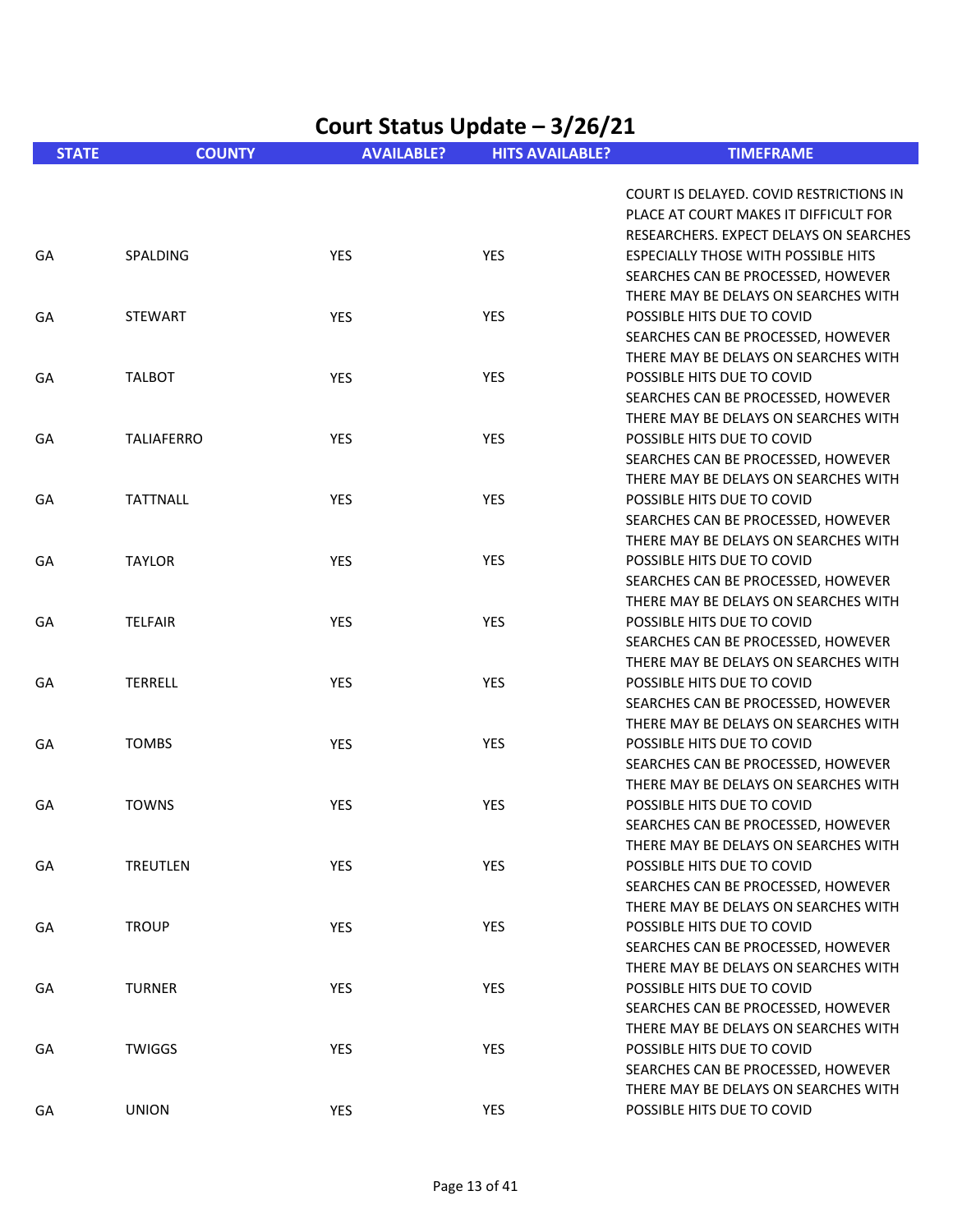|              | Court Status Update - 3/26/21 |                   |                        |                                                                            |  |  |
|--------------|-------------------------------|-------------------|------------------------|----------------------------------------------------------------------------|--|--|
| <b>STATE</b> | <b>COUNTY</b>                 | <b>AVAILABLE?</b> | <b>HITS AVAILABLE?</b> | <b>TIMEFRAME</b>                                                           |  |  |
|              |                               |                   |                        | COURT IS DELAYED. COVID RESTRICTIONS IN                                    |  |  |
|              |                               |                   |                        | PLACE AT COURT MAKES IT DIFFICULT FOR                                      |  |  |
|              |                               |                   |                        | RESEARCHERS. EXPECT DELAYS ON SEARCHES                                     |  |  |
| GA           | SPALDING                      | <b>YES</b>        | <b>YES</b>             | <b>ESPECIALLY THOSE WITH POSSIBLE HITS</b>                                 |  |  |
|              |                               |                   |                        | SEARCHES CAN BE PROCESSED, HOWEVER                                         |  |  |
|              |                               |                   |                        | THERE MAY BE DELAYS ON SEARCHES WITH                                       |  |  |
| GA           | <b>STEWART</b>                | YES               | <b>YES</b>             | POSSIBLE HITS DUE TO COVID                                                 |  |  |
|              |                               |                   |                        | SEARCHES CAN BE PROCESSED, HOWEVER                                         |  |  |
|              |                               |                   |                        | THERE MAY BE DELAYS ON SEARCHES WITH                                       |  |  |
| GA           | <b>TALBOT</b>                 | YES               | <b>YES</b>             | POSSIBLE HITS DUE TO COVID                                                 |  |  |
|              |                               |                   |                        | SEARCHES CAN BE PROCESSED, HOWEVER                                         |  |  |
|              |                               |                   |                        | THERE MAY BE DELAYS ON SEARCHES WITH                                       |  |  |
| GA           | <b>TALIAFERRO</b>             | YES               | YES                    | POSSIBLE HITS DUE TO COVID                                                 |  |  |
|              |                               |                   |                        | SEARCHES CAN BE PROCESSED, HOWEVER                                         |  |  |
|              |                               |                   |                        | THERE MAY BE DELAYS ON SEARCHES WITH                                       |  |  |
| GA           | <b>TATTNALL</b>               | YES               | YES                    | POSSIBLE HITS DUE TO COVID                                                 |  |  |
|              |                               |                   |                        | SEARCHES CAN BE PROCESSED, HOWEVER                                         |  |  |
|              |                               |                   |                        | THERE MAY BE DELAYS ON SEARCHES WITH                                       |  |  |
| GA           | <b>TAYLOR</b>                 | <b>YES</b>        | YES                    | POSSIBLE HITS DUE TO COVID                                                 |  |  |
|              |                               |                   |                        | SEARCHES CAN BE PROCESSED, HOWEVER<br>THERE MAY BE DELAYS ON SEARCHES WITH |  |  |
| GA           | <b>TELFAIR</b>                | YES               | <b>YES</b>             | POSSIBLE HITS DUE TO COVID                                                 |  |  |
|              |                               |                   |                        | SEARCHES CAN BE PROCESSED, HOWEVER                                         |  |  |
|              |                               |                   |                        | THERE MAY BE DELAYS ON SEARCHES WITH                                       |  |  |
| GA           | <b>TERRELL</b>                | YES               | <b>YES</b>             | POSSIBLE HITS DUE TO COVID                                                 |  |  |
|              |                               |                   |                        | SEARCHES CAN BE PROCESSED, HOWEVER                                         |  |  |
|              |                               |                   |                        | THERE MAY BE DELAYS ON SEARCHES WITH                                       |  |  |
| GA           | <b>TOMBS</b>                  | YES               | <b>YES</b>             | POSSIBLE HITS DUE TO COVID                                                 |  |  |
|              |                               |                   |                        | SEARCHES CAN BE PROCESSED, HOWEVER                                         |  |  |
|              |                               |                   |                        | THERE MAY BE DELAYS ON SEARCHES WITH                                       |  |  |
| GA           | <b>TOWNS</b>                  | YES               | YES                    | POSSIBLE HITS DUE TO COVID                                                 |  |  |
|              |                               |                   |                        | SEARCHES CAN BE PROCESSED, HOWEVER                                         |  |  |
|              |                               |                   |                        | THERE MAY BE DELAYS ON SEARCHES WITH                                       |  |  |
| GA           | <b>TREUTLEN</b>               | <b>YES</b>        | YES                    | POSSIBLE HITS DUE TO COVID                                                 |  |  |
|              |                               |                   |                        | SEARCHES CAN BE PROCESSED, HOWEVER                                         |  |  |
|              |                               |                   |                        | THERE MAY BE DELAYS ON SEARCHES WITH                                       |  |  |
| GA           | <b>TROUP</b>                  | YES               | YES                    | POSSIBLE HITS DUE TO COVID                                                 |  |  |
|              |                               |                   |                        | SEARCHES CAN BE PROCESSED, HOWEVER                                         |  |  |
|              |                               |                   |                        | THERE MAY BE DELAYS ON SEARCHES WITH                                       |  |  |
| GA           | <b>TURNER</b>                 | <b>YES</b>        | <b>YES</b>             | POSSIBLE HITS DUE TO COVID                                                 |  |  |
|              |                               |                   |                        | SEARCHES CAN BE PROCESSED, HOWEVER                                         |  |  |
|              |                               |                   |                        | THERE MAY BE DELAYS ON SEARCHES WITH                                       |  |  |
| GA           | <b>TWIGGS</b>                 | <b>YES</b>        | <b>YES</b>             | POSSIBLE HITS DUE TO COVID                                                 |  |  |
|              |                               |                   |                        | SEARCHES CAN BE PROCESSED, HOWEVER                                         |  |  |
|              |                               |                   |                        | THERE MAY BE DELAYS ON SEARCHES WITH                                       |  |  |
| GA           | <b>UNION</b>                  | YES               | YES                    | POSSIBLE HITS DUE TO COVID                                                 |  |  |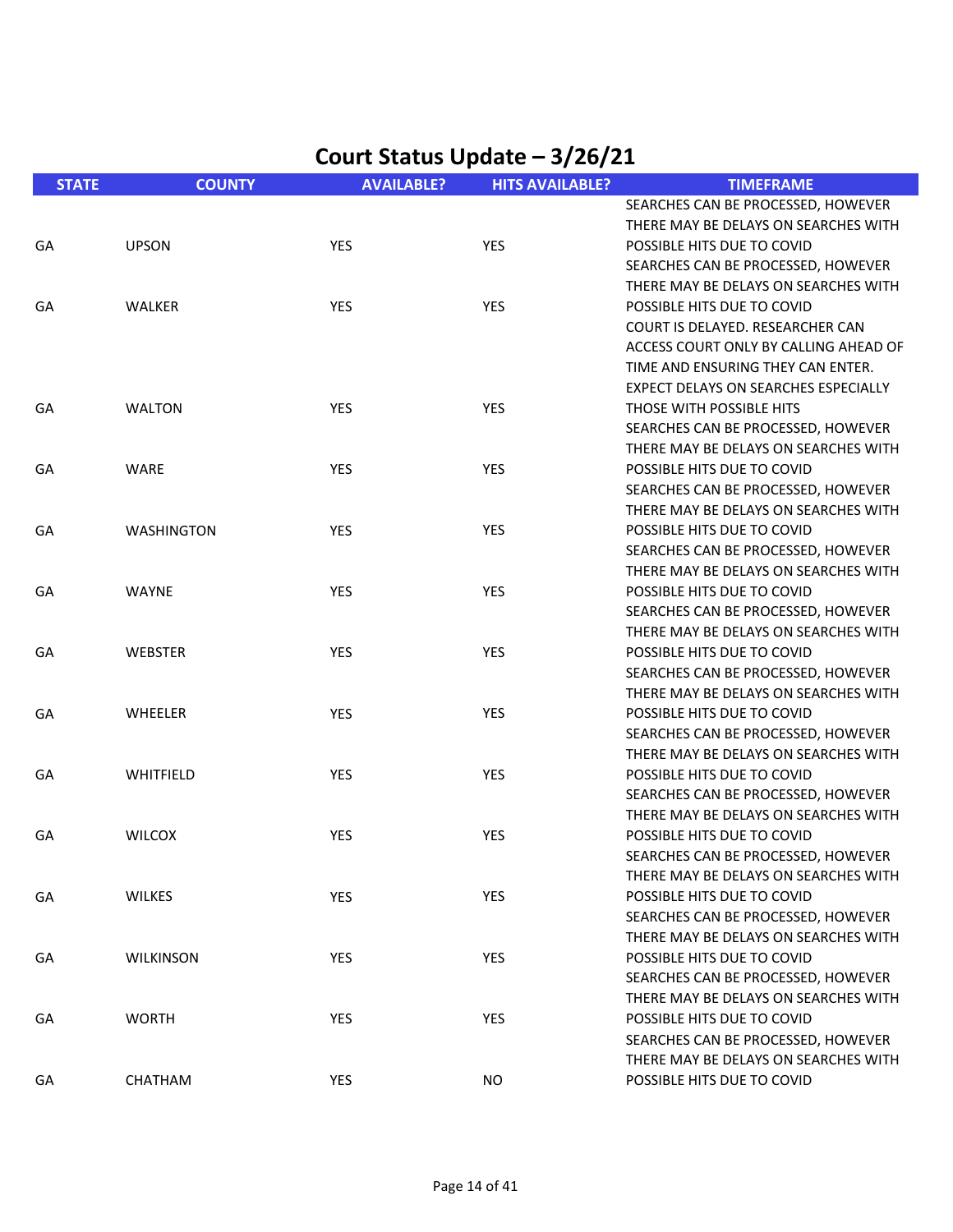| <b>STATE</b> | <b>COUNTY</b>     | <b>AVAILABLE?</b> | <b>HITS AVAILABLE?</b> | <b>TIMEFRAME</b>                      |
|--------------|-------------------|-------------------|------------------------|---------------------------------------|
|              |                   |                   |                        | SEARCHES CAN BE PROCESSED, HOWEVER    |
|              |                   |                   |                        | THERE MAY BE DELAYS ON SEARCHES WITH  |
| GA           | <b>UPSON</b>      | <b>YES</b>        | <b>YES</b>             | POSSIBLE HITS DUE TO COVID            |
|              |                   |                   |                        | SEARCHES CAN BE PROCESSED, HOWEVER    |
|              |                   |                   |                        | THERE MAY BE DELAYS ON SEARCHES WITH  |
| GA           | <b>WALKER</b>     | YES               | YES                    | POSSIBLE HITS DUE TO COVID            |
|              |                   |                   |                        | COURT IS DELAYED. RESEARCHER CAN      |
|              |                   |                   |                        | ACCESS COURT ONLY BY CALLING AHEAD OF |
|              |                   |                   |                        | TIME AND ENSURING THEY CAN ENTER.     |
|              |                   |                   |                        | EXPECT DELAYS ON SEARCHES ESPECIALLY  |
| GA           | <b>WALTON</b>     | <b>YES</b>        | <b>YES</b>             | THOSE WITH POSSIBLE HITS              |
|              |                   |                   |                        | SEARCHES CAN BE PROCESSED, HOWEVER    |
|              |                   |                   |                        | THERE MAY BE DELAYS ON SEARCHES WITH  |
| GA           | <b>WARE</b>       | <b>YES</b>        | YES                    | POSSIBLE HITS DUE TO COVID            |
|              |                   |                   |                        | SEARCHES CAN BE PROCESSED, HOWEVER    |
|              |                   |                   |                        | THERE MAY BE DELAYS ON SEARCHES WITH  |
| GA           | <b>WASHINGTON</b> | YES               | YES                    | POSSIBLE HITS DUE TO COVID            |
|              |                   |                   |                        | SEARCHES CAN BE PROCESSED, HOWEVER    |
|              |                   |                   |                        | THERE MAY BE DELAYS ON SEARCHES WITH  |
| GA           | <b>WAYNE</b>      | <b>YES</b>        | YES                    | POSSIBLE HITS DUE TO COVID            |
|              |                   |                   |                        | SEARCHES CAN BE PROCESSED, HOWEVER    |
|              |                   |                   |                        | THERE MAY BE DELAYS ON SEARCHES WITH  |
| GA           | WEBSTER           | <b>YES</b>        | YES                    | POSSIBLE HITS DUE TO COVID            |
|              |                   |                   |                        | SEARCHES CAN BE PROCESSED, HOWEVER    |
|              |                   |                   |                        | THERE MAY BE DELAYS ON SEARCHES WITH  |
| GA           | WHEELER           | <b>YES</b>        | YES                    | POSSIBLE HITS DUE TO COVID            |
|              |                   |                   |                        | SEARCHES CAN BE PROCESSED, HOWEVER    |
|              |                   |                   |                        | THERE MAY BE DELAYS ON SEARCHES WITH  |
| GA           | WHITFIELD         | <b>YES</b>        | YES                    | POSSIBLE HITS DUE TO COVID            |
|              |                   |                   |                        | SEARCHES CAN BE PROCESSED, HOWEVER    |
|              |                   |                   |                        | THERE MAY BE DELAYS ON SEARCHES WITH  |
| GA           | <b>WILCOX</b>     | <b>YES</b>        | YES                    | POSSIBLE HITS DUE TO COVID            |
|              |                   |                   |                        | SEARCHES CAN BE PROCESSED, HOWEVER    |
|              |                   |                   |                        | THERE MAY BE DELAYS ON SEARCHES WITH  |
| GA           | <b>WILKES</b>     | YES               | YES                    | POSSIBLE HITS DUE TO COVID            |
|              |                   |                   |                        | SEARCHES CAN BE PROCESSED, HOWEVER    |
|              |                   |                   |                        | THERE MAY BE DELAYS ON SEARCHES WITH  |
| GA           | <b>WILKINSON</b>  | <b>YES</b>        | YES                    | POSSIBLE HITS DUE TO COVID            |
|              |                   |                   |                        | SEARCHES CAN BE PROCESSED, HOWEVER    |
|              |                   |                   |                        | THERE MAY BE DELAYS ON SEARCHES WITH  |
| GА           | <b>WORTH</b>      | <b>YES</b>        | <b>YES</b>             | POSSIBLE HITS DUE TO COVID            |
|              |                   |                   |                        | SEARCHES CAN BE PROCESSED, HOWEVER    |
|              |                   |                   |                        | THERE MAY BE DELAYS ON SEARCHES WITH  |
| GA           | CHATHAM           | YES               | <b>NO</b>              | POSSIBLE HITS DUE TO COVID            |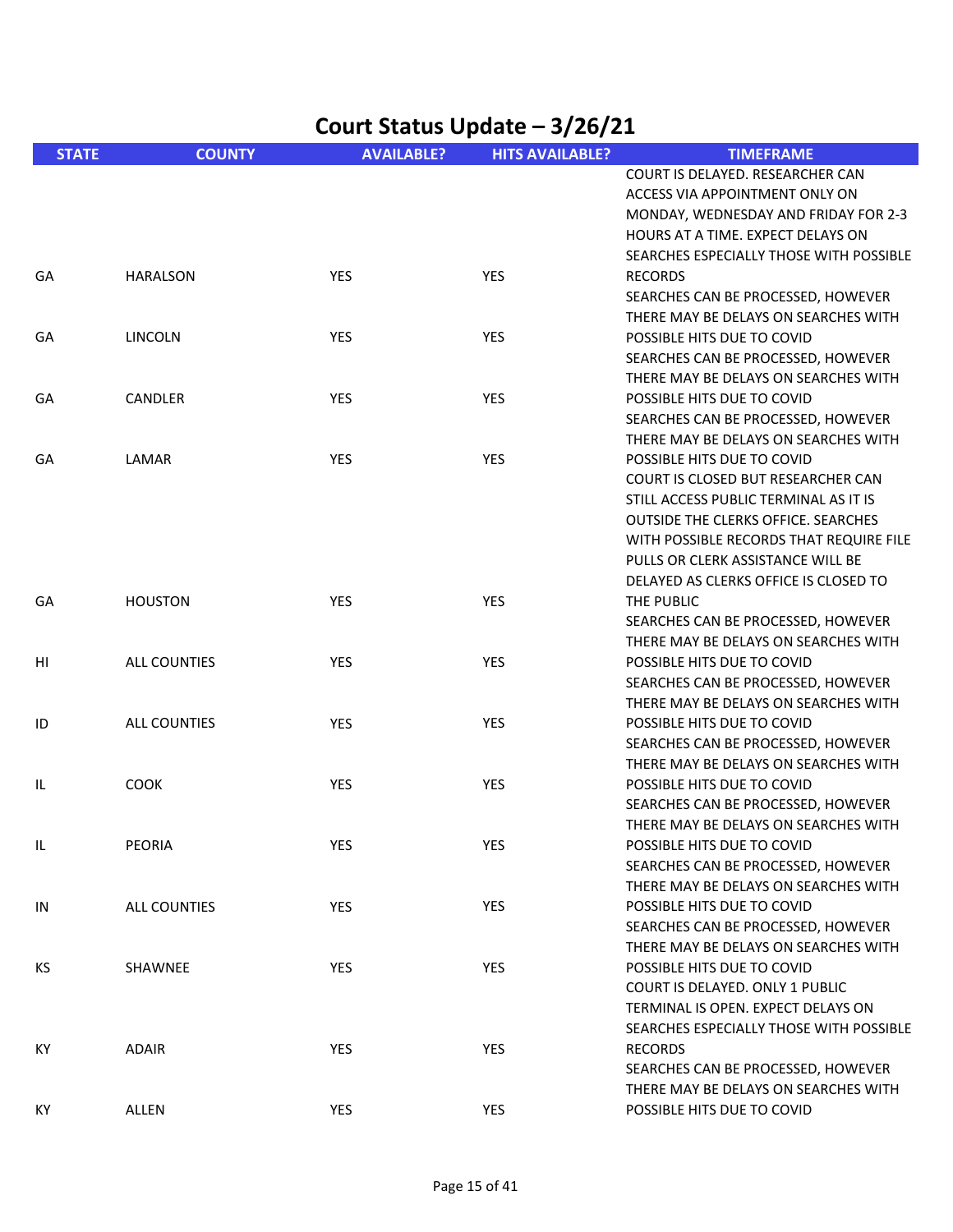| Court Status Update - 3/26/21 |                     |                   |                        |                                                                            |
|-------------------------------|---------------------|-------------------|------------------------|----------------------------------------------------------------------------|
| <b>STATE</b>                  | <b>COUNTY</b>       | <b>AVAILABLE?</b> | <b>HITS AVAILABLE?</b> | <b>TIMEFRAME</b>                                                           |
|                               |                     |                   |                        | COURT IS DELAYED. RESEARCHER CAN                                           |
|                               |                     |                   |                        | ACCESS VIA APPOINTMENT ONLY ON                                             |
|                               |                     |                   |                        | MONDAY, WEDNESDAY AND FRIDAY FOR 2-3<br>HOURS AT A TIME. EXPECT DELAYS ON  |
|                               |                     |                   |                        | SEARCHES ESPECIALLY THOSE WITH POSSIBLE                                    |
| GA                            | <b>HARALSON</b>     | YES               | <b>YES</b>             | <b>RECORDS</b>                                                             |
|                               |                     |                   |                        | SEARCHES CAN BE PROCESSED, HOWEVER                                         |
|                               |                     |                   |                        | THERE MAY BE DELAYS ON SEARCHES WITH                                       |
| GA                            | <b>LINCOLN</b>      | YES               | <b>YES</b>             | POSSIBLE HITS DUE TO COVID                                                 |
|                               |                     |                   |                        | SEARCHES CAN BE PROCESSED, HOWEVER                                         |
|                               |                     |                   |                        | THERE MAY BE DELAYS ON SEARCHES WITH                                       |
| GA                            | CANDLER             | <b>YES</b>        | <b>YES</b>             | POSSIBLE HITS DUE TO COVID                                                 |
|                               |                     |                   |                        | SEARCHES CAN BE PROCESSED, HOWEVER                                         |
|                               |                     |                   |                        | THERE MAY BE DELAYS ON SEARCHES WITH                                       |
| GA                            | LAMAR               | YES               | <b>YES</b>             | POSSIBLE HITS DUE TO COVID                                                 |
|                               |                     |                   |                        | COURT IS CLOSED BUT RESEARCHER CAN                                         |
|                               |                     |                   |                        | STILL ACCESS PUBLIC TERMINAL AS IT IS                                      |
|                               |                     |                   |                        | OUTSIDE THE CLERKS OFFICE. SEARCHES                                        |
|                               |                     |                   |                        | WITH POSSIBLE RECORDS THAT REQUIRE FILE                                    |
|                               |                     |                   |                        | PULLS OR CLERK ASSISTANCE WILL BE                                          |
|                               |                     |                   |                        | DELAYED AS CLERKS OFFICE IS CLOSED TO                                      |
| GA                            | <b>HOUSTON</b>      | <b>YES</b>        | <b>YES</b>             | THE PUBLIC                                                                 |
|                               |                     |                   |                        | SEARCHES CAN BE PROCESSED, HOWEVER                                         |
|                               |                     |                   |                        | THERE MAY BE DELAYS ON SEARCHES WITH                                       |
| HI                            | <b>ALL COUNTIES</b> | YES               | YES                    | POSSIBLE HITS DUE TO COVID                                                 |
|                               |                     |                   |                        | SEARCHES CAN BE PROCESSED, HOWEVER                                         |
|                               |                     |                   |                        | THERE MAY BE DELAYS ON SEARCHES WITH                                       |
| ID                            | ALL COUNTIES        | YES               | <b>YES</b>             | POSSIBLE HITS DUE TO COVID                                                 |
|                               |                     |                   |                        | SEARCHES CAN BE PROCESSED, HOWEVER                                         |
|                               |                     |                   |                        | THERE MAY BE DELAYS ON SEARCHES WITH                                       |
| IL                            | <b>COOK</b>         | <b>YES</b>        | <b>YES</b>             | POSSIBLE HITS DUE TO COVID                                                 |
|                               |                     |                   |                        | SEARCHES CAN BE PROCESSED, HOWEVER                                         |
|                               |                     |                   |                        | THERE MAY BE DELAYS ON SEARCHES WITH                                       |
| IL.                           | <b>PEORIA</b>       | YES               | YES                    | POSSIBLE HITS DUE TO COVID                                                 |
|                               |                     |                   |                        | SEARCHES CAN BE PROCESSED, HOWEVER                                         |
|                               |                     |                   |                        | THERE MAY BE DELAYS ON SEARCHES WITH                                       |
| IN                            | ALL COUNTIES        | <b>YES</b>        | <b>YES</b>             | POSSIBLE HITS DUE TO COVID                                                 |
|                               |                     |                   |                        | SEARCHES CAN BE PROCESSED, HOWEVER<br>THERE MAY BE DELAYS ON SEARCHES WITH |
| KS                            | SHAWNEE             | <b>YES</b>        | YES                    | POSSIBLE HITS DUE TO COVID                                                 |
|                               |                     |                   |                        | <b>COURT IS DELAYED. ONLY 1 PUBLIC</b>                                     |
|                               |                     |                   |                        | TERMINAL IS OPEN. EXPECT DELAYS ON                                         |
|                               |                     |                   |                        | SEARCHES ESPECIALLY THOSE WITH POSSIBLE                                    |
| КY                            | <b>ADAIR</b>        | YES               | YES                    | <b>RECORDS</b>                                                             |
|                               |                     |                   |                        | SEARCHES CAN BE PROCESSED, HOWEVER                                         |
|                               |                     |                   |                        | THERE MAY BE DELAYS ON SEARCHES WITH                                       |
| KY                            | ALLEN               | YES               | YES                    | POSSIBLE HITS DUE TO COVID                                                 |
|                               |                     |                   |                        |                                                                            |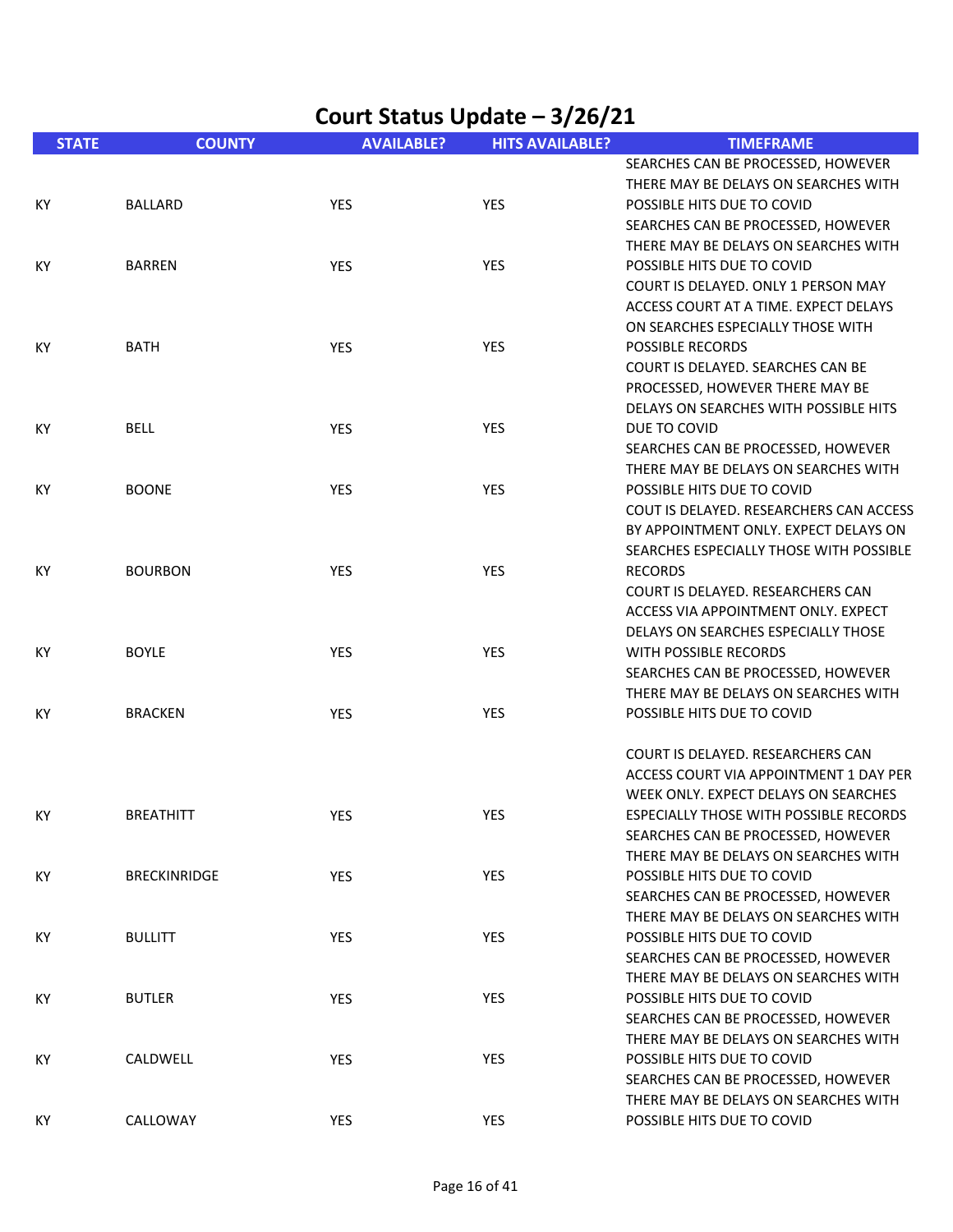| <b>STATE</b> | <b>COUNTY</b>       | <b>AVAILABLE?</b> | <b>HITS AVAILABLE?</b> | <b>TIMEFRAME</b>                        |
|--------------|---------------------|-------------------|------------------------|-----------------------------------------|
|              |                     |                   |                        | SEARCHES CAN BE PROCESSED, HOWEVER      |
|              |                     |                   |                        | THERE MAY BE DELAYS ON SEARCHES WITH    |
| KY           | <b>BALLARD</b>      | YES               | <b>YES</b>             | POSSIBLE HITS DUE TO COVID              |
|              |                     |                   |                        | SEARCHES CAN BE PROCESSED, HOWEVER      |
|              |                     |                   |                        | THERE MAY BE DELAYS ON SEARCHES WITH    |
| KY           | <b>BARREN</b>       | <b>YES</b>        | <b>YES</b>             | POSSIBLE HITS DUE TO COVID              |
|              |                     |                   |                        | COURT IS DELAYED, ONLY 1 PERSON MAY     |
|              |                     |                   |                        | ACCESS COURT AT A TIME. EXPECT DELAYS   |
|              |                     |                   |                        | ON SEARCHES ESPECIALLY THOSE WITH       |
| KY           | <b>BATH</b>         | <b>YES</b>        | <b>YES</b>             | <b>POSSIBLE RECORDS</b>                 |
|              |                     |                   |                        | COURT IS DELAYED. SEARCHES CAN BE       |
|              |                     |                   |                        | PROCESSED, HOWEVER THERE MAY BE         |
|              |                     |                   |                        | DELAYS ON SEARCHES WITH POSSIBLE HITS   |
| KY           | <b>BELL</b>         | YES               | <b>YES</b>             | DUE TO COVID                            |
|              |                     |                   |                        | SEARCHES CAN BE PROCESSED, HOWEVER      |
|              |                     |                   |                        | THERE MAY BE DELAYS ON SEARCHES WITH    |
| KY           | <b>BOONE</b>        | <b>YES</b>        | <b>YES</b>             | POSSIBLE HITS DUE TO COVID              |
|              |                     |                   |                        | COUT IS DELAYED. RESEARCHERS CAN ACCESS |
|              |                     |                   |                        | BY APPOINTMENT ONLY. EXPECT DELAYS ON   |
|              |                     |                   |                        | SEARCHES ESPECIALLY THOSE WITH POSSIBLE |
| КY           | <b>BOURBON</b>      | <b>YES</b>        | <b>YES</b>             | <b>RECORDS</b>                          |
|              |                     |                   |                        | COURT IS DELAYED. RESEARCHERS CAN       |
|              |                     |                   |                        | ACCESS VIA APPOINTMENT ONLY. EXPECT     |
|              |                     |                   |                        | DELAYS ON SEARCHES ESPECIALLY THOSE     |
| ΚY           | <b>BOYLE</b>        | YES               | <b>YES</b>             | WITH POSSIBLE RECORDS                   |
|              |                     |                   |                        | SEARCHES CAN BE PROCESSED, HOWEVER      |
|              |                     |                   |                        | THERE MAY BE DELAYS ON SEARCHES WITH    |
| KY.          | <b>BRACKEN</b>      | <b>YES</b>        | <b>YES</b>             | POSSIBLE HITS DUE TO COVID              |
|              |                     |                   |                        |                                         |
|              |                     |                   |                        | COURT IS DELAYED. RESEARCHERS CAN       |
|              |                     |                   |                        | ACCESS COURT VIA APPOINTMENT 1 DAY PER  |
|              |                     |                   |                        | WEEK ONLY. EXPECT DELAYS ON SEARCHES    |
| KY.          | <b>BREATHITT</b>    | <b>YES</b>        | YES                    | ESPECIALLY THOSE WITH POSSIBLE RECORDS  |
|              |                     |                   |                        | SEARCHES CAN BE PROCESSED, HOWEVER      |
|              |                     |                   |                        | THERE MAY BE DELAYS ON SEARCHES WITH    |
| КY           | <b>BRECKINRIDGE</b> | YES               | YES                    | POSSIBLE HITS DUE TO COVID              |
|              |                     |                   |                        | SEARCHES CAN BE PROCESSED, HOWEVER      |
|              |                     |                   |                        | THERE MAY BE DELAYS ON SEARCHES WITH    |
| KY           | <b>BULLITT</b>      | YES               | YES                    | POSSIBLE HITS DUE TO COVID              |
|              |                     |                   |                        | SEARCHES CAN BE PROCESSED, HOWEVER      |
|              |                     |                   |                        | THERE MAY BE DELAYS ON SEARCHES WITH    |
| КY           | <b>BUTLER</b>       | YES               | YES                    | POSSIBLE HITS DUE TO COVID              |
|              |                     |                   |                        | SEARCHES CAN BE PROCESSED, HOWEVER      |
|              |                     |                   |                        | THERE MAY BE DELAYS ON SEARCHES WITH    |
| КY           | CALDWELL            | <b>YES</b>        | YES                    | POSSIBLE HITS DUE TO COVID              |
|              |                     |                   |                        | SEARCHES CAN BE PROCESSED, HOWEVER      |
|              |                     |                   |                        | THERE MAY BE DELAYS ON SEARCHES WITH    |
| КY           | CALLOWAY            | YES               | YES                    | POSSIBLE HITS DUE TO COVID              |
|              |                     |                   |                        |                                         |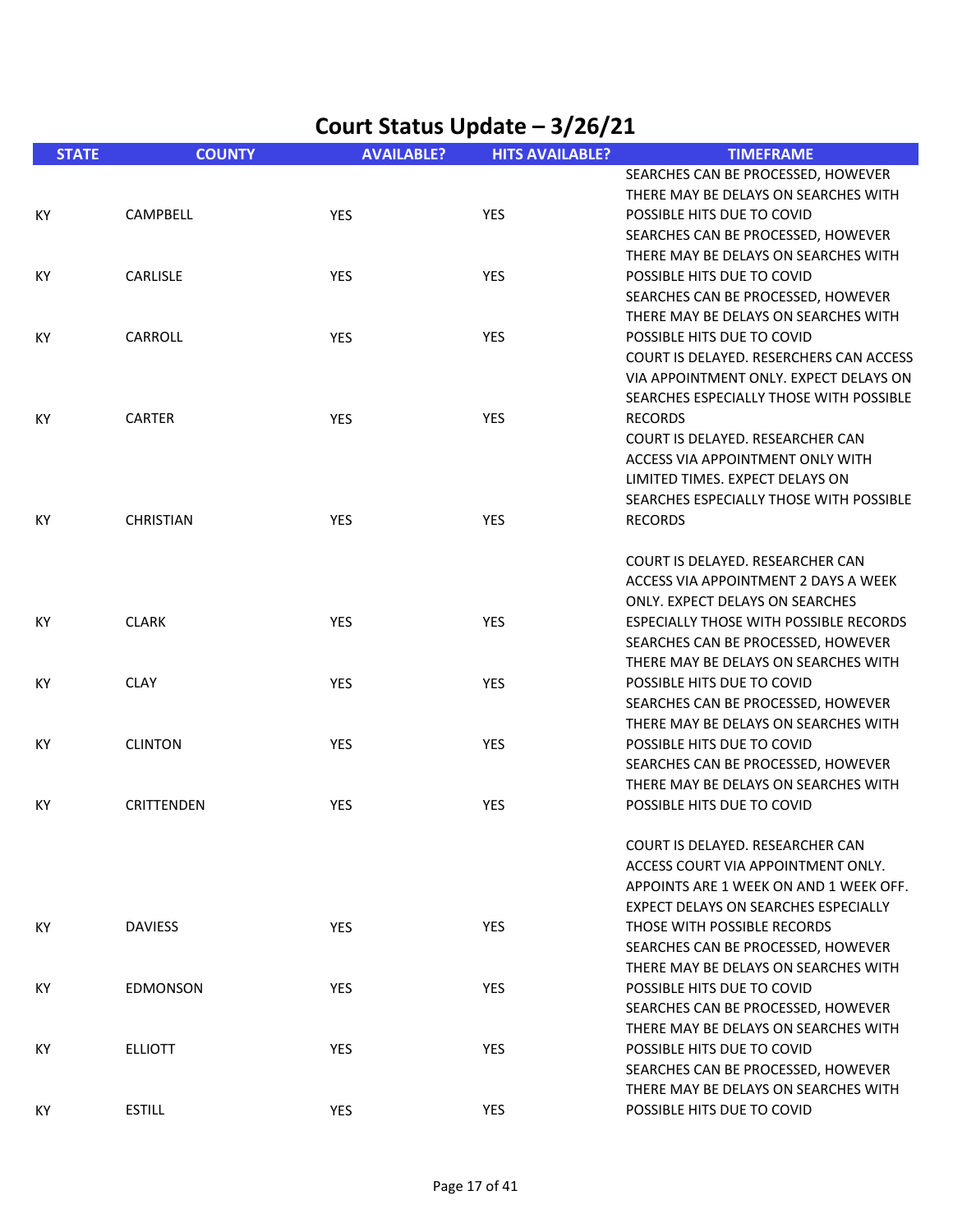| <b>STATE</b> | <b>COUNTY</b>     | <b>AVAILABLE?</b> | <b>HITS AVAILABLE?</b> | <b>TIMEFRAME</b>                        |
|--------------|-------------------|-------------------|------------------------|-----------------------------------------|
|              |                   |                   |                        | SEARCHES CAN BE PROCESSED, HOWEVER      |
|              |                   |                   |                        | THERE MAY BE DELAYS ON SEARCHES WITH    |
| KY.          | CAMPBELL          | <b>YES</b>        | <b>YES</b>             | POSSIBLE HITS DUE TO COVID              |
|              |                   |                   |                        | SEARCHES CAN BE PROCESSED, HOWEVER      |
|              |                   |                   |                        | THERE MAY BE DELAYS ON SEARCHES WITH    |
| KY.          | CARLISLE          | <b>YES</b>        | <b>YES</b>             | POSSIBLE HITS DUE TO COVID              |
|              |                   |                   |                        | SEARCHES CAN BE PROCESSED, HOWEVER      |
|              |                   |                   |                        | THERE MAY BE DELAYS ON SEARCHES WITH    |
| KY.          | CARROLL           | YES               | <b>YES</b>             | POSSIBLE HITS DUE TO COVID              |
|              |                   |                   |                        | COURT IS DELAYED. RESERCHERS CAN ACCESS |
|              |                   |                   |                        | VIA APPOINTMENT ONLY. EXPECT DELAYS ON  |
|              |                   |                   |                        | SEARCHES ESPECIALLY THOSE WITH POSSIBLE |
| KY           | <b>CARTER</b>     | <b>YES</b>        | <b>YES</b>             | <b>RECORDS</b>                          |
|              |                   |                   |                        | COURT IS DELAYED. RESEARCHER CAN        |
|              |                   |                   |                        | ACCESS VIA APPOINTMENT ONLY WITH        |
|              |                   |                   |                        | LIMITED TIMES. EXPECT DELAYS ON         |
|              |                   |                   |                        | SEARCHES ESPECIALLY THOSE WITH POSSIBLE |
| KY           | <b>CHRISTIAN</b>  | YES               | <b>YES</b>             | <b>RECORDS</b>                          |
|              |                   |                   |                        |                                         |
|              |                   |                   |                        | COURT IS DELAYED. RESEARCHER CAN        |
|              |                   |                   |                        | ACCESS VIA APPOINTMENT 2 DAYS A WEEK    |
|              |                   |                   |                        | ONLY. EXPECT DELAYS ON SEARCHES         |
| ΚY           | <b>CLARK</b>      | YES               | <b>YES</b>             | ESPECIALLY THOSE WITH POSSIBLE RECORDS  |
|              |                   |                   |                        | SEARCHES CAN BE PROCESSED, HOWEVER      |
|              |                   |                   |                        | THERE MAY BE DELAYS ON SEARCHES WITH    |
| KY           | <b>CLAY</b>       | <b>YES</b>        | <b>YES</b>             | POSSIBLE HITS DUE TO COVID              |
|              |                   |                   |                        | SEARCHES CAN BE PROCESSED, HOWEVER      |
|              |                   |                   |                        | THERE MAY BE DELAYS ON SEARCHES WITH    |
| KY           | <b>CLINTON</b>    | YES               | YES                    | POSSIBLE HITS DUE TO COVID              |
|              |                   |                   |                        | SEARCHES CAN BE PROCESSED, HOWEVER      |
|              |                   |                   |                        | THERE MAY BE DELAYS ON SEARCHES WITH    |
| КY           | <b>CRITTENDEN</b> | <b>YES</b>        | YES                    | POSSIBLE HITS DUE TO COVID              |
|              |                   |                   |                        | COURT IS DELAYED. RESEARCHER CAN        |
|              |                   |                   |                        | ACCESS COURT VIA APPOINTMENT ONLY.      |
|              |                   |                   |                        | APPOINTS ARE 1 WEEK ON AND 1 WEEK OFF.  |
|              |                   |                   |                        | EXPECT DELAYS ON SEARCHES ESPECIALLY    |
| ΚY           | <b>DAVIESS</b>    | YES               | <b>YES</b>             | THOSE WITH POSSIBLE RECORDS             |
|              |                   |                   |                        | SEARCHES CAN BE PROCESSED, HOWEVER      |
|              |                   |                   |                        | THERE MAY BE DELAYS ON SEARCHES WITH    |
| КY           | <b>EDMONSON</b>   | <b>YES</b>        | YES.                   | POSSIBLE HITS DUE TO COVID              |
|              |                   |                   |                        | SEARCHES CAN BE PROCESSED, HOWEVER      |
|              |                   |                   |                        | THERE MAY BE DELAYS ON SEARCHES WITH    |
| KY           | <b>ELLIOTT</b>    | YES               | YES.                   | POSSIBLE HITS DUE TO COVID              |
|              |                   |                   |                        | SEARCHES CAN BE PROCESSED, HOWEVER      |
|              |                   |                   |                        | THERE MAY BE DELAYS ON SEARCHES WITH    |
| KY           | <b>ESTILL</b>     | YES               | YES                    | POSSIBLE HITS DUE TO COVID              |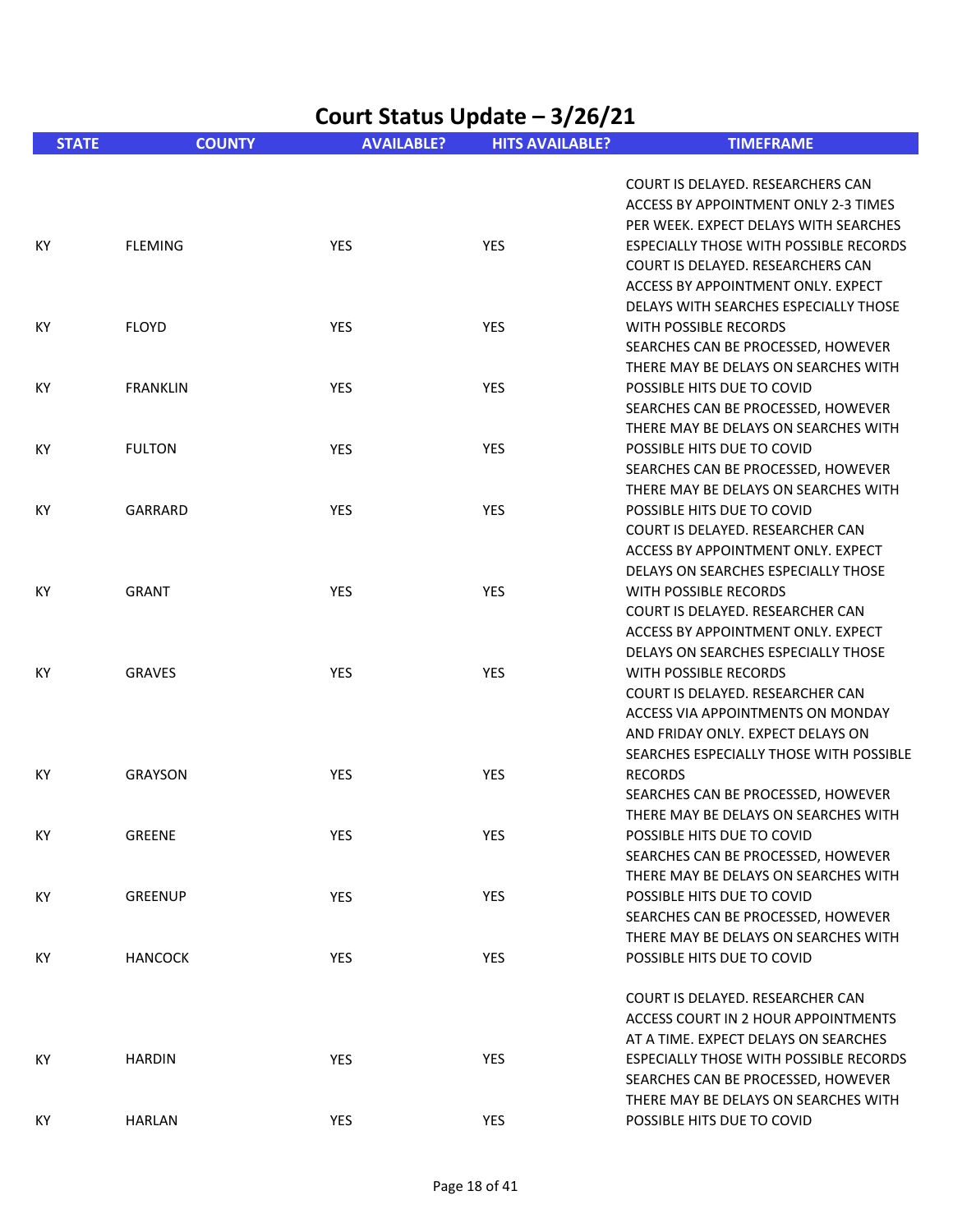| Court Status Update - 3/26/21 |                 |                   |                        |                                                                                                                                                                                                                                         |
|-------------------------------|-----------------|-------------------|------------------------|-----------------------------------------------------------------------------------------------------------------------------------------------------------------------------------------------------------------------------------------|
| <b>STATE</b>                  | <b>COUNTY</b>   | <b>AVAILABLE?</b> | <b>HITS AVAILABLE?</b> | <b>TIMEFRAME</b>                                                                                                                                                                                                                        |
| KY.                           | <b>FLEMING</b>  | <b>YES</b>        | <b>YES</b>             | COURT IS DELAYED. RESEARCHERS CAN<br>ACCESS BY APPOINTMENT ONLY 2-3 TIMES<br>PER WEEK. EXPECT DELAYS WITH SEARCHES<br>ESPECIALLY THOSE WITH POSSIBLE RECORDS<br>COURT IS DELAYED. RESEARCHERS CAN<br>ACCESS BY APPOINTMENT ONLY. EXPECT |
| KY.                           | <b>FLOYD</b>    | <b>YES</b>        | <b>YES</b>             | DELAYS WITH SEARCHES ESPECIALLY THOSE<br>WITH POSSIBLE RECORDS<br>SEARCHES CAN BE PROCESSED, HOWEVER<br>THERE MAY BE DELAYS ON SEARCHES WITH                                                                                            |
| KY                            | <b>FRANKLIN</b> | <b>YES</b>        | <b>YES</b>             | POSSIBLE HITS DUE TO COVID<br>SEARCHES CAN BE PROCESSED, HOWEVER<br>THERE MAY BE DELAYS ON SEARCHES WITH                                                                                                                                |
| KY.                           | <b>FULTON</b>   | <b>YES</b>        | <b>YES</b>             | POSSIBLE HITS DUE TO COVID<br>SEARCHES CAN BE PROCESSED, HOWEVER<br>THERE MAY BE DELAYS ON SEARCHES WITH                                                                                                                                |
| KY.                           | GARRARD         | <b>YES</b>        | <b>YES</b>             | POSSIBLE HITS DUE TO COVID<br>COURT IS DELAYED. RESEARCHER CAN<br>ACCESS BY APPOINTMENT ONLY. EXPECT<br>DELAYS ON SEARCHES ESPECIALLY THOSE                                                                                             |
| KY.                           | <b>GRANT</b>    | <b>YES</b>        | <b>YES</b>             | WITH POSSIBLE RECORDS<br>COURT IS DELAYED. RESEARCHER CAN<br>ACCESS BY APPOINTMENT ONLY. EXPECT<br>DELAYS ON SEARCHES ESPECIALLY THOSE                                                                                                  |
| КY                            | <b>GRAVES</b>   | <b>YES</b>        | <b>YES</b>             | WITH POSSIBLE RECORDS<br>COURT IS DELAYED. RESEARCHER CAN<br>ACCESS VIA APPOINTMENTS ON MONDAY<br>AND FRIDAY ONLY. EXPECT DELAYS ON<br>SEARCHES ESPECIALLY THOSE WITH POSSIBLE                                                          |
| KY.                           | <b>GRAYSON</b>  | YES               | <b>YES</b>             | <b>RECORDS</b><br>SEARCHES CAN BE PROCESSED, HOWEVER<br>THERE MAY BE DELAYS ON SEARCHES WITH                                                                                                                                            |
| KY                            | <b>GREENE</b>   | YES               | <b>YES</b>             | POSSIBLE HITS DUE TO COVID<br>SEARCHES CAN BE PROCESSED, HOWEVER<br>THERE MAY BE DELAYS ON SEARCHES WITH                                                                                                                                |
| KY                            | <b>GREENUP</b>  | <b>YES</b>        | <b>YES</b>             | POSSIBLE HITS DUE TO COVID<br>SEARCHES CAN BE PROCESSED, HOWEVER<br>THERE MAY BE DELAYS ON SEARCHES WITH                                                                                                                                |
| KY                            | <b>HANCOCK</b>  | YES               | <b>YES</b>             | POSSIBLE HITS DUE TO COVID<br>COURT IS DELAYED. RESEARCHER CAN<br>ACCESS COURT IN 2 HOUR APPOINTMENTS<br>AT A TIME. EXPECT DELAYS ON SEARCHES                                                                                           |
| KY.                           | <b>HARDIN</b>   | YES               | <b>YES</b>             | <b>ESPECIALLY THOSE WITH POSSIBLE RECORDS</b><br>SEARCHES CAN BE PROCESSED, HOWEVER<br>THERE MAY BE DELAYS ON SEARCHES WITH                                                                                                             |
| KY                            | HARLAN          | YES               | <b>YES</b>             | POSSIBLE HITS DUE TO COVID                                                                                                                                                                                                              |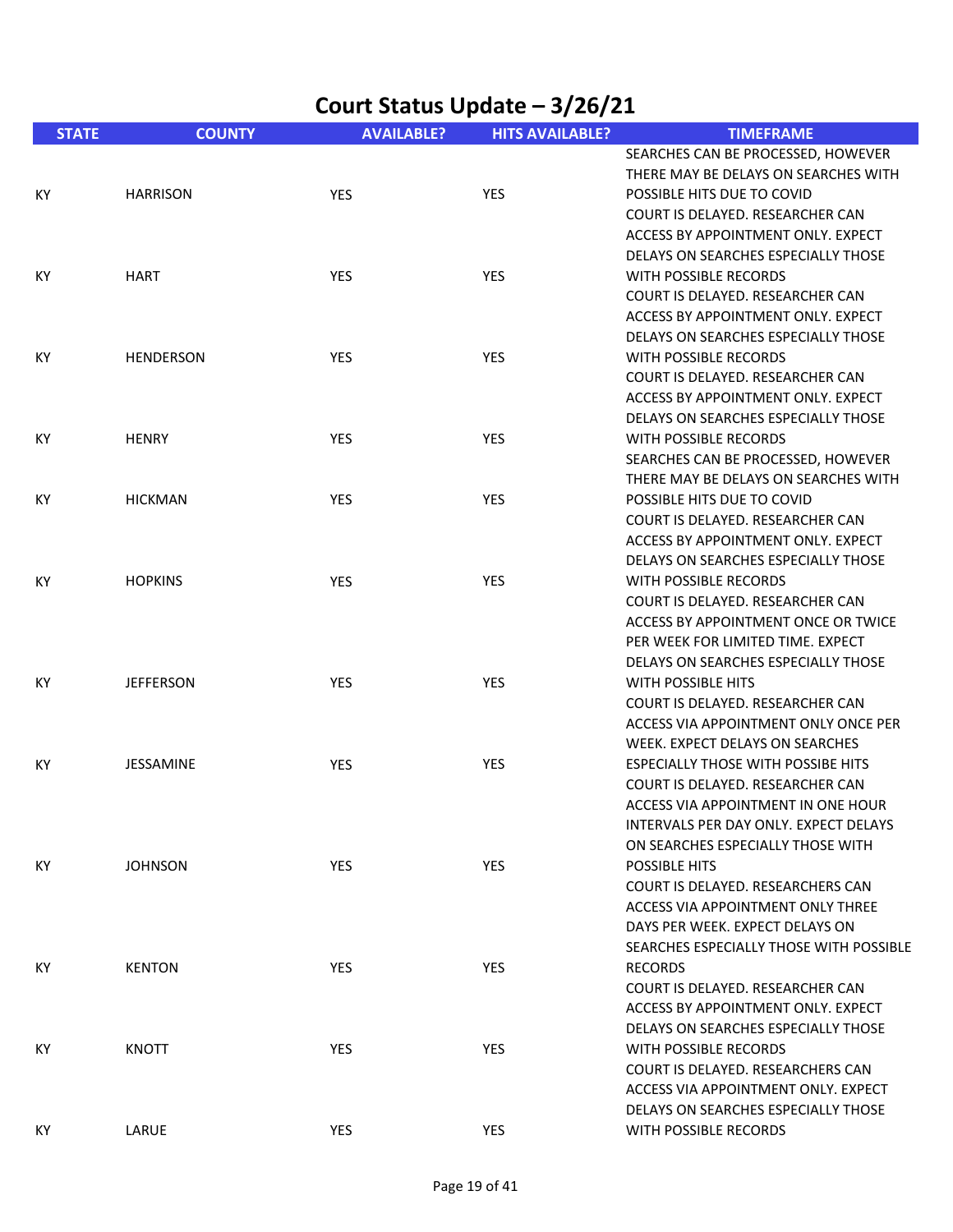|              | Court Status Update - 3/26/21 |                   |                        |                                                                                                                                                                                            |  |  |
|--------------|-------------------------------|-------------------|------------------------|--------------------------------------------------------------------------------------------------------------------------------------------------------------------------------------------|--|--|
| <b>STATE</b> | <b>COUNTY</b>                 | <b>AVAILABLE?</b> | <b>HITS AVAILABLE?</b> | <b>TIMEFRAME</b>                                                                                                                                                                           |  |  |
| КY           | <b>HARRISON</b>               | <b>YES</b>        | <b>YES</b>             | SEARCHES CAN BE PROCESSED, HOWEVER<br>THERE MAY BE DELAYS ON SEARCHES WITH<br>POSSIBLE HITS DUE TO COVID<br>COURT IS DELAYED. RESEARCHER CAN                                               |  |  |
| КY           | <b>HART</b>                   | YES               | YES                    | ACCESS BY APPOINTMENT ONLY. EXPECT<br>DELAYS ON SEARCHES ESPECIALLY THOSE<br><b>WITH POSSIBLE RECORDS</b><br>COURT IS DELAYED. RESEARCHER CAN<br>ACCESS BY APPOINTMENT ONLY. EXPECT        |  |  |
| КY           | <b>HENDERSON</b>              | <b>YES</b>        | <b>YES</b>             | DELAYS ON SEARCHES ESPECIALLY THOSE<br>WITH POSSIBLE RECORDS<br>COURT IS DELAYED. RESEARCHER CAN<br>ACCESS BY APPOINTMENT ONLY. EXPECT                                                     |  |  |
| КY           | <b>HENRY</b>                  | <b>YES</b>        | <b>YES</b>             | DELAYS ON SEARCHES ESPECIALLY THOSE<br>WITH POSSIBLE RECORDS<br>SEARCHES CAN BE PROCESSED, HOWEVER                                                                                         |  |  |
| КY           | <b>HICKMAN</b>                | YES               | <b>YES</b>             | THERE MAY BE DELAYS ON SEARCHES WITH<br>POSSIBLE HITS DUE TO COVID<br>COURT IS DELAYED. RESEARCHER CAN<br>ACCESS BY APPOINTMENT ONLY. EXPECT                                               |  |  |
| КY           | <b>HOPKINS</b>                | <b>YES</b>        | <b>YES</b>             | DELAYS ON SEARCHES ESPECIALLY THOSE<br>WITH POSSIBLE RECORDS<br>COURT IS DELAYED. RESEARCHER CAN<br>ACCESS BY APPOINTMENT ONCE OR TWICE<br>PER WEEK FOR LIMITED TIME. EXPECT               |  |  |
| КY           | <b>JEFFERSON</b>              | <b>YES</b>        | <b>YES</b>             | DELAYS ON SEARCHES ESPECIALLY THOSE<br><b>WITH POSSIBLE HITS</b><br>COURT IS DELAYED. RESEARCHER CAN<br>ACCESS VIA APPOINTMENT ONLY ONCE PER<br>WEEK. EXPECT DELAYS ON SEARCHES            |  |  |
| КY           | <b>JESSAMINE</b>              | <b>YES</b>        | <b>YES</b>             | ESPECIALLY THOSE WITH POSSIBE HITS<br>COURT IS DELAYED. RESEARCHER CAN<br>ACCESS VIA APPOINTMENT IN ONE HOUR<br>INTERVALS PER DAY ONLY. EXPECT DELAYS<br>ON SEARCHES ESPECIALLY THOSE WITH |  |  |
| KY           | <b>JOHNSON</b>                | YES               | <b>YES</b>             | POSSIBLE HITS<br>COURT IS DELAYED. RESEARCHERS CAN<br>ACCESS VIA APPOINTMENT ONLY THREE<br>DAYS PER WEEK. EXPECT DELAYS ON<br>SEARCHES ESPECIALLY THOSE WITH POSSIBLE                      |  |  |
| KY.          | <b>KENTON</b>                 | <b>YES</b>        | <b>YES</b>             | <b>RECORDS</b><br>COURT IS DELAYED. RESEARCHER CAN<br>ACCESS BY APPOINTMENT ONLY. EXPECT<br>DELAYS ON SEARCHES ESPECIALLY THOSE                                                            |  |  |
| КY           | <b>KNOTT</b>                  | <b>YES</b>        | <b>YES</b>             | WITH POSSIBLE RECORDS<br>COURT IS DELAYED. RESEARCHERS CAN<br>ACCESS VIA APPOINTMENT ONLY. EXPECT<br>DELAYS ON SEARCHES ESPECIALLY THOSE                                                   |  |  |
| KY.          | LARUE                         | YES               | <b>YES</b>             | WITH POSSIBLE RECORDS                                                                                                                                                                      |  |  |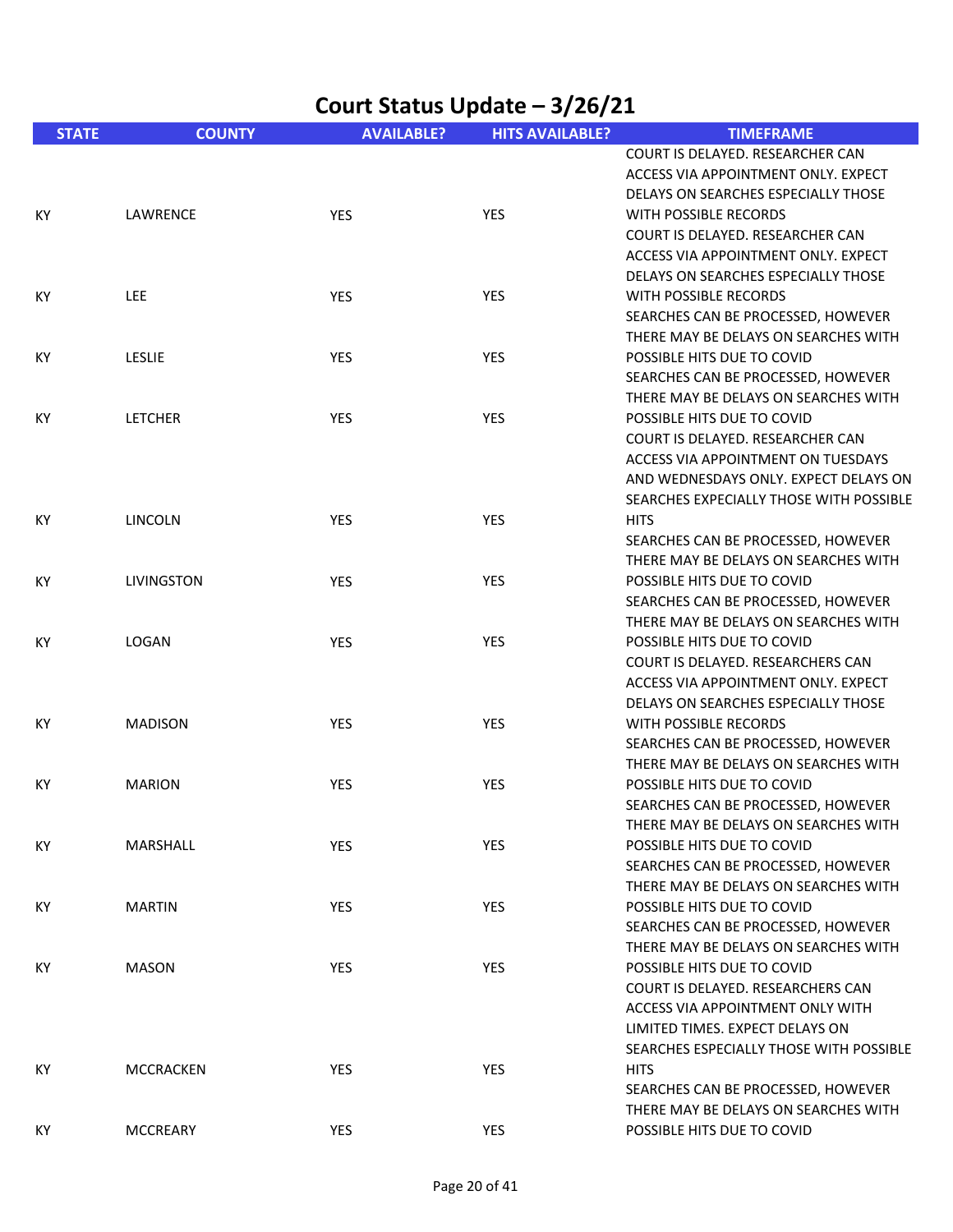| Court Status Update - 3/26/21 |                   |                   |                        |                                                                                                                                                                                          |
|-------------------------------|-------------------|-------------------|------------------------|------------------------------------------------------------------------------------------------------------------------------------------------------------------------------------------|
| <b>STATE</b>                  | <b>COUNTY</b>     | <b>AVAILABLE?</b> | <b>HITS AVAILABLE?</b> | <b>TIMEFRAME</b>                                                                                                                                                                         |
|                               |                   |                   |                        | COURT IS DELAYED. RESEARCHER CAN<br>ACCESS VIA APPOINTMENT ONLY. EXPECT<br>DELAYS ON SEARCHES ESPECIALLY THOSE                                                                           |
| КY                            | LAWRENCE          | YES               | YES                    | WITH POSSIBLE RECORDS<br>COURT IS DELAYED. RESEARCHER CAN<br>ACCESS VIA APPOINTMENT ONLY. EXPECT<br>DELAYS ON SEARCHES ESPECIALLY THOSE                                                  |
| КY                            | <b>LEE</b>        | <b>YES</b>        | <b>YES</b>             | WITH POSSIBLE RECORDS<br>SEARCHES CAN BE PROCESSED, HOWEVER<br>THERE MAY BE DELAYS ON SEARCHES WITH                                                                                      |
| KY                            | <b>LESLIE</b>     | <b>YES</b>        | <b>YES</b>             | POSSIBLE HITS DUE TO COVID<br>SEARCHES CAN BE PROCESSED, HOWEVER<br>THERE MAY BE DELAYS ON SEARCHES WITH                                                                                 |
| KY                            | <b>LETCHER</b>    | <b>YES</b>        | YES                    | POSSIBLE HITS DUE TO COVID<br>COURT IS DELAYED. RESEARCHER CAN<br>ACCESS VIA APPOINTMENT ON TUESDAYS<br>AND WEDNESDAYS ONLY. EXPECT DELAYS ON<br>SEARCHES EXPECIALLY THOSE WITH POSSIBLE |
| КY                            | <b>LINCOLN</b>    | <b>YES</b>        | <b>YES</b>             | <b>HITS</b><br>SEARCHES CAN BE PROCESSED, HOWEVER<br>THERE MAY BE DELAYS ON SEARCHES WITH                                                                                                |
| ΚY                            | <b>LIVINGSTON</b> | <b>YES</b>        | <b>YES</b>             | POSSIBLE HITS DUE TO COVID<br>SEARCHES CAN BE PROCESSED, HOWEVER<br>THERE MAY BE DELAYS ON SEARCHES WITH                                                                                 |
| КY                            | LOGAN             | YES               | <b>YES</b>             | POSSIBLE HITS DUE TO COVID<br>COURT IS DELAYED. RESEARCHERS CAN<br>ACCESS VIA APPOINTMENT ONLY. EXPECT<br>DELAYS ON SEARCHES ESPECIALLY THOSE                                            |
| КY                            | <b>MADISON</b>    | YES               | YES                    | WITH POSSIBLE RECORDS<br>SEARCHES CAN BE PROCESSED, HOWEVER<br>THERE MAY BE DELAYS ON SEARCHES WITH                                                                                      |
| KY.                           | <b>MARION</b>     | <b>YES</b>        | <b>YES</b>             | POSSIBLE HITS DUE TO COVID<br>SEARCHES CAN BE PROCESSED, HOWEVER<br>THERE MAY BE DELAYS ON SEARCHES WITH                                                                                 |
| КY                            | MARSHALL          | YES               | YES                    | POSSIBLE HITS DUE TO COVID<br>SEARCHES CAN BE PROCESSED, HOWEVER<br>THERE MAY BE DELAYS ON SEARCHES WITH                                                                                 |
| ΚY                            | <b>MARTIN</b>     | <b>YES</b>        | <b>YES</b>             | POSSIBLE HITS DUE TO COVID<br>SEARCHES CAN BE PROCESSED, HOWEVER<br>THERE MAY BE DELAYS ON SEARCHES WITH                                                                                 |
| КY                            | <b>MASON</b>      | <b>YES</b>        | YES                    | POSSIBLE HITS DUE TO COVID<br>COURT IS DELAYED. RESEARCHERS CAN<br>ACCESS VIA APPOINTMENT ONLY WITH<br>LIMITED TIMES. EXPECT DELAYS ON<br>SEARCHES ESPECIALLY THOSE WITH POSSIBLE        |
| КY                            | <b>MCCRACKEN</b>  | YES               | YES                    | <b>HITS</b><br>SEARCHES CAN BE PROCESSED, HOWEVER<br>THERE MAY BE DELAYS ON SEARCHES WITH                                                                                                |
| КY                            | <b>MCCREARY</b>   | YES               | YES                    | POSSIBLE HITS DUE TO COVID                                                                                                                                                               |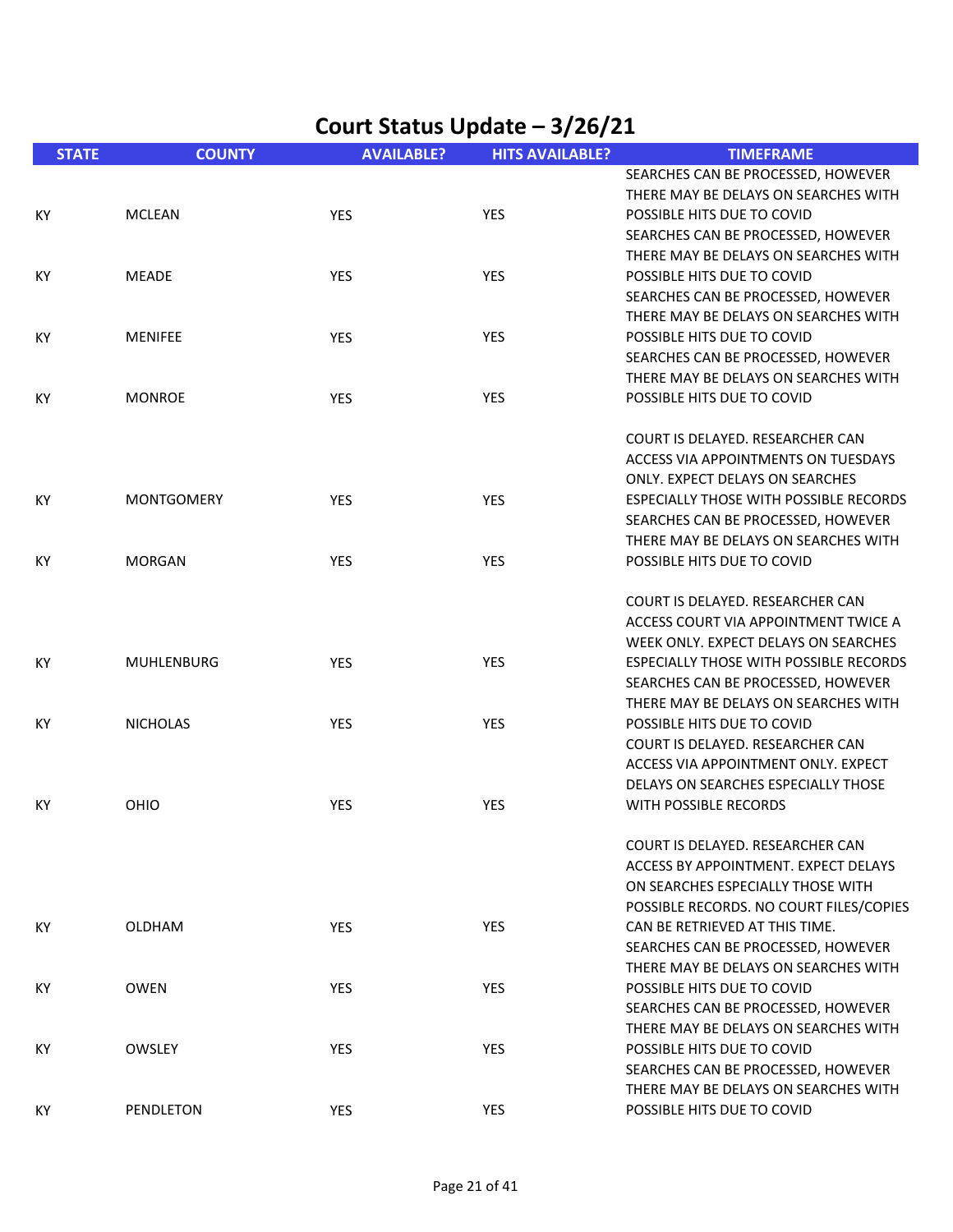| <b>STATE</b> | <b>COUNTY</b>     | <b>AVAILABLE?</b> | <b>HITS AVAILABLE?</b> | <b>TIMEFRAME</b>                                                 |
|--------------|-------------------|-------------------|------------------------|------------------------------------------------------------------|
|              |                   |                   |                        | SEARCHES CAN BE PROCESSED, HOWEVER                               |
|              |                   |                   |                        | THERE MAY BE DELAYS ON SEARCHES WITH                             |
| KY.          | <b>MCLEAN</b>     | <b>YES</b>        | <b>YES</b>             | POSSIBLE HITS DUE TO COVID                                       |
|              |                   |                   |                        | SEARCHES CAN BE PROCESSED, HOWEVER                               |
|              |                   |                   |                        | THERE MAY BE DELAYS ON SEARCHES WITH                             |
| КY           | <b>MEADE</b>      | YES               | <b>YES</b>             | POSSIBLE HITS DUE TO COVID                                       |
|              |                   |                   |                        | SEARCHES CAN BE PROCESSED, HOWEVER                               |
|              |                   |                   |                        | THERE MAY BE DELAYS ON SEARCHES WITH                             |
| KY           | <b>MENIFEE</b>    | YES               | <b>YES</b>             | POSSIBLE HITS DUE TO COVID                                       |
|              |                   |                   |                        | SEARCHES CAN BE PROCESSED, HOWEVER                               |
|              |                   |                   |                        | THERE MAY BE DELAYS ON SEARCHES WITH                             |
| KY           | <b>MONROE</b>     | YES               | <b>YES</b>             | POSSIBLE HITS DUE TO COVID                                       |
|              |                   |                   |                        |                                                                  |
|              |                   |                   |                        | COURT IS DELAYED. RESEARCHER CAN                                 |
|              |                   |                   |                        | ACCESS VIA APPOINTMENTS ON TUESDAYS                              |
|              |                   |                   |                        | ONLY. EXPECT DELAYS ON SEARCHES                                  |
| КY           | <b>MONTGOMERY</b> | <b>YES</b>        | <b>YES</b>             | ESPECIALLY THOSE WITH POSSIBLE RECORDS                           |
|              |                   |                   |                        | SEARCHES CAN BE PROCESSED, HOWEVER                               |
|              |                   |                   |                        | THERE MAY BE DELAYS ON SEARCHES WITH                             |
| KY.          | <b>MORGAN</b>     | YES               | <b>YES</b>             | POSSIBLE HITS DUE TO COVID                                       |
|              |                   |                   |                        |                                                                  |
|              |                   |                   |                        | COURT IS DELAYED. RESEARCHER CAN                                 |
|              |                   |                   |                        | ACCESS COURT VIA APPOINTMENT TWICE A                             |
|              |                   |                   |                        | WEEK ONLY. EXPECT DELAYS ON SEARCHES                             |
| KY.          | <b>MUHLENBURG</b> | <b>YES</b>        | <b>YES</b>             | ESPECIALLY THOSE WITH POSSIBLE RECORDS                           |
|              |                   |                   |                        | SEARCHES CAN BE PROCESSED, HOWEVER                               |
|              |                   |                   |                        | THERE MAY BE DELAYS ON SEARCHES WITH                             |
| КY           | <b>NICHOLAS</b>   | YES               | <b>YES</b>             | POSSIBLE HITS DUE TO COVID                                       |
|              |                   |                   |                        | COURT IS DELAYED. RESEARCHER CAN                                 |
|              |                   |                   |                        | ACCESS VIA APPOINTMENT ONLY. EXPECT                              |
|              |                   |                   |                        | DELAYS ON SEARCHES ESPECIALLY THOSE                              |
| ΚY           | OHIO              | YES               | <b>YES</b>             | WITH POSSIBLE RECORDS                                            |
|              |                   |                   |                        |                                                                  |
|              |                   |                   |                        | COURT IS DELAYED. RESEARCHER CAN                                 |
|              |                   |                   |                        | ACCESS BY APPOINTMENT. EXPECT DELAYS                             |
|              |                   |                   |                        | ON SEARCHES ESPECIALLY THOSE WITH                                |
|              |                   |                   |                        | POSSIBLE RECORDS. NO COURT FILES/COPIES                          |
| ΚY           | <b>OLDHAM</b>     | <b>YES</b>        | <b>YES</b>             | CAN BE RETRIEVED AT THIS TIME.                                   |
|              |                   |                   |                        | SEARCHES CAN BE PROCESSED, HOWEVER                               |
|              |                   |                   |                        | THERE MAY BE DELAYS ON SEARCHES WITH                             |
|              |                   |                   |                        |                                                                  |
| KY           | <b>OWEN</b>       | YES               | <b>YES</b>             | POSSIBLE HITS DUE TO COVID<br>SEARCHES CAN BE PROCESSED, HOWEVER |
|              |                   |                   |                        | THERE MAY BE DELAYS ON SEARCHES WITH                             |
|              |                   |                   |                        |                                                                  |
| КY           | OWSLEY            | YES               | <b>YES</b>             | POSSIBLE HITS DUE TO COVID                                       |
|              |                   |                   |                        | SEARCHES CAN BE PROCESSED, HOWEVER                               |
|              |                   |                   |                        | THERE MAY BE DELAYS ON SEARCHES WITH                             |
| KY           | PENDLETON         | YES               | YES                    | POSSIBLE HITS DUE TO COVID                                       |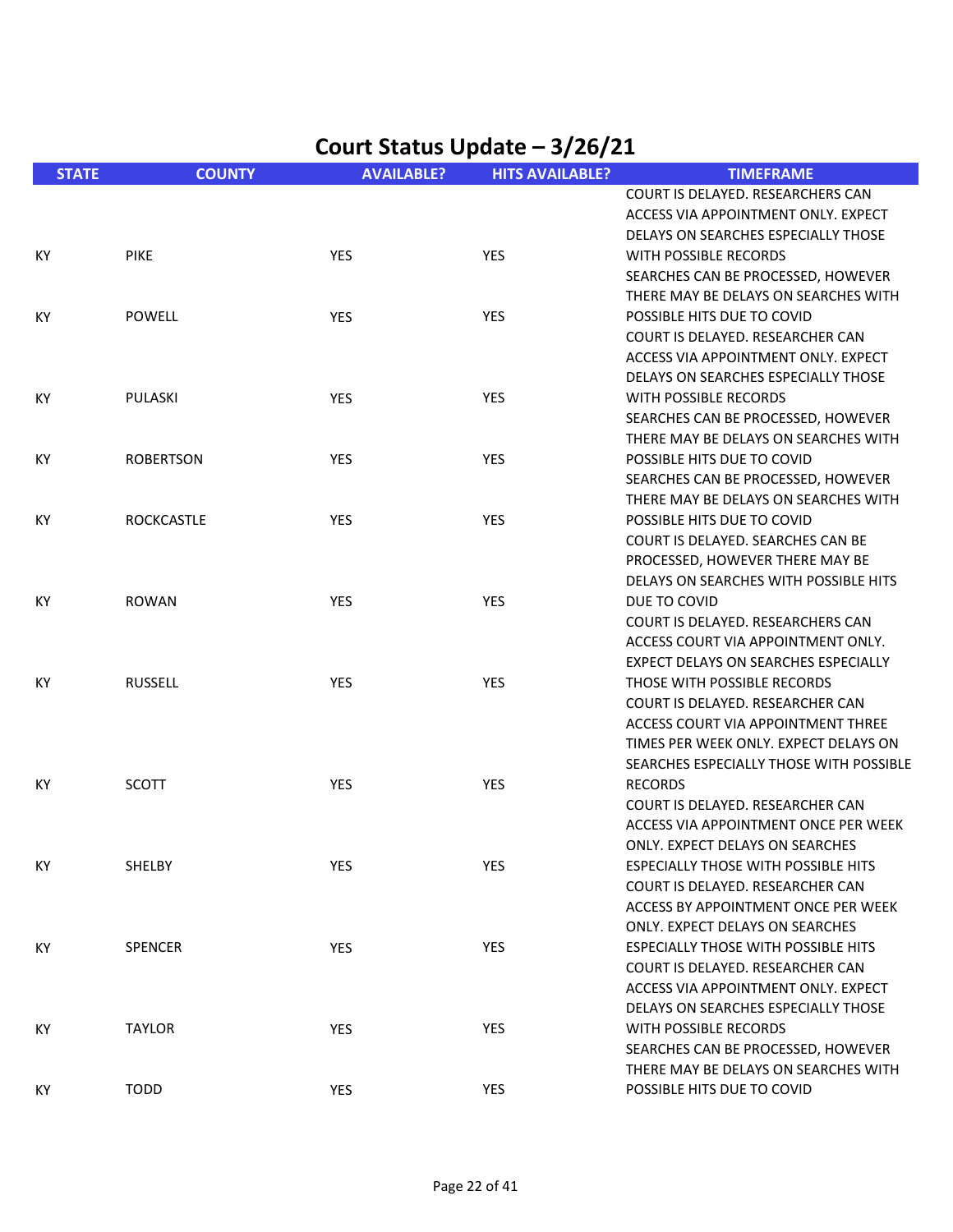|              |                   |                   | $rac{3}{2}$            |                                            |
|--------------|-------------------|-------------------|------------------------|--------------------------------------------|
| <b>STATE</b> | <b>COUNTY</b>     | <b>AVAILABLE?</b> | <b>HITS AVAILABLE?</b> | <b>TIMEFRAME</b>                           |
|              |                   |                   |                        | COURT IS DELAYED. RESEARCHERS CAN          |
|              |                   |                   |                        | ACCESS VIA APPOINTMENT ONLY. EXPECT        |
|              |                   |                   |                        | DELAYS ON SEARCHES ESPECIALLY THOSE        |
| KY           | <b>PIKE</b>       | YES               | YES                    | WITH POSSIBLE RECORDS                      |
|              |                   |                   |                        | SEARCHES CAN BE PROCESSED, HOWEVER         |
|              |                   |                   |                        | THERE MAY BE DELAYS ON SEARCHES WITH       |
| KY           | <b>POWELL</b>     | <b>YES</b>        | YES                    | POSSIBLE HITS DUE TO COVID                 |
|              |                   |                   |                        | COURT IS DELAYED. RESEARCHER CAN           |
|              |                   |                   |                        | ACCESS VIA APPOINTMENT ONLY. EXPECT        |
|              |                   |                   |                        | DELAYS ON SEARCHES ESPECIALLY THOSE        |
| KY           | PULASKI           | YES               | <b>YES</b>             | WITH POSSIBLE RECORDS                      |
|              |                   |                   |                        | SEARCHES CAN BE PROCESSED, HOWEVER         |
|              |                   |                   |                        | THERE MAY BE DELAYS ON SEARCHES WITH       |
| KY           |                   | YES               | YES                    | POSSIBLE HITS DUE TO COVID                 |
|              | <b>ROBERTSON</b>  |                   |                        |                                            |
|              |                   |                   |                        | SEARCHES CAN BE PROCESSED, HOWEVER         |
|              |                   |                   |                        | THERE MAY BE DELAYS ON SEARCHES WITH       |
| KY           | <b>ROCKCASTLE</b> | YES               | YES                    | POSSIBLE HITS DUE TO COVID                 |
|              |                   |                   |                        | COURT IS DELAYED. SEARCHES CAN BE          |
|              |                   |                   |                        | PROCESSED, HOWEVER THERE MAY BE            |
|              |                   |                   |                        | DELAYS ON SEARCHES WITH POSSIBLE HITS      |
| KY           | <b>ROWAN</b>      | YES               | <b>YES</b>             | DUE TO COVID                               |
|              |                   |                   |                        | COURT IS DELAYED. RESEARCHERS CAN          |
|              |                   |                   |                        | ACCESS COURT VIA APPOINTMENT ONLY.         |
|              |                   |                   |                        | EXPECT DELAYS ON SEARCHES ESPECIALLY       |
| KY           | <b>RUSSELL</b>    | YES               | YES                    | THOSE WITH POSSIBLE RECORDS                |
|              |                   |                   |                        | COURT IS DELAYED. RESEARCHER CAN           |
|              |                   |                   |                        | ACCESS COURT VIA APPOINTMENT THREE         |
|              |                   |                   |                        | TIMES PER WEEK ONLY. EXPECT DELAYS ON      |
|              |                   |                   |                        | SEARCHES ESPECIALLY THOSE WITH POSSIBLE    |
| КY           | <b>SCOTT</b>      | YES               | YES                    | <b>RECORDS</b>                             |
|              |                   |                   |                        | COURT IS DELAYED. RESEARCHER CAN           |
|              |                   |                   |                        | ACCESS VIA APPOINTMENT ONCE PER WEEK       |
|              |                   |                   |                        | ONLY. EXPECT DELAYS ON SEARCHES            |
| ΚY           | SHELBY            | YES               | YES                    | <b>ESPECIALLY THOSE WITH POSSIBLE HITS</b> |
|              |                   |                   |                        | COURT IS DELAYED. RESEARCHER CAN           |
|              |                   |                   |                        | ACCESS BY APPOINTMENT ONCE PER WEEK        |
|              |                   |                   |                        | ONLY. EXPECT DELAYS ON SEARCHES            |
| KY.          | <b>SPENCER</b>    | <b>YES</b>        | <b>YES</b>             | <b>ESPECIALLY THOSE WITH POSSIBLE HITS</b> |
|              |                   |                   |                        | COURT IS DELAYED. RESEARCHER CAN           |
|              |                   |                   |                        | ACCESS VIA APPOINTMENT ONLY. EXPECT        |
|              |                   |                   |                        | DELAYS ON SEARCHES ESPECIALLY THOSE        |
| KY           | <b>TAYLOR</b>     | <b>YES</b>        | YES                    | WITH POSSIBLE RECORDS                      |
|              |                   |                   |                        | SEARCHES CAN BE PROCESSED, HOWEVER         |
|              |                   |                   |                        | THERE MAY BE DELAYS ON SEARCHES WITH       |
| KY           | <b>TODD</b>       | YES               | YES                    | POSSIBLE HITS DUE TO COVID                 |
|              |                   |                   |                        |                                            |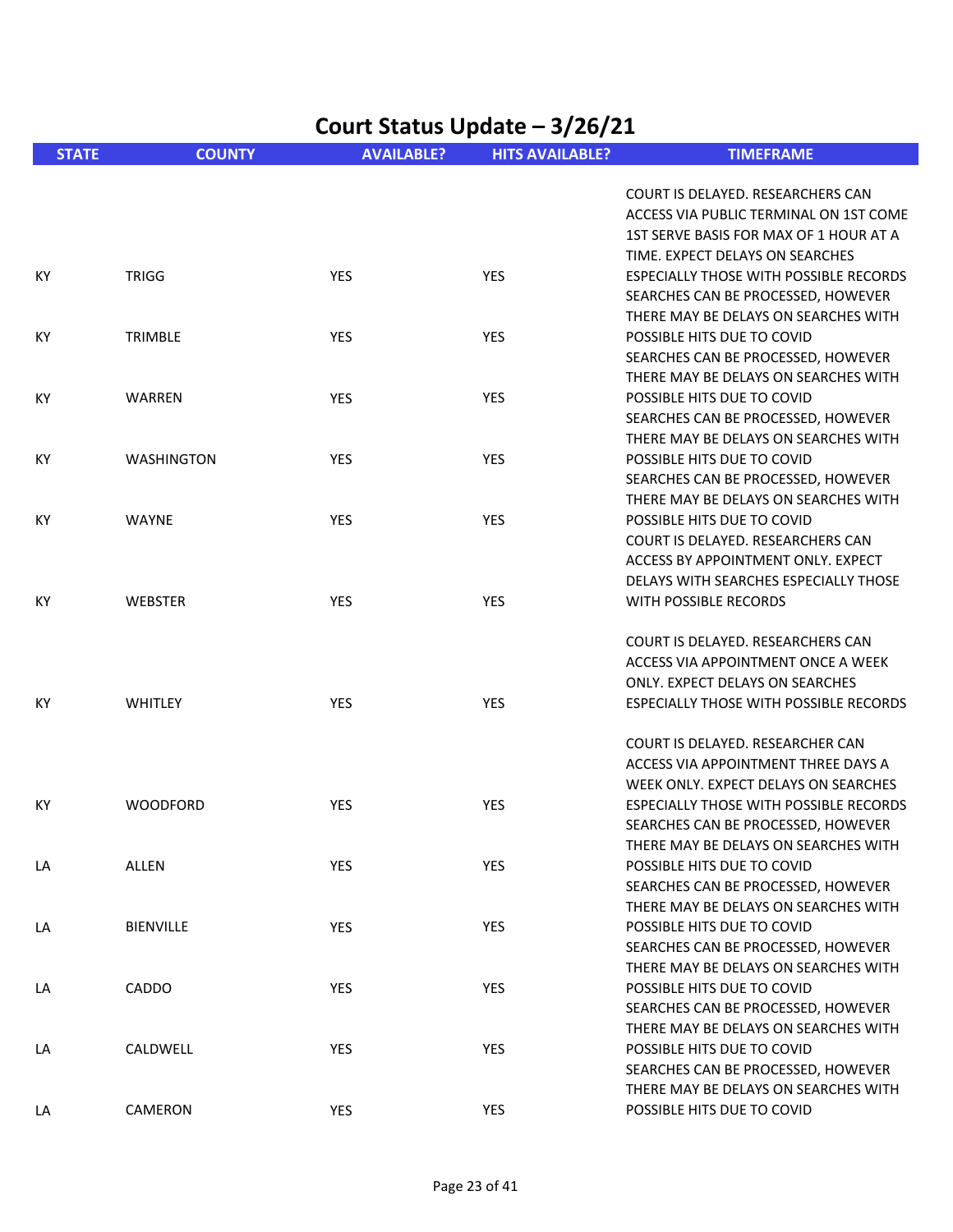| Court Status Update - 3/26/21 |                   |                   |                        |                                                                    |  |
|-------------------------------|-------------------|-------------------|------------------------|--------------------------------------------------------------------|--|
| <b>STATE</b>                  | <b>COUNTY</b>     | <b>AVAILABLE?</b> | <b>HITS AVAILABLE?</b> | <b>TIMEFRAME</b>                                                   |  |
|                               |                   |                   |                        | COURT IS DELAYED. RESEARCHERS CAN                                  |  |
|                               |                   |                   |                        | ACCESS VIA PUBLIC TERMINAL ON 1ST COME                             |  |
|                               |                   |                   |                        | 1ST SERVE BASIS FOR MAX OF 1 HOUR AT A                             |  |
|                               |                   |                   |                        | TIME. EXPECT DELAYS ON SEARCHES                                    |  |
| KY                            | <b>TRIGG</b>      | YES               | <b>YES</b>             | ESPECIALLY THOSE WITH POSSIBLE RECORDS                             |  |
|                               |                   |                   |                        | SEARCHES CAN BE PROCESSED, HOWEVER                                 |  |
|                               |                   |                   | <b>YES</b>             | THERE MAY BE DELAYS ON SEARCHES WITH<br>POSSIBLE HITS DUE TO COVID |  |
| KY                            | TRIMBLE           | <b>YES</b>        |                        | SEARCHES CAN BE PROCESSED, HOWEVER                                 |  |
|                               |                   |                   |                        | THERE MAY BE DELAYS ON SEARCHES WITH                               |  |
| KY                            | WARREN            | YES               | <b>YES</b>             | POSSIBLE HITS DUE TO COVID                                         |  |
|                               |                   |                   |                        | SEARCHES CAN BE PROCESSED, HOWEVER                                 |  |
|                               |                   |                   |                        | THERE MAY BE DELAYS ON SEARCHES WITH                               |  |
| KY                            | <b>WASHINGTON</b> | YES               | YES                    | POSSIBLE HITS DUE TO COVID                                         |  |
|                               |                   |                   |                        | SEARCHES CAN BE PROCESSED, HOWEVER                                 |  |
|                               |                   |                   |                        | THERE MAY BE DELAYS ON SEARCHES WITH                               |  |
| KY                            | <b>WAYNE</b>      | YES               | <b>YES</b>             | POSSIBLE HITS DUE TO COVID                                         |  |
|                               |                   |                   |                        | COURT IS DELAYED. RESEARCHERS CAN                                  |  |
|                               |                   |                   |                        | ACCESS BY APPOINTMENT ONLY. EXPECT                                 |  |
|                               |                   |                   |                        | DELAYS WITH SEARCHES ESPECIALLY THOSE                              |  |
| KY                            | <b>WEBSTER</b>    | YES               | <b>YES</b>             | WITH POSSIBLE RECORDS                                              |  |
|                               |                   |                   |                        | COURT IS DELAYED. RESEARCHERS CAN                                  |  |
|                               |                   |                   |                        | ACCESS VIA APPOINTMENT ONCE A WEEK                                 |  |
|                               |                   |                   |                        | ONLY. EXPECT DELAYS ON SEARCHES                                    |  |
| KY                            | <b>WHITLEY</b>    | YES               | <b>YES</b>             | ESPECIALLY THOSE WITH POSSIBLE RECORDS                             |  |
|                               |                   |                   |                        | COURT IS DELAYED. RESEARCHER CAN                                   |  |
|                               |                   |                   |                        | ACCESS VIA APPOINTMENT THREE DAYS A                                |  |
|                               |                   |                   |                        | WEEK ONLY. EXPECT DELAYS ON SEARCHES                               |  |
| КY                            | <b>WOODFORD</b>   | YES               | <b>YES</b>             | ESPECIALLY THOSE WITH POSSIBLE RECORDS                             |  |
|                               |                   |                   |                        | SEARCHES CAN BE PROCESSED, HOWEVER                                 |  |
|                               |                   |                   |                        | THERE MAY BE DELAYS ON SEARCHES WITH                               |  |
| LA                            | ALLEN             | YES               | YES                    | POSSIBLE HITS DUE TO COVID                                         |  |
|                               |                   |                   |                        | SEARCHES CAN BE PROCESSED, HOWEVER                                 |  |
|                               |                   |                   |                        | THERE MAY BE DELAYS ON SEARCHES WITH                               |  |
| LA                            | <b>BIENVILLE</b>  | <b>YES</b>        | <b>YES</b>             | POSSIBLE HITS DUE TO COVID                                         |  |
|                               |                   |                   |                        | SEARCHES CAN BE PROCESSED, HOWEVER                                 |  |
|                               |                   |                   |                        | THERE MAY BE DELAYS ON SEARCHES WITH                               |  |
| LA                            | CADDO             | YES               | <b>YES</b>             | POSSIBLE HITS DUE TO COVID                                         |  |
|                               |                   |                   |                        | SEARCHES CAN BE PROCESSED, HOWEVER                                 |  |
|                               |                   |                   |                        | THERE MAY BE DELAYS ON SEARCHES WITH                               |  |
| LA                            | CALDWELL          | <b>YES</b>        | YES                    | POSSIBLE HITS DUE TO COVID<br>SEARCHES CAN BE PROCESSED, HOWEVER   |  |
|                               |                   |                   |                        | THERE MAY BE DELAYS ON SEARCHES WITH                               |  |
| LA                            | CAMERON           | <b>YES</b>        | YES                    | POSSIBLE HITS DUE TO COVID                                         |  |
|                               |                   |                   |                        |                                                                    |  |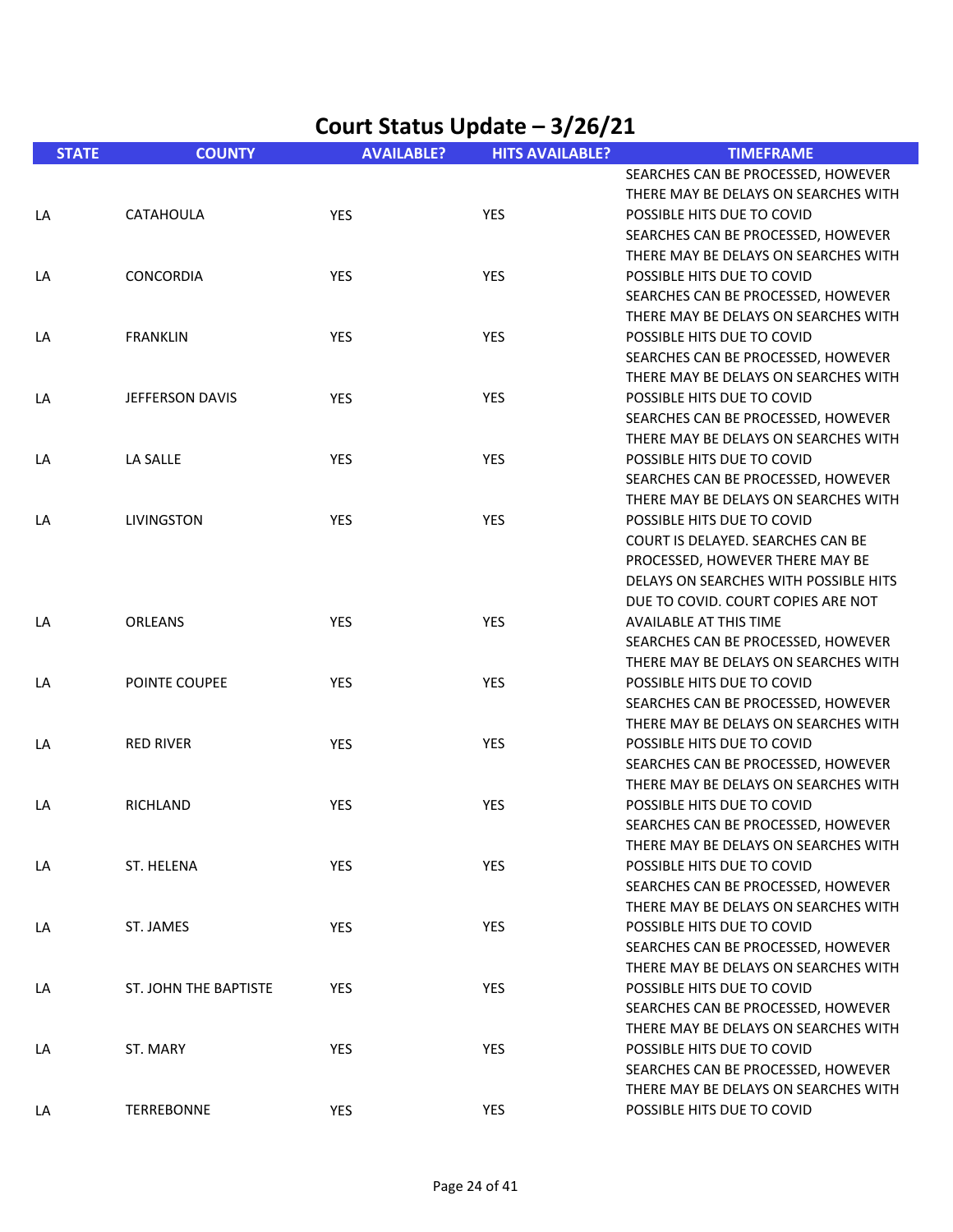| <b>STATE</b> | <b>COUNTY</b>          | <b>AVAILABLE?</b> | <b>HITS AVAILABLE?</b> | <b>TIMEFRAME</b>                      |
|--------------|------------------------|-------------------|------------------------|---------------------------------------|
|              |                        |                   |                        | SEARCHES CAN BE PROCESSED, HOWEVER    |
|              |                        |                   |                        | THERE MAY BE DELAYS ON SEARCHES WITH  |
| LA           | CATAHOULA              | YES               | YES                    | POSSIBLE HITS DUE TO COVID            |
|              |                        |                   |                        | SEARCHES CAN BE PROCESSED, HOWEVER    |
|              |                        |                   |                        | THERE MAY BE DELAYS ON SEARCHES WITH  |
| LA           | CONCORDIA              | YES               | YES                    | POSSIBLE HITS DUE TO COVID            |
|              |                        |                   |                        | SEARCHES CAN BE PROCESSED, HOWEVER    |
|              |                        |                   |                        | THERE MAY BE DELAYS ON SEARCHES WITH  |
| LA           | <b>FRANKLIN</b>        | YES               | YES                    | POSSIBLE HITS DUE TO COVID            |
|              |                        |                   |                        | SEARCHES CAN BE PROCESSED, HOWEVER    |
|              |                        |                   |                        | THERE MAY BE DELAYS ON SEARCHES WITH  |
| LA           | <b>JEFFERSON DAVIS</b> | <b>YES</b>        | YES                    | POSSIBLE HITS DUE TO COVID            |
|              |                        |                   |                        | SEARCHES CAN BE PROCESSED, HOWEVER    |
|              |                        |                   |                        | THERE MAY BE DELAYS ON SEARCHES WITH  |
| LA           | LA SALLE               | YES               | YES                    | POSSIBLE HITS DUE TO COVID            |
|              |                        |                   |                        | SEARCHES CAN BE PROCESSED, HOWEVER    |
|              |                        |                   |                        | THERE MAY BE DELAYS ON SEARCHES WITH  |
| LA           | <b>LIVINGSTON</b>      | YES               | YES                    | POSSIBLE HITS DUE TO COVID            |
|              |                        |                   |                        | COURT IS DELAYED. SEARCHES CAN BE     |
|              |                        |                   |                        | PROCESSED, HOWEVER THERE MAY BE       |
|              |                        |                   |                        | DELAYS ON SEARCHES WITH POSSIBLE HITS |
|              |                        |                   |                        | DUE TO COVID. COURT COPIES ARE NOT    |
| LA           | ORLEANS                | YES               | YES                    | <b>AVAILABLE AT THIS TIME</b>         |
|              |                        |                   |                        | SEARCHES CAN BE PROCESSED, HOWEVER    |
|              |                        |                   |                        | THERE MAY BE DELAYS ON SEARCHES WITH  |
| LA           | POINTE COUPEE          | YES               | YES                    | POSSIBLE HITS DUE TO COVID            |
|              |                        |                   |                        | SEARCHES CAN BE PROCESSED, HOWEVER    |
|              |                        |                   |                        | THERE MAY BE DELAYS ON SEARCHES WITH  |
| LA           | <b>RED RIVER</b>       | YES               | <b>YES</b>             | POSSIBLE HITS DUE TO COVID            |
|              |                        |                   |                        | SEARCHES CAN BE PROCESSED, HOWEVER    |
|              |                        |                   |                        | THERE MAY BE DELAYS ON SEARCHES WITH  |
| LA           | RICHLAND               | YES               | <b>YES</b>             | POSSIBLE HITS DUE TO COVID            |
|              |                        |                   |                        | SEARCHES CAN BE PROCESSED, HOWEVER    |
|              |                        |                   |                        | THERE MAY BE DELAYS ON SEARCHES WITH  |
| LA           | ST. HELENA             | YES               | YES                    | POSSIBLE HITS DUE TO COVID            |
|              |                        |                   |                        | SEARCHES CAN BE PROCESSED, HOWEVER    |
|              |                        |                   |                        | THERE MAY BE DELAYS ON SEARCHES WITH  |
| LA           | ST. JAMES              | YES               | YES                    | POSSIBLE HITS DUE TO COVID            |
|              |                        |                   |                        | SEARCHES CAN BE PROCESSED, HOWEVER    |
|              |                        |                   |                        | THERE MAY BE DELAYS ON SEARCHES WITH  |
| LA           | ST. JOHN THE BAPTISTE  | YES               | YES                    | POSSIBLE HITS DUE TO COVID            |
|              |                        |                   |                        | SEARCHES CAN BE PROCESSED, HOWEVER    |
|              |                        |                   |                        | THERE MAY BE DELAYS ON SEARCHES WITH  |
| LA           | ST. MARY               | <b>YES</b>        | YES                    | POSSIBLE HITS DUE TO COVID            |
|              |                        |                   |                        | SEARCHES CAN BE PROCESSED, HOWEVER    |
|              |                        |                   |                        | THERE MAY BE DELAYS ON SEARCHES WITH  |
| LA           | TERREBONNE             | YES               | YES                    | POSSIBLE HITS DUE TO COVID            |
|              |                        |                   |                        |                                       |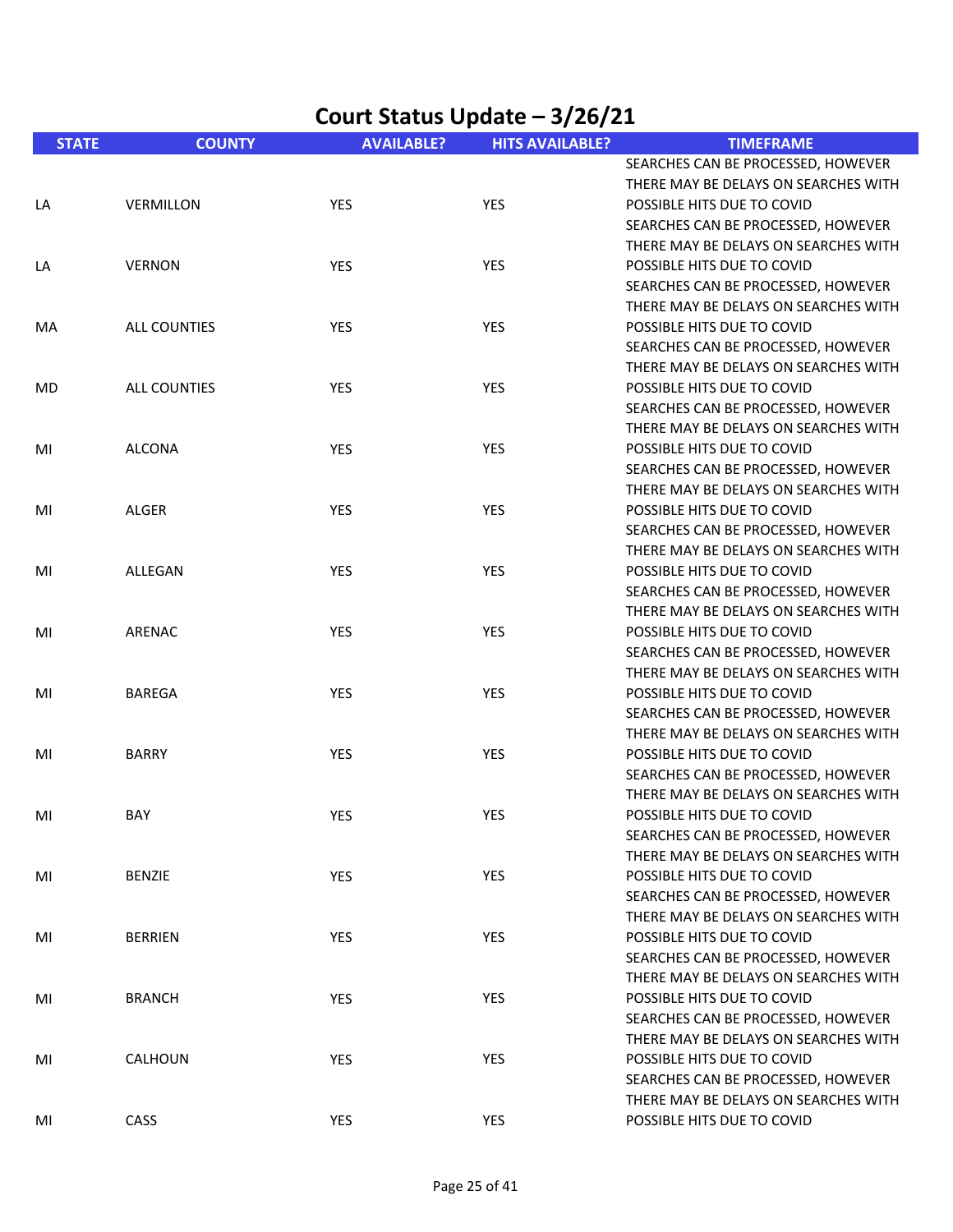| Court Status Update - 3/26/21 |                     |                   |                        |                                                                                                          |  |
|-------------------------------|---------------------|-------------------|------------------------|----------------------------------------------------------------------------------------------------------|--|
| <b>STATE</b>                  | <b>COUNTY</b>       | <b>AVAILABLE?</b> | <b>HITS AVAILABLE?</b> | <b>TIMEFRAME</b>                                                                                         |  |
| LA                            | <b>VERMILLON</b>    | YES               | <b>YES</b>             | SEARCHES CAN BE PROCESSED, HOWEVER<br>THERE MAY BE DELAYS ON SEARCHES WITH<br>POSSIBLE HITS DUE TO COVID |  |
|                               |                     |                   |                        | SEARCHES CAN BE PROCESSED, HOWEVER<br>THERE MAY BE DELAYS ON SEARCHES WITH                               |  |
| LA                            | <b>VERNON</b>       | YES               | <b>YES</b>             | POSSIBLE HITS DUE TO COVID<br>SEARCHES CAN BE PROCESSED, HOWEVER<br>THERE MAY BE DELAYS ON SEARCHES WITH |  |
| MA                            | <b>ALL COUNTIES</b> | <b>YES</b>        | YES                    | POSSIBLE HITS DUE TO COVID<br>SEARCHES CAN BE PROCESSED, HOWEVER<br>THERE MAY BE DELAYS ON SEARCHES WITH |  |
| MD                            | <b>ALL COUNTIES</b> | <b>YES</b>        | <b>YES</b>             | POSSIBLE HITS DUE TO COVID<br>SEARCHES CAN BE PROCESSED, HOWEVER<br>THERE MAY BE DELAYS ON SEARCHES WITH |  |
| MI                            | <b>ALCONA</b>       | <b>YES</b>        | <b>YES</b>             | POSSIBLE HITS DUE TO COVID<br>SEARCHES CAN BE PROCESSED, HOWEVER<br>THERE MAY BE DELAYS ON SEARCHES WITH |  |
| MI                            | ALGER               | YES               | YES                    | POSSIBLE HITS DUE TO COVID<br>SEARCHES CAN BE PROCESSED, HOWEVER<br>THERE MAY BE DELAYS ON SEARCHES WITH |  |
| MI                            | ALLEGAN             | YES               | <b>YES</b>             | POSSIBLE HITS DUE TO COVID<br>SEARCHES CAN BE PROCESSED, HOWEVER<br>THERE MAY BE DELAYS ON SEARCHES WITH |  |
| MI                            | ARENAC              | <b>YES</b>        | <b>YES</b>             | POSSIBLE HITS DUE TO COVID<br>SEARCHES CAN BE PROCESSED, HOWEVER<br>THERE MAY BE DELAYS ON SEARCHES WITH |  |
| MI                            | <b>BAREGA</b>       | YES               | <b>YES</b>             | POSSIBLE HITS DUE TO COVID<br>SEARCHES CAN BE PROCESSED, HOWEVER<br>THERE MAY BE DELAYS ON SEARCHES WITH |  |
| MI                            | <b>BARRY</b>        | YES               | YES                    | POSSIBLE HITS DUE TO COVID<br>SEARCHES CAN BE PROCESSED, HOWEVER<br>THERE MAY BE DELAYS ON SEARCHES WITH |  |
| MI                            | BAY                 | YES               | YES                    | POSSIBLE HITS DUE TO COVID<br>SEARCHES CAN BE PROCESSED, HOWEVER<br>THERE MAY BE DELAYS ON SEARCHES WITH |  |
| MI                            | <b>BENZIE</b>       | YES               | YES                    | POSSIBLE HITS DUE TO COVID<br>SEARCHES CAN BE PROCESSED, HOWEVER<br>THERE MAY BE DELAYS ON SEARCHES WITH |  |
| MI                            | <b>BERRIEN</b>      | YES               | YES                    | POSSIBLE HITS DUE TO COVID<br>SEARCHES CAN BE PROCESSED, HOWEVER<br>THERE MAY BE DELAYS ON SEARCHES WITH |  |
| MI                            | <b>BRANCH</b>       | YES               | YES                    | POSSIBLE HITS DUE TO COVID<br>SEARCHES CAN BE PROCESSED, HOWEVER<br>THERE MAY BE DELAYS ON SEARCHES WITH |  |
| MI                            | CALHOUN             | YES               | YES                    | POSSIBLE HITS DUE TO COVID<br>SEARCHES CAN BE PROCESSED, HOWEVER<br>THERE MAY BE DELAYS ON SEARCHES WITH |  |
| MI                            | CASS                | YES               | YES                    | POSSIBLE HITS DUE TO COVID                                                                               |  |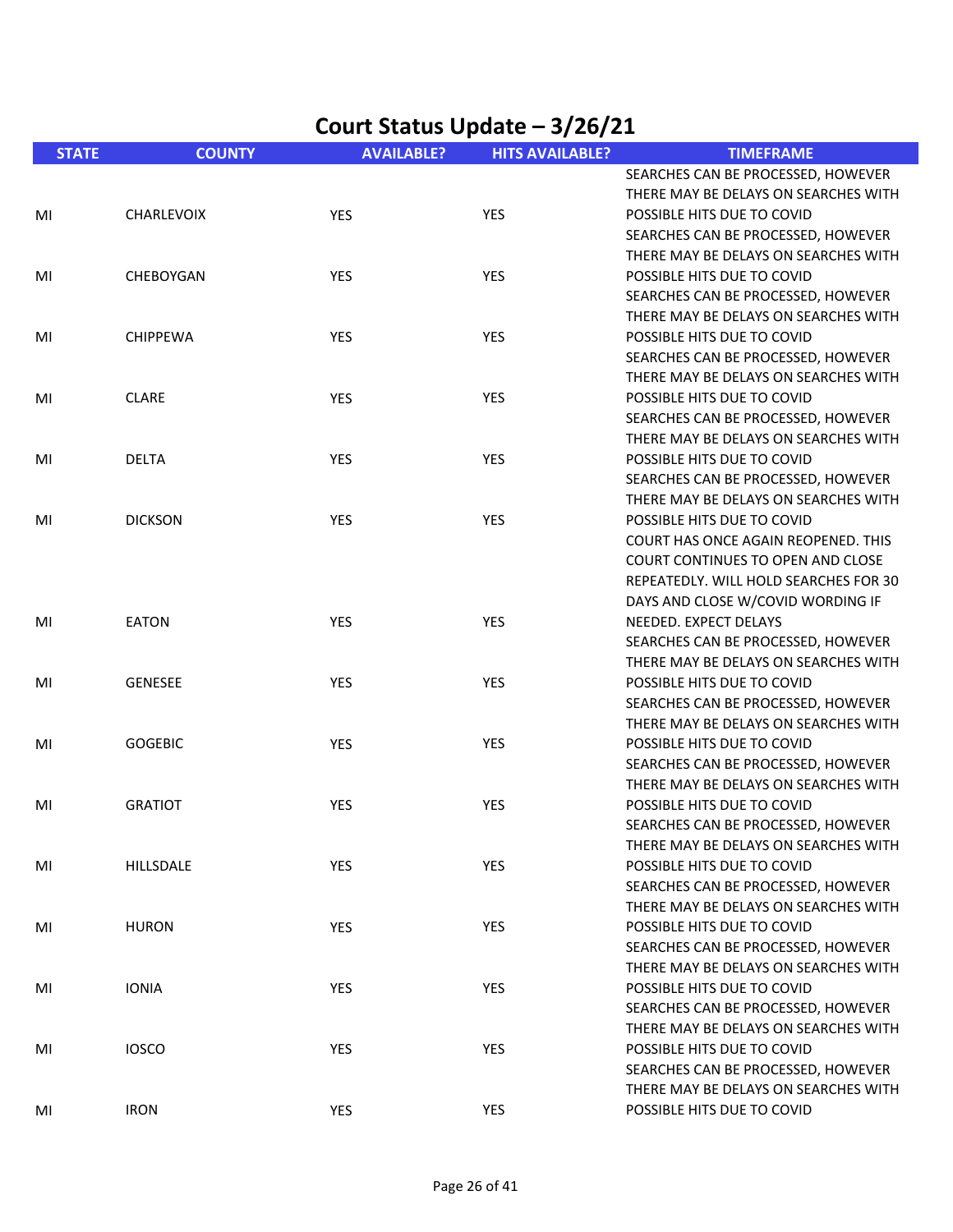| <b>STATE</b> | <b>COUNTY</b>     | <b>AVAILABLE?</b> | <b>HITS AVAILABLE?</b> | <b>TIMEFRAME</b>                      |
|--------------|-------------------|-------------------|------------------------|---------------------------------------|
|              |                   |                   |                        | SEARCHES CAN BE PROCESSED, HOWEVER    |
|              |                   |                   |                        | THERE MAY BE DELAYS ON SEARCHES WITH  |
| MI           | <b>CHARLEVOIX</b> | YES               | YES                    | POSSIBLE HITS DUE TO COVID            |
|              |                   |                   |                        | SEARCHES CAN BE PROCESSED, HOWEVER    |
|              |                   |                   |                        | THERE MAY BE DELAYS ON SEARCHES WITH  |
| MI           | CHEBOYGAN         | YES               | YES                    | POSSIBLE HITS DUE TO COVID            |
|              |                   |                   |                        | SEARCHES CAN BE PROCESSED, HOWEVER    |
|              |                   |                   |                        | THERE MAY BE DELAYS ON SEARCHES WITH  |
| MI           | <b>CHIPPEWA</b>   | YES               | YES                    | POSSIBLE HITS DUE TO COVID            |
|              |                   |                   |                        | SEARCHES CAN BE PROCESSED, HOWEVER    |
|              |                   |                   |                        | THERE MAY BE DELAYS ON SEARCHES WITH  |
| MI           | <b>CLARE</b>      | YES               | YES                    | POSSIBLE HITS DUE TO COVID            |
|              |                   |                   |                        | SEARCHES CAN BE PROCESSED, HOWEVER    |
|              |                   |                   |                        | THERE MAY BE DELAYS ON SEARCHES WITH  |
| MI           | <b>DELTA</b>      | YES               | YES                    | POSSIBLE HITS DUE TO COVID            |
|              |                   |                   |                        | SEARCHES CAN BE PROCESSED, HOWEVER    |
|              |                   |                   |                        | THERE MAY BE DELAYS ON SEARCHES WITH  |
| MI           | <b>DICKSON</b>    | YES               | YES                    | POSSIBLE HITS DUE TO COVID            |
|              |                   |                   |                        | COURT HAS ONCE AGAIN REOPENED. THIS   |
|              |                   |                   |                        | COURT CONTINUES TO OPEN AND CLOSE     |
|              |                   |                   |                        | REPEATEDLY. WILL HOLD SEARCHES FOR 30 |
|              |                   |                   |                        | DAYS AND CLOSE W/COVID WORDING IF     |
| MI           | <b>EATON</b>      | <b>YES</b>        | <b>YES</b>             | NEEDED. EXPECT DELAYS                 |
|              |                   |                   |                        | SEARCHES CAN BE PROCESSED, HOWEVER    |
|              |                   |                   |                        | THERE MAY BE DELAYS ON SEARCHES WITH  |
| MI           | <b>GENESEE</b>    | <b>YES</b>        | YES                    | POSSIBLE HITS DUE TO COVID            |
|              |                   |                   |                        | SEARCHES CAN BE PROCESSED, HOWEVER    |
|              |                   |                   |                        | THERE MAY BE DELAYS ON SEARCHES WITH  |
| MI           | <b>GOGEBIC</b>    | YES               | YES                    | POSSIBLE HITS DUE TO COVID            |
|              |                   |                   |                        | SEARCHES CAN BE PROCESSED, HOWEVER    |
|              |                   |                   |                        | THERE MAY BE DELAYS ON SEARCHES WITH  |
| MI           | <b>GRATIOT</b>    | YES               | YES                    | POSSIBLE HITS DUE TO COVID            |
|              |                   |                   |                        | SEARCHES CAN BE PROCESSED, HOWEVER    |
|              |                   |                   |                        | THERE MAY BE DELAYS ON SEARCHES WITH  |
| MI           | HILLSDALE         | <b>YES</b>        | YES                    | POSSIBLE HITS DUE TO COVID            |
|              |                   |                   |                        | SEARCHES CAN BE PROCESSED, HOWEVER    |
|              |                   |                   |                        | THERE MAY BE DELAYS ON SEARCHES WITH  |
| MI           | <b>HURON</b>      | YES               | YES                    | POSSIBLE HITS DUE TO COVID            |
|              |                   |                   |                        | SEARCHES CAN BE PROCESSED, HOWEVER    |
|              |                   |                   |                        | THERE MAY BE DELAYS ON SEARCHES WITH  |
| MI           | <b>IONIA</b>      | <b>YES</b>        | <b>YES</b>             | POSSIBLE HITS DUE TO COVID            |
|              |                   |                   |                        | SEARCHES CAN BE PROCESSED, HOWEVER    |
|              |                   |                   |                        | THERE MAY BE DELAYS ON SEARCHES WITH  |
| MI           | <b>IOSCO</b>      | <b>YES</b>        | <b>YES</b>             | POSSIBLE HITS DUE TO COVID            |
|              |                   |                   |                        | SEARCHES CAN BE PROCESSED, HOWEVER    |
|              |                   |                   |                        | THERE MAY BE DELAYS ON SEARCHES WITH  |
| MI           | <b>IRON</b>       | <b>YES</b>        | YES                    | POSSIBLE HITS DUE TO COVID            |
|              |                   |                   |                        |                                       |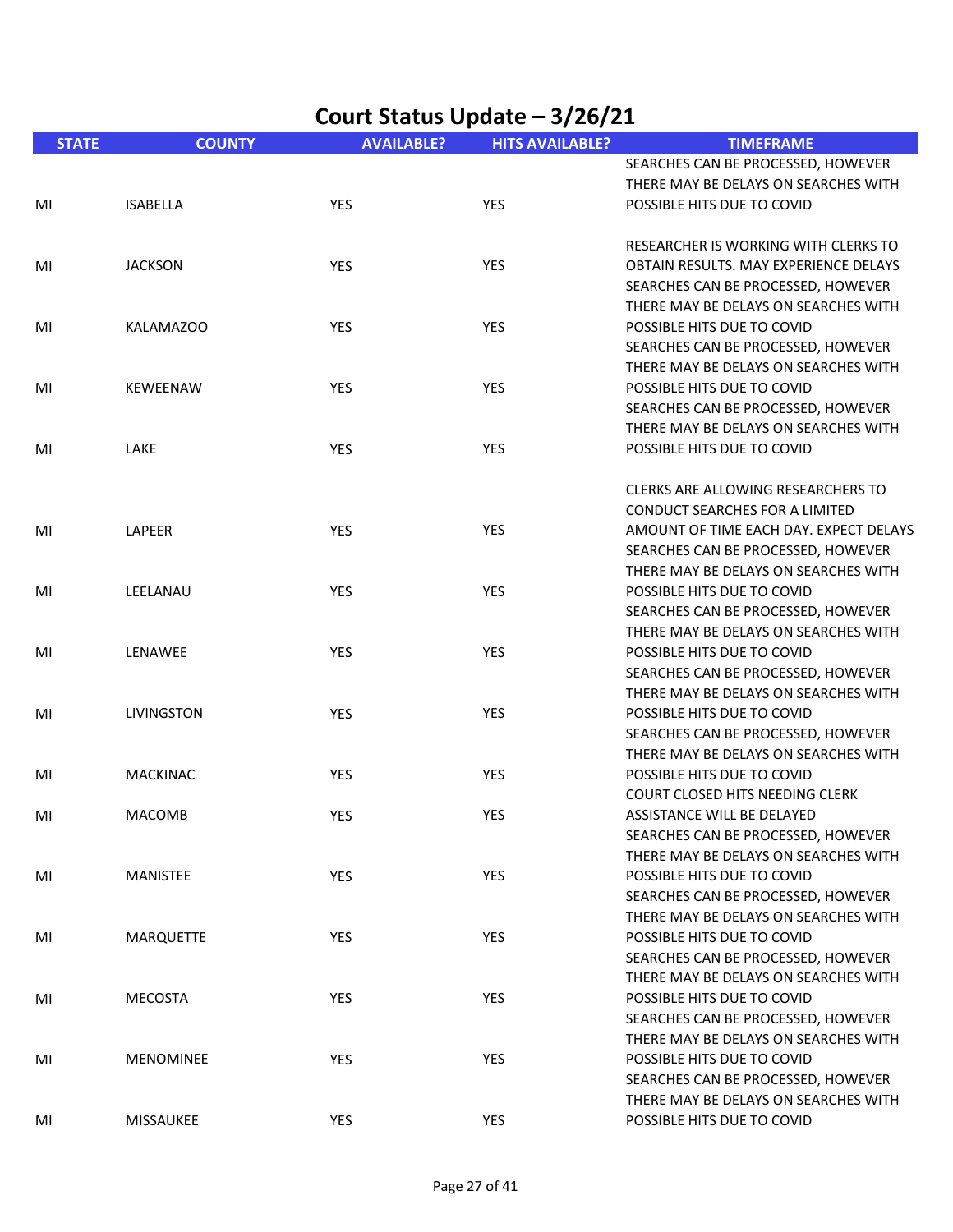| Court Status Update - 3/26/21 |                   |                   |                        |                                                                            |
|-------------------------------|-------------------|-------------------|------------------------|----------------------------------------------------------------------------|
| <b>STATE</b>                  | <b>COUNTY</b>     | <b>AVAILABLE?</b> | <b>HITS AVAILABLE?</b> | <b>TIMEFRAME</b>                                                           |
|                               |                   |                   |                        | SEARCHES CAN BE PROCESSED, HOWEVER                                         |
|                               |                   |                   |                        | THERE MAY BE DELAYS ON SEARCHES WITH                                       |
| MI                            | <b>ISABELLA</b>   | <b>YES</b>        | <b>YES</b>             | POSSIBLE HITS DUE TO COVID                                                 |
|                               |                   |                   |                        | RESEARCHER IS WORKING WITH CLERKS TO                                       |
| MI                            | <b>JACKSON</b>    | YES               | <b>YES</b>             | OBTAIN RESULTS. MAY EXPERIENCE DELAYS                                      |
|                               |                   |                   |                        | SEARCHES CAN BE PROCESSED, HOWEVER                                         |
|                               |                   |                   |                        | THERE MAY BE DELAYS ON SEARCHES WITH                                       |
| MI                            | <b>KALAMAZOO</b>  | <b>YES</b>        | <b>YES</b>             | POSSIBLE HITS DUE TO COVID                                                 |
|                               |                   |                   |                        | SEARCHES CAN BE PROCESSED, HOWEVER                                         |
|                               |                   |                   |                        | THERE MAY BE DELAYS ON SEARCHES WITH                                       |
| MI                            | <b>KEWEENAW</b>   | YES               | <b>YES</b>             | POSSIBLE HITS DUE TO COVID                                                 |
|                               |                   |                   |                        | SEARCHES CAN BE PROCESSED, HOWEVER                                         |
|                               |                   |                   |                        | THERE MAY BE DELAYS ON SEARCHES WITH                                       |
| MI                            | <b>LAKE</b>       | YES               | <b>YES</b>             | POSSIBLE HITS DUE TO COVID                                                 |
|                               |                   |                   |                        | CLERKS ARE ALLOWING RESEARCHERS TO                                         |
|                               |                   |                   |                        | <b>CONDUCT SEARCHES FOR A LIMITED</b>                                      |
| MI                            | LAPEER            | YES               | <b>YES</b>             | AMOUNT OF TIME EACH DAY. EXPECT DELAYS                                     |
|                               |                   |                   |                        | SEARCHES CAN BE PROCESSED, HOWEVER                                         |
|                               |                   |                   |                        | THERE MAY BE DELAYS ON SEARCHES WITH                                       |
| MI                            | LEELANAU          | YES               | <b>YES</b>             | POSSIBLE HITS DUE TO COVID                                                 |
|                               |                   |                   |                        | SEARCHES CAN BE PROCESSED, HOWEVER                                         |
|                               |                   |                   |                        | THERE MAY BE DELAYS ON SEARCHES WITH                                       |
| MI                            | LENAWEE           | <b>YES</b>        | YES                    | POSSIBLE HITS DUE TO COVID                                                 |
|                               |                   |                   |                        | SEARCHES CAN BE PROCESSED, HOWEVER                                         |
|                               |                   |                   |                        | THERE MAY BE DELAYS ON SEARCHES WITH                                       |
| MI                            | <b>LIVINGSTON</b> | <b>YES</b>        | <b>YES</b>             | POSSIBLE HITS DUE TO COVID                                                 |
|                               |                   |                   |                        | SEARCHES CAN BE PROCESSED, HOWEVER                                         |
|                               |                   |                   |                        | THERE MAY BE DELAYS ON SEARCHES WITH                                       |
| MI                            | <b>MACKINAC</b>   | <b>YES</b>        | <b>YES</b>             | POSSIBLE HITS DUE TO COVID                                                 |
|                               |                   |                   |                        | COURT CLOSED HITS NEEDING CLERK                                            |
| MI                            | <b>MACOMB</b>     | YES               | YES                    | ASSISTANCE WILL BE DELAYED                                                 |
|                               |                   |                   |                        | SEARCHES CAN BE PROCESSED, HOWEVER                                         |
|                               |                   |                   |                        | THERE MAY BE DELAYS ON SEARCHES WITH<br>POSSIBLE HITS DUE TO COVID         |
| MI                            | MANISTEE          | YES               | YES                    |                                                                            |
|                               |                   |                   |                        | SEARCHES CAN BE PROCESSED, HOWEVER<br>THERE MAY BE DELAYS ON SEARCHES WITH |
|                               | <b>MARQUETTE</b>  | <b>YES</b>        | <b>YES</b>             | POSSIBLE HITS DUE TO COVID                                                 |
| MI                            |                   |                   |                        | SEARCHES CAN BE PROCESSED, HOWEVER                                         |
|                               |                   |                   |                        | THERE MAY BE DELAYS ON SEARCHES WITH                                       |
| MI                            | MECOSTA           | <b>YES</b>        | <b>YES</b>             | POSSIBLE HITS DUE TO COVID                                                 |
|                               |                   |                   |                        | SEARCHES CAN BE PROCESSED, HOWEVER                                         |
|                               |                   |                   |                        | THERE MAY BE DELAYS ON SEARCHES WITH                                       |
| MI                            | <b>MENOMINEE</b>  | <b>YES</b>        | <b>YES</b>             | POSSIBLE HITS DUE TO COVID                                                 |
|                               |                   |                   |                        | SEARCHES CAN BE PROCESSED, HOWEVER                                         |
|                               |                   |                   |                        | THERE MAY BE DELAYS ON SEARCHES WITH                                       |
| MI                            | MISSAUKEE         | YES               | YES                    | POSSIBLE HITS DUE TO COVID                                                 |
|                               |                   |                   |                        |                                                                            |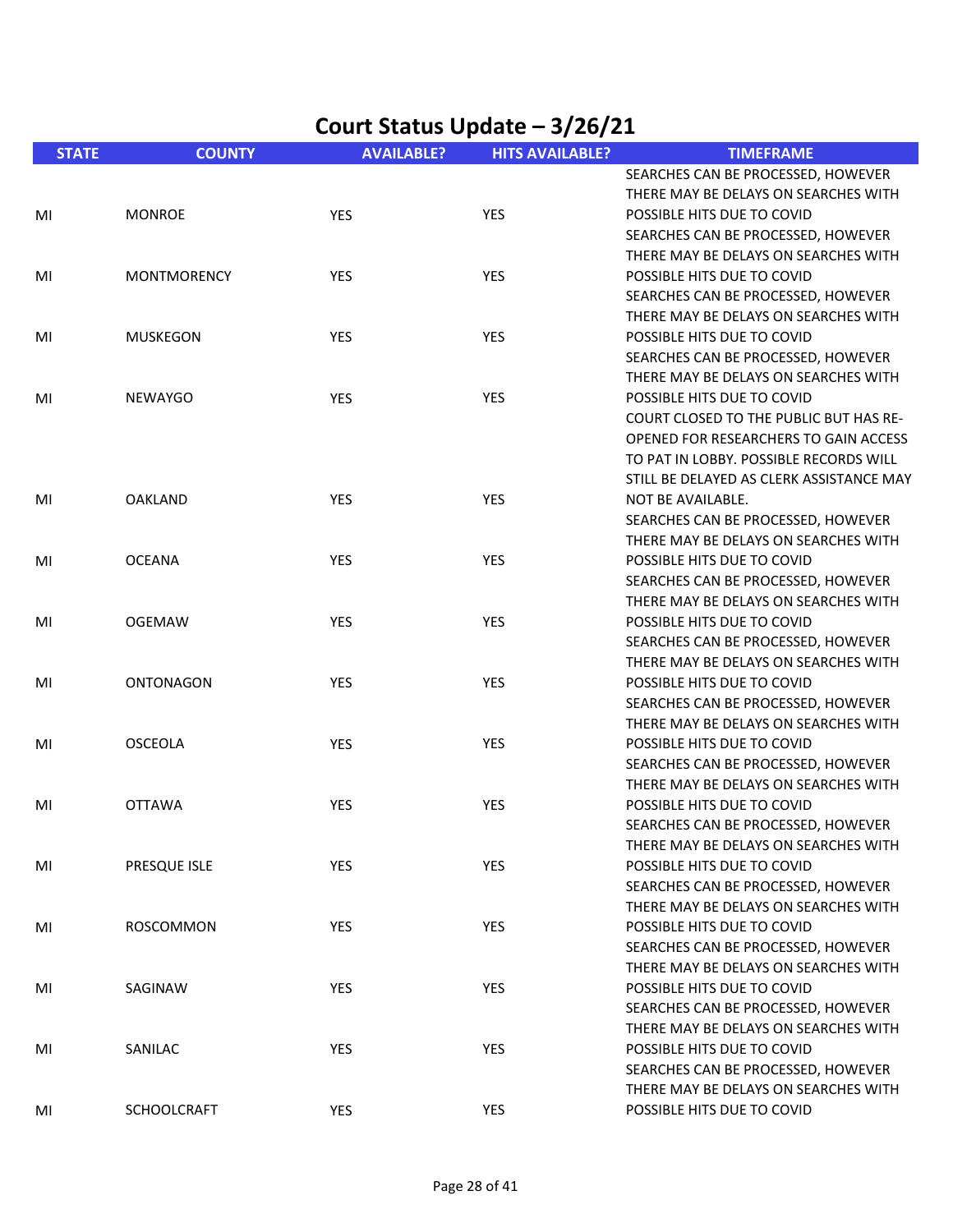| <b>STATE</b> | <b>COUNTY</b>      | <b>AVAILABLE?</b> | <b>HITS AVAILABLE?</b> | <b>TIMEFRAME</b>                              |
|--------------|--------------------|-------------------|------------------------|-----------------------------------------------|
|              |                    |                   |                        | SEARCHES CAN BE PROCESSED, HOWEVER            |
|              |                    |                   |                        | THERE MAY BE DELAYS ON SEARCHES WITH          |
| MI           | <b>MONROE</b>      | <b>YES</b>        | <b>YES</b>             | POSSIBLE HITS DUE TO COVID                    |
|              |                    |                   |                        | SEARCHES CAN BE PROCESSED, HOWEVER            |
|              |                    |                   |                        | THERE MAY BE DELAYS ON SEARCHES WITH          |
| MI           | <b>MONTMORENCY</b> | <b>YES</b>        | <b>YES</b>             | POSSIBLE HITS DUE TO COVID                    |
|              |                    |                   |                        | SEARCHES CAN BE PROCESSED, HOWEVER            |
|              |                    |                   |                        | THERE MAY BE DELAYS ON SEARCHES WITH          |
| MI           | <b>MUSKEGON</b>    | YES               | YES                    | POSSIBLE HITS DUE TO COVID                    |
|              |                    |                   |                        | SEARCHES CAN BE PROCESSED, HOWEVER            |
|              |                    |                   |                        | THERE MAY BE DELAYS ON SEARCHES WITH          |
| MI           | <b>NEWAYGO</b>     | YES               | <b>YES</b>             | POSSIBLE HITS DUE TO COVID                    |
|              |                    |                   |                        | <b>COURT CLOSED TO THE PUBLIC BUT HAS RE-</b> |
|              |                    |                   |                        | OPENED FOR RESEARCHERS TO GAIN ACCESS         |
|              |                    |                   |                        | TO PAT IN LOBBY. POSSIBLE RECORDS WILL        |
|              |                    |                   |                        | STILL BE DELAYED AS CLERK ASSISTANCE MAY      |
| MI           | <b>OAKLAND</b>     | <b>YES</b>        | <b>YES</b>             | NOT BE AVAILABLE.                             |
|              |                    |                   |                        | SEARCHES CAN BE PROCESSED, HOWEVER            |
|              |                    |                   |                        | THERE MAY BE DELAYS ON SEARCHES WITH          |
| MI           | <b>OCEANA</b>      | YES               | YES                    | POSSIBLE HITS DUE TO COVID                    |
|              |                    |                   |                        | SEARCHES CAN BE PROCESSED, HOWEVER            |
|              |                    |                   |                        | THERE MAY BE DELAYS ON SEARCHES WITH          |
| MI           | <b>OGEMAW</b>      | <b>YES</b>        | <b>YES</b>             | POSSIBLE HITS DUE TO COVID                    |
|              |                    |                   |                        | SEARCHES CAN BE PROCESSED, HOWEVER            |
|              |                    |                   |                        | THERE MAY BE DELAYS ON SEARCHES WITH          |
|              | <b>ONTONAGON</b>   | <b>YES</b>        | YES                    | POSSIBLE HITS DUE TO COVID                    |
| MI           |                    |                   |                        |                                               |
|              |                    |                   |                        | SEARCHES CAN BE PROCESSED, HOWEVER            |
|              |                    |                   |                        | THERE MAY BE DELAYS ON SEARCHES WITH          |
| MI           | <b>OSCEOLA</b>     | <b>YES</b>        | <b>YES</b>             | POSSIBLE HITS DUE TO COVID                    |
|              |                    |                   |                        | SEARCHES CAN BE PROCESSED, HOWEVER            |
|              |                    |                   |                        | THERE MAY BE DELAYS ON SEARCHES WITH          |
| MI           | <b>OTTAWA</b>      | YES               | YES                    | POSSIBLE HITS DUE TO COVID                    |
|              |                    |                   |                        | SEARCHES CAN BE PROCESSED, HOWEVER            |
|              |                    |                   |                        | THERE MAY BE DELAYS ON SEARCHES WITH          |
| MI           | PRESQUE ISLE       | YES               | YES                    | POSSIBLE HITS DUE TO COVID                    |
|              |                    |                   |                        | SEARCHES CAN BE PROCESSED, HOWEVER            |
|              |                    |                   |                        | THERE MAY BE DELAYS ON SEARCHES WITH          |
| MI           | ROSCOMMON          | YES               | YES                    | POSSIBLE HITS DUE TO COVID                    |
|              |                    |                   |                        | SEARCHES CAN BE PROCESSED, HOWEVER            |
|              |                    |                   |                        | THERE MAY BE DELAYS ON SEARCHES WITH          |
| MI           | SAGINAW            | YES               | YES                    | POSSIBLE HITS DUE TO COVID                    |
|              |                    |                   |                        | SEARCHES CAN BE PROCESSED, HOWEVER            |
|              |                    |                   |                        | THERE MAY BE DELAYS ON SEARCHES WITH          |
| MI           | SANILAC            | <b>YES</b>        | YES                    | POSSIBLE HITS DUE TO COVID                    |
|              |                    |                   |                        | SEARCHES CAN BE PROCESSED, HOWEVER            |
|              |                    |                   |                        | THERE MAY BE DELAYS ON SEARCHES WITH          |
| MI           | <b>SCHOOLCRAFT</b> | <b>YES</b>        | YES                    | POSSIBLE HITS DUE TO COVID                    |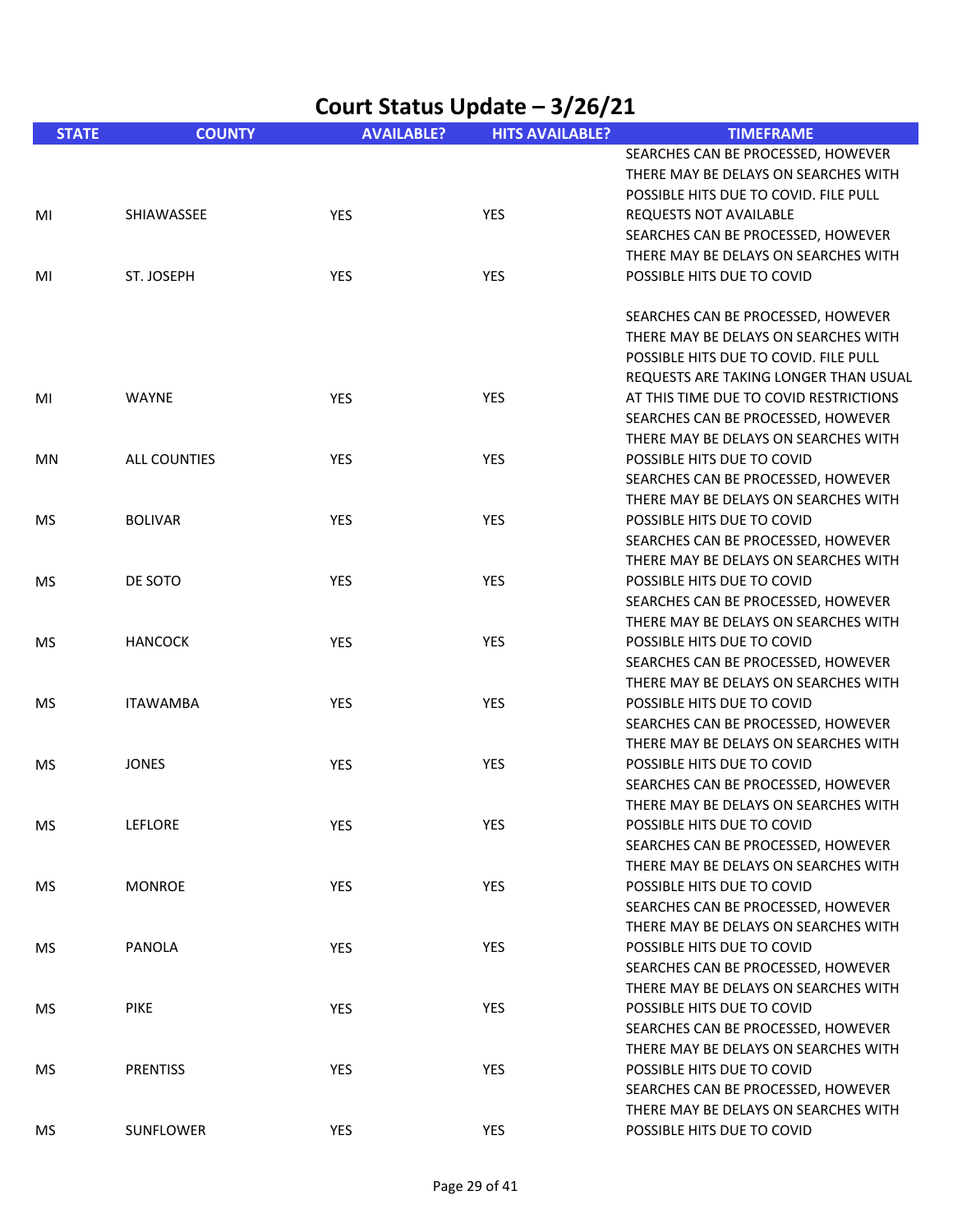| Court Status Update - 3/26/21 |                     |                   |                        |                                                                                                                                                              |  |
|-------------------------------|---------------------|-------------------|------------------------|--------------------------------------------------------------------------------------------------------------------------------------------------------------|--|
| <b>STATE</b>                  | <b>COUNTY</b>       | <b>AVAILABLE?</b> | <b>HITS AVAILABLE?</b> | <b>TIMEFRAME</b>                                                                                                                                             |  |
|                               |                     |                   |                        | SEARCHES CAN BE PROCESSED, HOWEVER<br>THERE MAY BE DELAYS ON SEARCHES WITH<br>POSSIBLE HITS DUE TO COVID. FILE PULL                                          |  |
| MI                            | SHIAWASSEE          | <b>YES</b>        | <b>YES</b>             | <b>REQUESTS NOT AVAILABLE</b><br>SEARCHES CAN BE PROCESSED, HOWEVER<br>THERE MAY BE DELAYS ON SEARCHES WITH                                                  |  |
| MI                            | ST. JOSEPH          | YES               | <b>YES</b>             | POSSIBLE HITS DUE TO COVID                                                                                                                                   |  |
|                               |                     |                   |                        | SEARCHES CAN BE PROCESSED, HOWEVER<br>THERE MAY BE DELAYS ON SEARCHES WITH<br>POSSIBLE HITS DUE TO COVID. FILE PULL<br>REQUESTS ARE TAKING LONGER THAN USUAL |  |
| MI                            | <b>WAYNE</b>        | YES               | <b>YES</b>             | AT THIS TIME DUE TO COVID RESTRICTIONS<br>SEARCHES CAN BE PROCESSED, HOWEVER<br>THERE MAY BE DELAYS ON SEARCHES WITH                                         |  |
| ΜN                            | <b>ALL COUNTIES</b> | YES               | <b>YES</b>             | POSSIBLE HITS DUE TO COVID<br>SEARCHES CAN BE PROCESSED, HOWEVER<br>THERE MAY BE DELAYS ON SEARCHES WITH                                                     |  |
| <b>MS</b>                     | <b>BOLIVAR</b>      | <b>YES</b>        | <b>YES</b>             | POSSIBLE HITS DUE TO COVID<br>SEARCHES CAN BE PROCESSED, HOWEVER<br>THERE MAY BE DELAYS ON SEARCHES WITH                                                     |  |
| <b>MS</b>                     | DE SOTO             | YES               | <b>YES</b>             | POSSIBLE HITS DUE TO COVID<br>SEARCHES CAN BE PROCESSED, HOWEVER<br>THERE MAY BE DELAYS ON SEARCHES WITH                                                     |  |
| <b>MS</b>                     | <b>HANCOCK</b>      | YES               | <b>YES</b>             | POSSIBLE HITS DUE TO COVID<br>SEARCHES CAN BE PROCESSED, HOWEVER<br>THERE MAY BE DELAYS ON SEARCHES WITH                                                     |  |
| <b>MS</b>                     | <b>ITAWAMBA</b>     | YES               | YES                    | POSSIBLE HITS DUE TO COVID<br>SEARCHES CAN BE PROCESSED, HOWEVER<br>THERE MAY BE DELAYS ON SEARCHES WITH                                                     |  |
| <b>MS</b>                     | <b>JONES</b>        | YES               | YES                    | POSSIBLE HITS DUE TO COVID<br>SEARCHES CAN BE PROCESSED, HOWEVER<br>THERE MAY BE DELAYS ON SEARCHES WITH                                                     |  |
| MS                            | LEFLORE             | <b>YES</b>        | YES                    | POSSIBLE HITS DUE TO COVID<br>SEARCHES CAN BE PROCESSED, HOWEVER<br>THERE MAY BE DELAYS ON SEARCHES WITH                                                     |  |
| <b>MS</b>                     | <b>MONROE</b>       | YES               | YES                    | POSSIBLE HITS DUE TO COVID<br>SEARCHES CAN BE PROCESSED, HOWEVER<br>THERE MAY BE DELAYS ON SEARCHES WITH                                                     |  |
| MS.                           | PANOLA              | <b>YES</b>        | <b>YES</b>             | POSSIBLE HITS DUE TO COVID<br>SEARCHES CAN BE PROCESSED, HOWEVER<br>THERE MAY BE DELAYS ON SEARCHES WITH                                                     |  |
| MS                            | <b>PIKE</b>         | <b>YES</b>        | <b>YES</b>             | POSSIBLE HITS DUE TO COVID<br>SEARCHES CAN BE PROCESSED, HOWEVER<br>THERE MAY BE DELAYS ON SEARCHES WITH                                                     |  |
| MS                            | <b>PRENTISS</b>     | YES               | <b>YES</b>             | POSSIBLE HITS DUE TO COVID<br>SEARCHES CAN BE PROCESSED, HOWEVER<br>THERE MAY BE DELAYS ON SEARCHES WITH                                                     |  |
| MS                            | SUNFLOWER           | <b>YES</b>        | YES                    | POSSIBLE HITS DUE TO COVID                                                                                                                                   |  |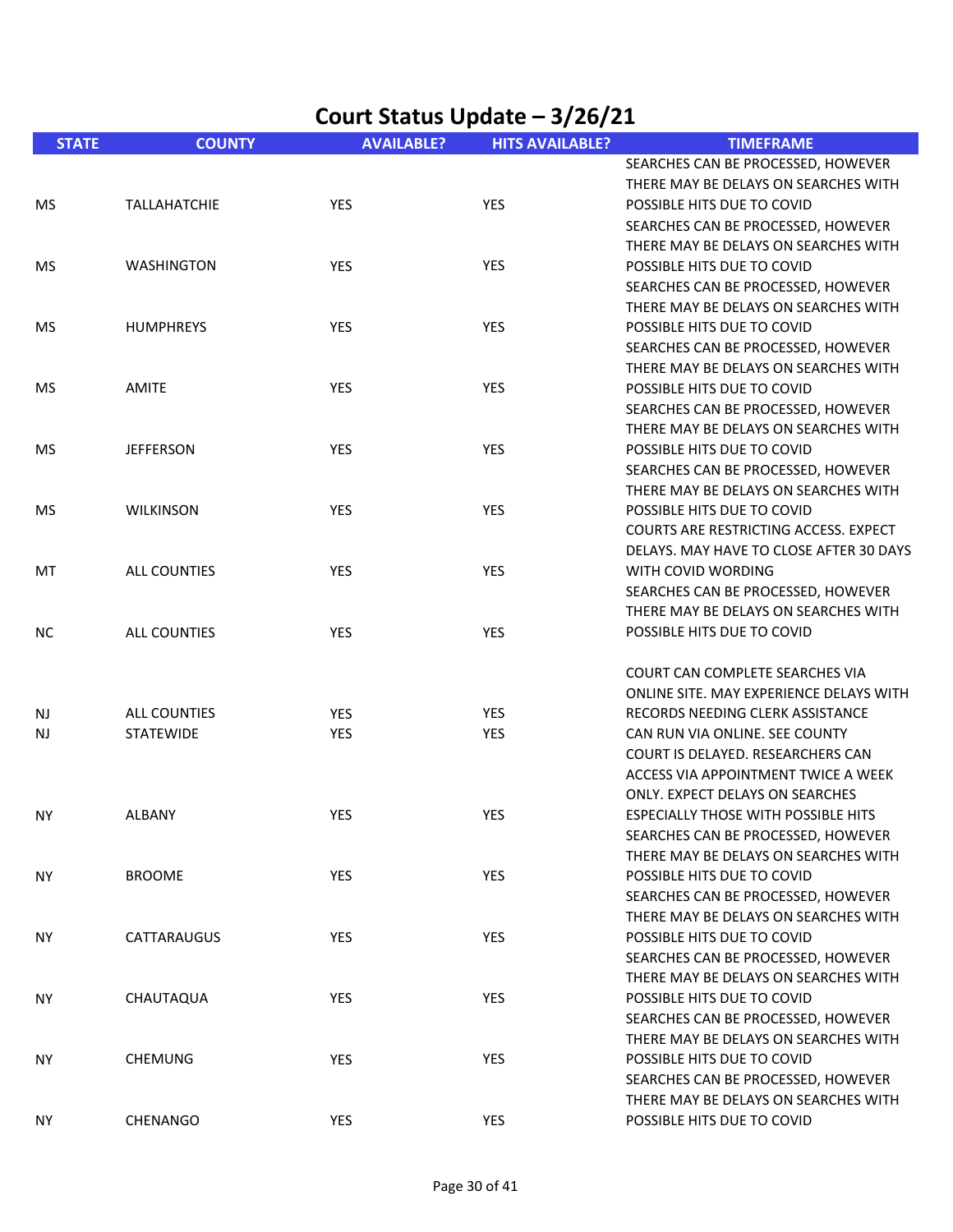| Court Status Update - 3/26/21 |                     |                   |                        |                                                                    |
|-------------------------------|---------------------|-------------------|------------------------|--------------------------------------------------------------------|
| <b>STATE</b>                  | <b>COUNTY</b>       | <b>AVAILABLE?</b> | <b>HITS AVAILABLE?</b> | <b>TIMEFRAME</b>                                                   |
|                               |                     |                   |                        | SEARCHES CAN BE PROCESSED, HOWEVER                                 |
|                               |                     |                   |                        | THERE MAY BE DELAYS ON SEARCHES WITH                               |
| <b>MS</b>                     | <b>TALLAHATCHIE</b> | <b>YES</b>        | YES                    | POSSIBLE HITS DUE TO COVID                                         |
|                               |                     |                   |                        | SEARCHES CAN BE PROCESSED, HOWEVER                                 |
|                               | <b>WASHINGTON</b>   | <b>YES</b>        | YES                    | THERE MAY BE DELAYS ON SEARCHES WITH<br>POSSIBLE HITS DUE TO COVID |
| MS.                           |                     |                   |                        | SEARCHES CAN BE PROCESSED, HOWEVER                                 |
|                               |                     |                   |                        | THERE MAY BE DELAYS ON SEARCHES WITH                               |
| <b>MS</b>                     | <b>HUMPHREYS</b>    | <b>YES</b>        | <b>YES</b>             | POSSIBLE HITS DUE TO COVID                                         |
|                               |                     |                   |                        | SEARCHES CAN BE PROCESSED, HOWEVER                                 |
|                               |                     |                   |                        | THERE MAY BE DELAYS ON SEARCHES WITH                               |
| <b>MS</b>                     | <b>AMITE</b>        | <b>YES</b>        | <b>YES</b>             | POSSIBLE HITS DUE TO COVID                                         |
|                               |                     |                   |                        | SEARCHES CAN BE PROCESSED, HOWEVER                                 |
|                               |                     |                   |                        | THERE MAY BE DELAYS ON SEARCHES WITH                               |
| <b>MS</b>                     | <b>JEFFERSON</b>    | <b>YES</b>        | YES                    | POSSIBLE HITS DUE TO COVID                                         |
|                               |                     |                   |                        | SEARCHES CAN BE PROCESSED, HOWEVER                                 |
|                               |                     |                   |                        | THERE MAY BE DELAYS ON SEARCHES WITH                               |
| MS.                           | <b>WILKINSON</b>    | YES               | <b>YES</b>             | POSSIBLE HITS DUE TO COVID                                         |
|                               |                     |                   |                        | <b>COURTS ARE RESTRICTING ACCESS. EXPECT</b>                       |
|                               |                     |                   |                        | DELAYS. MAY HAVE TO CLOSE AFTER 30 DAYS                            |
| MT                            | <b>ALL COUNTIES</b> | YES               | YES                    | WITH COVID WORDING                                                 |
|                               |                     |                   |                        | SEARCHES CAN BE PROCESSED, HOWEVER                                 |
|                               |                     |                   |                        | THERE MAY BE DELAYS ON SEARCHES WITH                               |
| NС                            | <b>ALL COUNTIES</b> | YES               | <b>YES</b>             | POSSIBLE HITS DUE TO COVID                                         |
|                               |                     |                   |                        | COURT CAN COMPLETE SEARCHES VIA                                    |
|                               |                     |                   |                        | ONLINE SITE. MAY EXPERIENCE DELAYS WITH                            |
| <b>NJ</b>                     | <b>ALL COUNTIES</b> | <b>YES</b>        | YES                    | RECORDS NEEDING CLERK ASSISTANCE                                   |
| <b>NJ</b>                     | <b>STATEWIDE</b>    | <b>YES</b>        | YES                    | CAN RUN VIA ONLINE. SEE COUNTY                                     |
|                               |                     |                   |                        | COURT IS DELAYED. RESEARCHERS CAN                                  |
|                               |                     |                   |                        | ACCESS VIA APPOINTMENT TWICE A WEEK                                |
|                               |                     |                   |                        | ONLY. EXPECT DELAYS ON SEARCHES                                    |
| <b>NY</b>                     | ALBANY              | <b>YES</b>        | YES                    | <b>ESPECIALLY THOSE WITH POSSIBLE HITS</b>                         |
|                               |                     |                   |                        | SEARCHES CAN BE PROCESSED, HOWEVER                                 |
|                               |                     |                   |                        | THERE MAY BE DELAYS ON SEARCHES WITH                               |
| <b>NY</b>                     | <b>BROOME</b>       | <b>YES</b>        | YES                    | POSSIBLE HITS DUE TO COVID                                         |
|                               |                     |                   |                        | SEARCHES CAN BE PROCESSED, HOWEVER                                 |
|                               |                     |                   |                        | THERE MAY BE DELAYS ON SEARCHES WITH                               |
| <b>NY</b>                     | CATTARAUGUS         | YES               | YES                    | POSSIBLE HITS DUE TO COVID<br>SEARCHES CAN BE PROCESSED, HOWEVER   |
|                               |                     |                   |                        | THERE MAY BE DELAYS ON SEARCHES WITH                               |
| <b>NY</b>                     | CHAUTAQUA           | <b>YES</b>        | YES                    | POSSIBLE HITS DUE TO COVID                                         |
|                               |                     |                   |                        | SEARCHES CAN BE PROCESSED, HOWEVER                                 |
|                               |                     |                   |                        | THERE MAY BE DELAYS ON SEARCHES WITH                               |
| <b>NY</b>                     | <b>CHEMUNG</b>      | <b>YES</b>        | YES                    | POSSIBLE HITS DUE TO COVID                                         |
|                               |                     |                   |                        | SEARCHES CAN BE PROCESSED, HOWEVER                                 |
|                               |                     |                   |                        | THERE MAY BE DELAYS ON SEARCHES WITH                               |
| NY.                           | CHENANGO            | <b>YES</b>        | YES                    | POSSIBLE HITS DUE TO COVID                                         |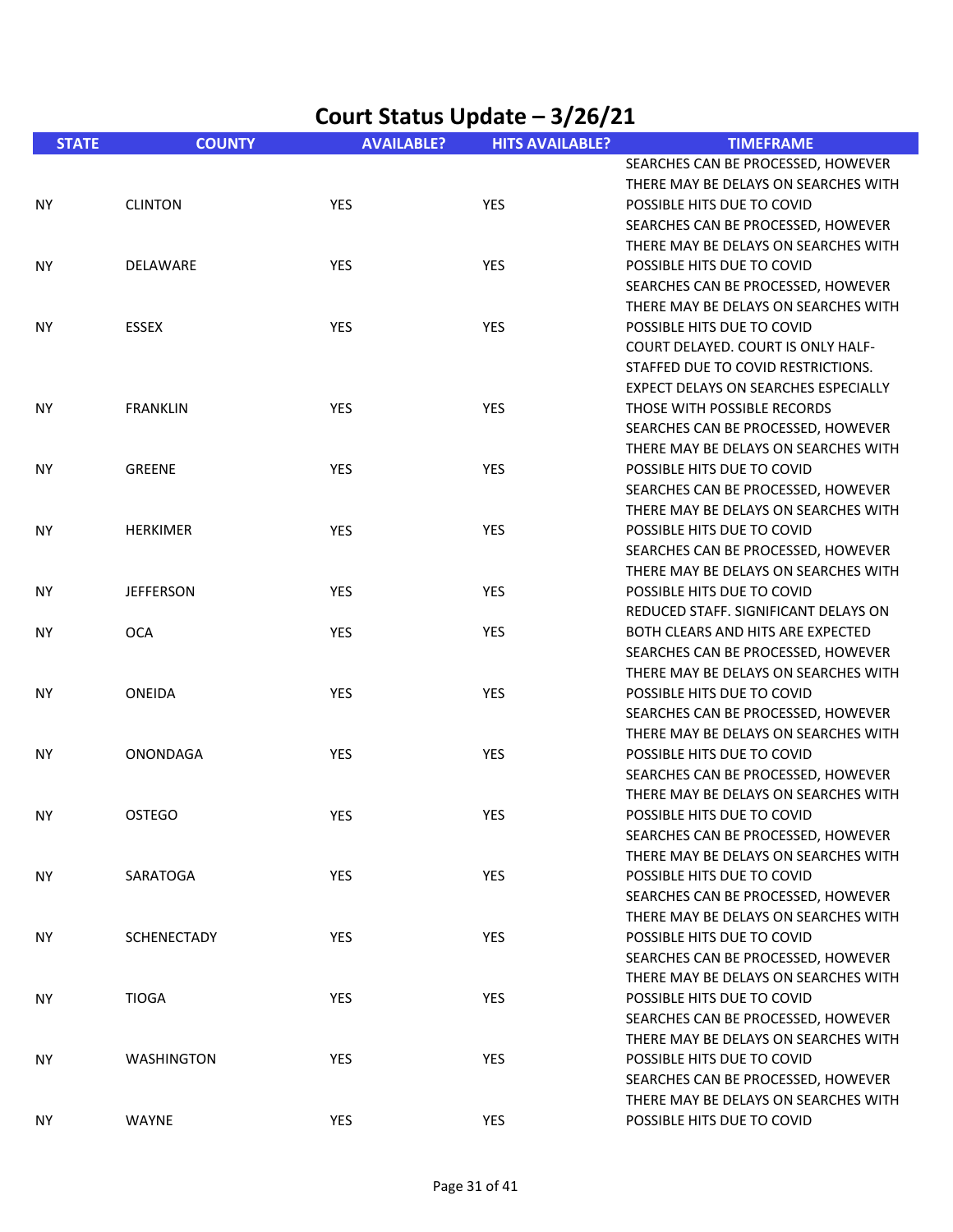|              | Court Status Update - 3/26/21 |                   |                        |                                                                                                                                                |  |
|--------------|-------------------------------|-------------------|------------------------|------------------------------------------------------------------------------------------------------------------------------------------------|--|
| <b>STATE</b> | <b>COUNTY</b>                 | <b>AVAILABLE?</b> | <b>HITS AVAILABLE?</b> | <b>TIMEFRAME</b>                                                                                                                               |  |
|              |                               |                   |                        | SEARCHES CAN BE PROCESSED, HOWEVER<br>THERE MAY BE DELAYS ON SEARCHES WITH                                                                     |  |
| NY.          | <b>CLINTON</b>                | <b>YES</b>        | <b>YES</b>             | POSSIBLE HITS DUE TO COVID<br>SEARCHES CAN BE PROCESSED, HOWEVER<br>THERE MAY BE DELAYS ON SEARCHES WITH                                       |  |
| <b>NY</b>    | DELAWARE                      | <b>YES</b>        | YES                    | POSSIBLE HITS DUE TO COVID<br>SEARCHES CAN BE PROCESSED, HOWEVER<br>THERE MAY BE DELAYS ON SEARCHES WITH                                       |  |
| NY.          | <b>ESSEX</b>                  | <b>YES</b>        | <b>YES</b>             | POSSIBLE HITS DUE TO COVID<br>COURT DELAYED, COURT IS ONLY HALF-<br>STAFFED DUE TO COVID RESTRICTIONS.<br>EXPECT DELAYS ON SEARCHES ESPECIALLY |  |
| ΝY           | <b>FRANKLIN</b>               | YES               | <b>YES</b>             | THOSE WITH POSSIBLE RECORDS<br>SEARCHES CAN BE PROCESSED, HOWEVER<br>THERE MAY BE DELAYS ON SEARCHES WITH                                      |  |
| NY.          | GREENE                        | YES               | <b>YES</b>             | POSSIBLE HITS DUE TO COVID<br>SEARCHES CAN BE PROCESSED, HOWEVER<br>THERE MAY BE DELAYS ON SEARCHES WITH                                       |  |
| NY.          | <b>HERKIMER</b>               | YES               | <b>YES</b>             | POSSIBLE HITS DUE TO COVID<br>SEARCHES CAN BE PROCESSED, HOWEVER<br>THERE MAY BE DELAYS ON SEARCHES WITH                                       |  |
| <b>NY</b>    | <b>JEFFERSON</b>              | YES               | <b>YES</b>             | POSSIBLE HITS DUE TO COVID<br>REDUCED STAFF. SIGNIFICANT DELAYS ON                                                                             |  |
| <b>NY</b>    | <b>OCA</b>                    | <b>YES</b>        | <b>YES</b>             | BOTH CLEARS AND HITS ARE EXPECTED<br>SEARCHES CAN BE PROCESSED, HOWEVER<br>THERE MAY BE DELAYS ON SEARCHES WITH                                |  |
| <b>NY</b>    | ONEIDA                        | YES               | YES                    | POSSIBLE HITS DUE TO COVID<br>SEARCHES CAN BE PROCESSED, HOWEVER<br>THERE MAY BE DELAYS ON SEARCHES WITH                                       |  |
| NY.          | <b>ONONDAGA</b>               | YES               | YES                    | POSSIBLE HITS DUE TO COVID<br>SEARCHES CAN BE PROCESSED, HOWEVER<br>THERE MAY BE DELAYS ON SEARCHES WITH                                       |  |
| NY.          | <b>OSTEGO</b>                 | YES               | YES                    | POSSIBLE HITS DUE TO COVID<br>SEARCHES CAN BE PROCESSED, HOWEVER<br>THERE MAY BE DELAYS ON SEARCHES WITH                                       |  |
| ΝY           | SARATOGA                      | YES               | YES                    | POSSIBLE HITS DUE TO COVID<br>SEARCHES CAN BE PROCESSED, HOWEVER<br>THERE MAY BE DELAYS ON SEARCHES WITH                                       |  |
| NY.          | <b>SCHENECTADY</b>            | <b>YES</b>        | YES                    | POSSIBLE HITS DUE TO COVID<br>SEARCHES CAN BE PROCESSED, HOWEVER<br>THERE MAY BE DELAYS ON SEARCHES WITH                                       |  |
| <b>NY</b>    | <b>TIOGA</b>                  | <b>YES</b>        | YES                    | POSSIBLE HITS DUE TO COVID<br>SEARCHES CAN BE PROCESSED, HOWEVER<br>THERE MAY BE DELAYS ON SEARCHES WITH                                       |  |
| <b>NY</b>    | <b>WASHINGTON</b>             | YES               | YES                    | POSSIBLE HITS DUE TO COVID<br>SEARCHES CAN BE PROCESSED, HOWEVER<br>THERE MAY BE DELAYS ON SEARCHES WITH                                       |  |
| ΝY           | WAYNE                         | <b>YES</b>        | YES                    | POSSIBLE HITS DUE TO COVID                                                                                                                     |  |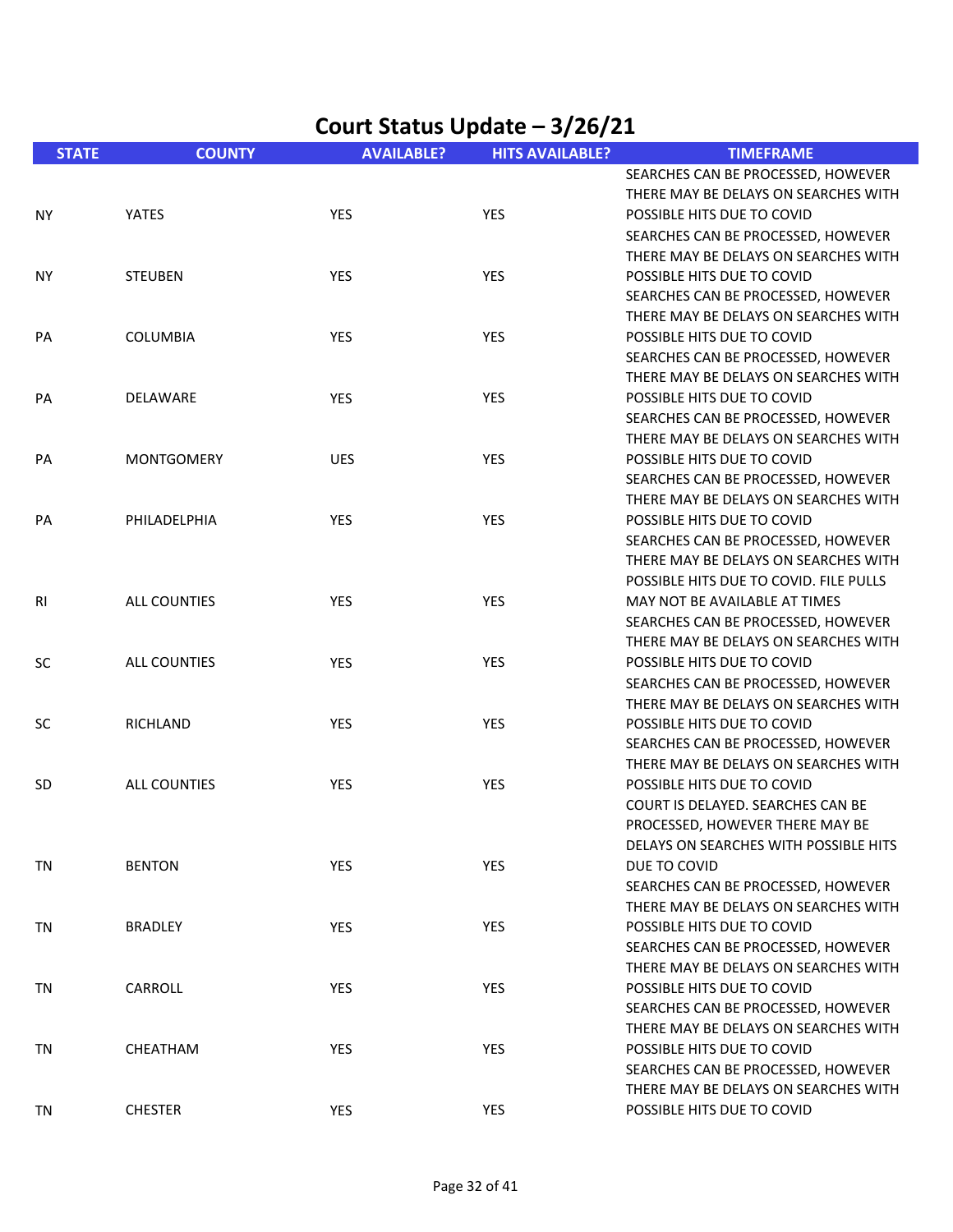| <b>STATE</b> | <b>COUNTY</b>       | <b>AVAILABLE?</b> | <b>HITS AVAILABLE?</b> | <b>TIMEFRAME</b>                       |
|--------------|---------------------|-------------------|------------------------|----------------------------------------|
|              |                     |                   |                        | SEARCHES CAN BE PROCESSED, HOWEVER     |
|              |                     |                   |                        | THERE MAY BE DELAYS ON SEARCHES WITH   |
| NY.          | <b>YATES</b>        | YES               | YES                    | POSSIBLE HITS DUE TO COVID             |
|              |                     |                   |                        | SEARCHES CAN BE PROCESSED, HOWEVER     |
|              |                     |                   |                        | THERE MAY BE DELAYS ON SEARCHES WITH   |
| NY.          | <b>STEUBEN</b>      | <b>YES</b>        | YES                    | POSSIBLE HITS DUE TO COVID             |
|              |                     |                   |                        | SEARCHES CAN BE PROCESSED, HOWEVER     |
|              |                     |                   |                        | THERE MAY BE DELAYS ON SEARCHES WITH   |
| PA           | <b>COLUMBIA</b>     | YES               | YES                    | POSSIBLE HITS DUE TO COVID             |
|              |                     |                   |                        | SEARCHES CAN BE PROCESSED, HOWEVER     |
|              |                     |                   |                        | THERE MAY BE DELAYS ON SEARCHES WITH   |
| PA           | DELAWARE            | YES               | YES                    | POSSIBLE HITS DUE TO COVID             |
|              |                     |                   |                        | SEARCHES CAN BE PROCESSED, HOWEVER     |
|              |                     |                   |                        | THERE MAY BE DELAYS ON SEARCHES WITH   |
| PA           | <b>MONTGOMERY</b>   | <b>UES</b>        | YES                    | POSSIBLE HITS DUE TO COVID             |
|              |                     |                   |                        | SEARCHES CAN BE PROCESSED, HOWEVER     |
|              |                     |                   |                        | THERE MAY BE DELAYS ON SEARCHES WITH   |
| PA           | PHILADELPHIA        | YES               | YES                    | POSSIBLE HITS DUE TO COVID             |
|              |                     |                   |                        | SEARCHES CAN BE PROCESSED, HOWEVER     |
|              |                     |                   |                        | THERE MAY BE DELAYS ON SEARCHES WITH   |
|              |                     |                   |                        | POSSIBLE HITS DUE TO COVID. FILE PULLS |
| RI           | ALL COUNTIES        | YES               | YES                    | MAY NOT BE AVAILABLE AT TIMES          |
|              |                     |                   |                        | SEARCHES CAN BE PROCESSED, HOWEVER     |
|              |                     |                   |                        | THERE MAY BE DELAYS ON SEARCHES WITH   |
| <b>SC</b>    | <b>ALL COUNTIES</b> | YES               | YES                    | POSSIBLE HITS DUE TO COVID             |
|              |                     |                   |                        | SEARCHES CAN BE PROCESSED, HOWEVER     |
|              |                     |                   |                        | THERE MAY BE DELAYS ON SEARCHES WITH   |
| <b>SC</b>    | RICHLAND            | <b>YES</b>        | <b>YES</b>             | POSSIBLE HITS DUE TO COVID             |
|              |                     |                   |                        | SEARCHES CAN BE PROCESSED, HOWEVER     |
|              |                     |                   |                        | THERE MAY BE DELAYS ON SEARCHES WITH   |
| <b>SD</b>    | ALL COUNTIES        | YES               | YES                    | POSSIBLE HITS DUE TO COVID             |
|              |                     |                   |                        | COURT IS DELAYED. SEARCHES CAN BE      |
|              |                     |                   |                        | PROCESSED, HOWEVER THERE MAY BE        |
|              |                     |                   |                        | DELAYS ON SEARCHES WITH POSSIBLE HITS  |
| TN           | <b>BENTON</b>       | YES               | YES                    | DUE TO COVID                           |
|              |                     |                   |                        | SEARCHES CAN BE PROCESSED, HOWEVER     |
|              |                     |                   |                        | THERE MAY BE DELAYS ON SEARCHES WITH   |
| TN           | <b>BRADLEY</b>      | YES               | YES                    | POSSIBLE HITS DUE TO COVID             |
|              |                     |                   |                        | SEARCHES CAN BE PROCESSED, HOWEVER     |
|              |                     |                   |                        | THERE MAY BE DELAYS ON SEARCHES WITH   |
| TN           | CARROLL             | YES               | YES                    | POSSIBLE HITS DUE TO COVID             |
|              |                     |                   |                        | SEARCHES CAN BE PROCESSED, HOWEVER     |
|              |                     |                   |                        | THERE MAY BE DELAYS ON SEARCHES WITH   |
| TN           | CHEATHAM            | <b>YES</b>        | <b>YES</b>             | POSSIBLE HITS DUE TO COVID             |
|              |                     |                   |                        | SEARCHES CAN BE PROCESSED, HOWEVER     |
|              |                     |                   |                        | THERE MAY BE DELAYS ON SEARCHES WITH   |
| TN           | <b>CHESTER</b>      | <b>YES</b>        | YES                    | POSSIBLE HITS DUE TO COVID             |
|              |                     |                   |                        |                                        |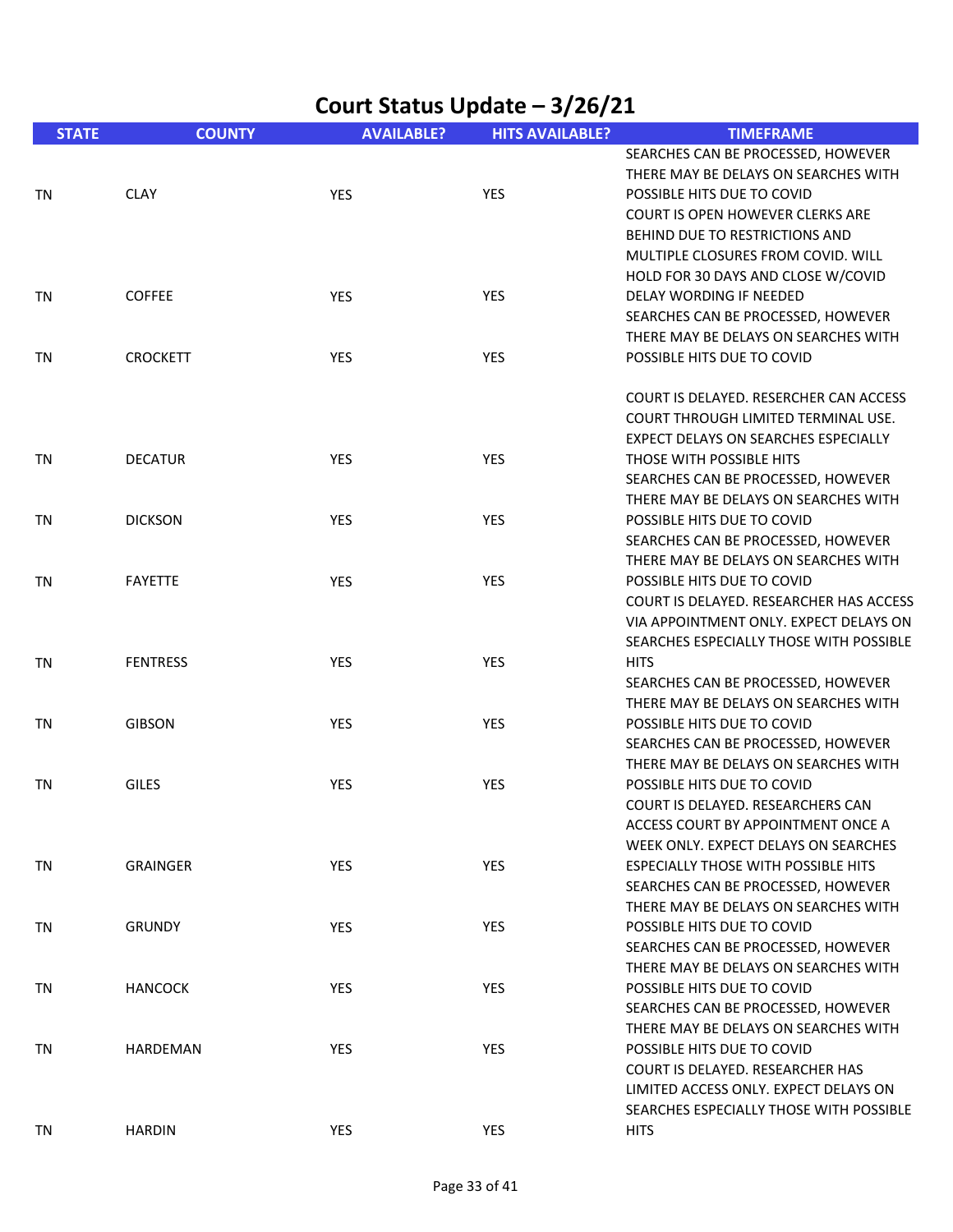|              | Court Status Update – 3/26/21 |                   |                        |                                                                            |  |
|--------------|-------------------------------|-------------------|------------------------|----------------------------------------------------------------------------|--|
| <b>STATE</b> | <b>COUNTY</b>                 | <b>AVAILABLE?</b> | <b>HITS AVAILABLE?</b> | <b>TIMEFRAME</b>                                                           |  |
|              |                               |                   |                        | SEARCHES CAN BE PROCESSED, HOWEVER<br>THERE MAY BE DELAYS ON SEARCHES WITH |  |
| TN           | <b>CLAY</b>                   | YES               | YES                    | POSSIBLE HITS DUE TO COVID                                                 |  |
|              |                               |                   |                        | <b>COURT IS OPEN HOWEVER CLERKS ARE</b>                                    |  |
|              |                               |                   |                        | BEHIND DUE TO RESTRICTIONS AND                                             |  |
|              |                               |                   |                        | MULTIPLE CLOSURES FROM COVID. WILL                                         |  |
|              |                               |                   |                        | HOLD FOR 30 DAYS AND CLOSE W/COVID                                         |  |
| TN           | <b>COFFEE</b>                 | <b>YES</b>        | <b>YES</b>             | DELAY WORDING IF NEEDED                                                    |  |
|              |                               |                   |                        | SEARCHES CAN BE PROCESSED, HOWEVER                                         |  |
|              |                               |                   |                        | THERE MAY BE DELAYS ON SEARCHES WITH                                       |  |
| TN           | <b>CROCKETT</b>               | <b>YES</b>        | <b>YES</b>             | POSSIBLE HITS DUE TO COVID                                                 |  |
|              |                               |                   |                        | COURT IS DELAYED. RESERCHER CAN ACCESS                                     |  |
|              |                               |                   |                        | COURT THROUGH LIMITED TERMINAL USE.                                        |  |
|              |                               |                   |                        | EXPECT DELAYS ON SEARCHES ESPECIALLY                                       |  |
| TN           | <b>DECATUR</b>                | YES               | YES                    | THOSE WITH POSSIBLE HITS                                                   |  |
|              |                               |                   |                        | SEARCHES CAN BE PROCESSED, HOWEVER                                         |  |
|              |                               |                   |                        | THERE MAY BE DELAYS ON SEARCHES WITH                                       |  |
| TN           | <b>DICKSON</b>                | <b>YES</b>        | <b>YES</b>             | POSSIBLE HITS DUE TO COVID                                                 |  |
|              |                               |                   |                        | SEARCHES CAN BE PROCESSED, HOWEVER                                         |  |
|              |                               |                   |                        | THERE MAY BE DELAYS ON SEARCHES WITH                                       |  |
| TN           | <b>FAYETTE</b>                | <b>YES</b>        | <b>YES</b>             | POSSIBLE HITS DUE TO COVID                                                 |  |
|              |                               |                   |                        | COURT IS DELAYED. RESEARCHER HAS ACCESS                                    |  |
|              |                               |                   |                        | VIA APPOINTMENT ONLY. EXPECT DELAYS ON                                     |  |
|              |                               |                   |                        | SEARCHES ESPECIALLY THOSE WITH POSSIBLE                                    |  |
| TN           | <b>FENTRESS</b>               | <b>YES</b>        | YES                    | <b>HITS</b>                                                                |  |
|              |                               |                   |                        | SEARCHES CAN BE PROCESSED, HOWEVER                                         |  |
|              |                               |                   |                        | THERE MAY BE DELAYS ON SEARCHES WITH                                       |  |
| TN           | <b>GIBSON</b>                 | <b>YES</b>        | <b>YES</b>             | POSSIBLE HITS DUE TO COVID                                                 |  |
|              |                               |                   |                        | SEARCHES CAN BE PROCESSED, HOWEVER                                         |  |
|              |                               |                   |                        | THERE MAY BE DELAYS ON SEARCHES WITH                                       |  |
| TN           | <b>GILES</b>                  | <b>YES</b>        | <b>YES</b>             | POSSIBLE HITS DUE TO COVID                                                 |  |
|              |                               |                   |                        | COURT IS DELAYED. RESEARCHERS CAN                                          |  |
|              |                               |                   |                        | ACCESS COURT BY APPOINTMENT ONCE A                                         |  |
|              |                               |                   |                        | WEEK ONLY. EXPECT DELAYS ON SEARCHES                                       |  |
| TN           | <b>GRAINGER</b>               | YES               | YES                    | <b>ESPECIALLY THOSE WITH POSSIBLE HITS</b>                                 |  |
|              |                               |                   |                        | SEARCHES CAN BE PROCESSED, HOWEVER                                         |  |
|              | <b>GRUNDY</b>                 |                   |                        | THERE MAY BE DELAYS ON SEARCHES WITH<br>POSSIBLE HITS DUE TO COVID         |  |
| TN           |                               | YES               | YES                    |                                                                            |  |
|              |                               |                   |                        | SEARCHES CAN BE PROCESSED, HOWEVER<br>THERE MAY BE DELAYS ON SEARCHES WITH |  |
| TN           | <b>HANCOCK</b>                | <b>YES</b>        | YES                    | POSSIBLE HITS DUE TO COVID                                                 |  |
|              |                               |                   |                        | SEARCHES CAN BE PROCESSED, HOWEVER                                         |  |
|              |                               |                   |                        | THERE MAY BE DELAYS ON SEARCHES WITH                                       |  |
| TN           | HARDEMAN                      | YES               | YES                    | POSSIBLE HITS DUE TO COVID                                                 |  |
|              |                               |                   |                        | COURT IS DELAYED. RESEARCHER HAS                                           |  |
|              |                               |                   |                        | LIMITED ACCESS ONLY. EXPECT DELAYS ON                                      |  |
|              |                               |                   |                        | SEARCHES ESPECIALLY THOSE WITH POSSIBLE                                    |  |
| TN           | <b>HARDIN</b>                 | YES               | YES                    | <b>HITS</b>                                                                |  |
|              |                               |                   |                        |                                                                            |  |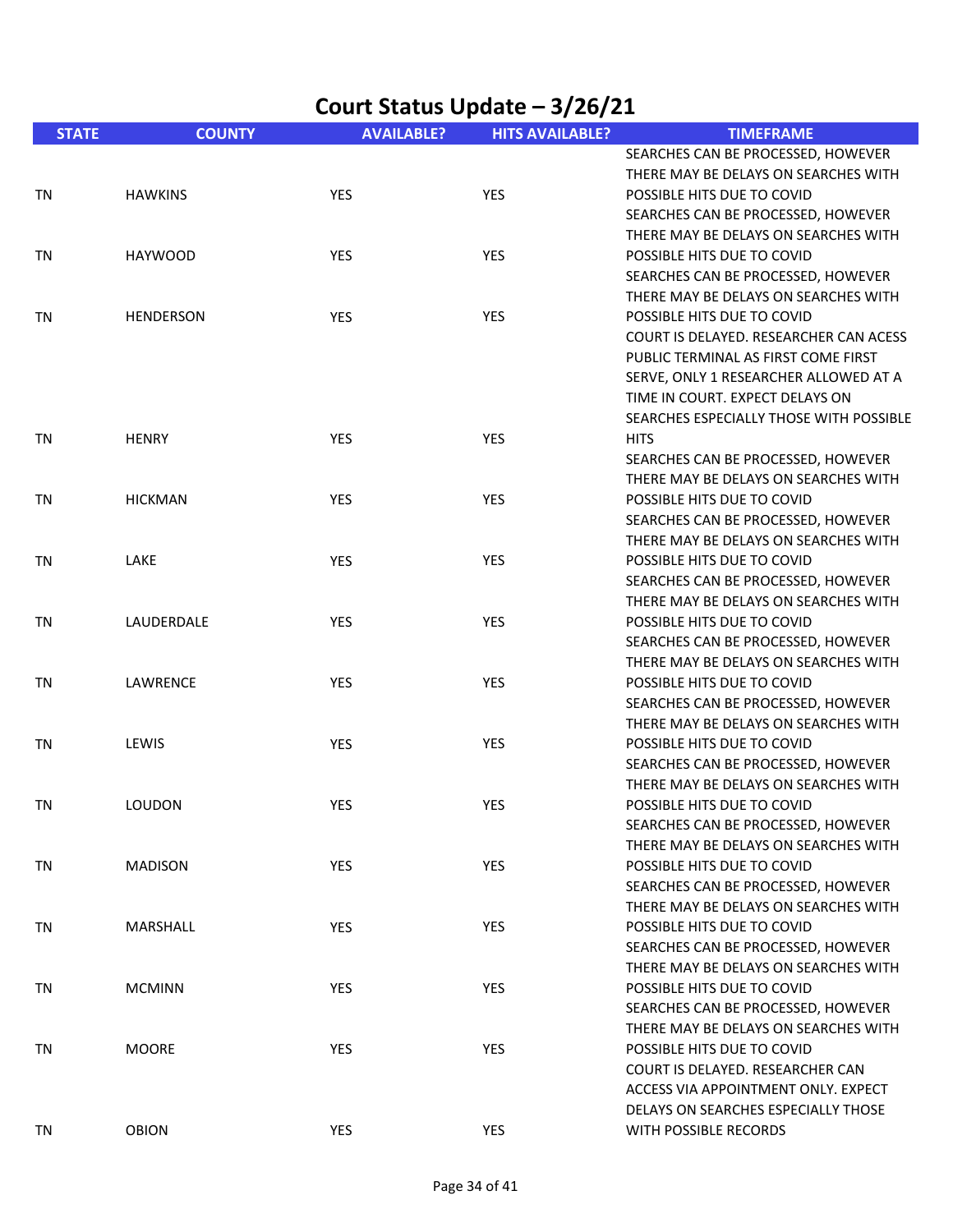|              | Court Status Update - 3/26/21 |                   |                        |                                                                            |  |
|--------------|-------------------------------|-------------------|------------------------|----------------------------------------------------------------------------|--|
| <b>STATE</b> | <b>COUNTY</b>                 | <b>AVAILABLE?</b> | <b>HITS AVAILABLE?</b> | <b>TIMEFRAME</b>                                                           |  |
|              |                               |                   |                        | SEARCHES CAN BE PROCESSED, HOWEVER                                         |  |
|              |                               |                   |                        | THERE MAY BE DELAYS ON SEARCHES WITH                                       |  |
| TN           | <b>HAWKINS</b>                | YES               | <b>YES</b>             | POSSIBLE HITS DUE TO COVID                                                 |  |
|              |                               |                   |                        | SEARCHES CAN BE PROCESSED, HOWEVER                                         |  |
|              |                               |                   |                        | THERE MAY BE DELAYS ON SEARCHES WITH                                       |  |
| TN           | <b>HAYWOOD</b>                | YES               | <b>YES</b>             | POSSIBLE HITS DUE TO COVID                                                 |  |
|              |                               |                   |                        | SEARCHES CAN BE PROCESSED, HOWEVER                                         |  |
|              |                               |                   |                        | THERE MAY BE DELAYS ON SEARCHES WITH                                       |  |
| TN           | <b>HENDERSON</b>              | YES               | <b>YES</b>             | POSSIBLE HITS DUE TO COVID                                                 |  |
|              |                               |                   |                        | COURT IS DELAYED. RESEARCHER CAN ACESS                                     |  |
|              |                               |                   |                        | PUBLIC TERMINAL AS FIRST COME FIRST                                        |  |
|              |                               |                   |                        | SERVE, ONLY 1 RESEARCHER ALLOWED AT A<br>TIME IN COURT. EXPECT DELAYS ON   |  |
|              |                               |                   |                        | SEARCHES ESPECIALLY THOSE WITH POSSIBLE                                    |  |
| TN           | <b>HENRY</b>                  | YES               | <b>YES</b>             | <b>HITS</b>                                                                |  |
|              |                               |                   |                        | SEARCHES CAN BE PROCESSED, HOWEVER                                         |  |
|              |                               |                   |                        | THERE MAY BE DELAYS ON SEARCHES WITH                                       |  |
| TN           | <b>HICKMAN</b>                | <b>YES</b>        | YES                    | POSSIBLE HITS DUE TO COVID                                                 |  |
|              |                               |                   |                        | SEARCHES CAN BE PROCESSED, HOWEVER                                         |  |
|              |                               |                   |                        | THERE MAY BE DELAYS ON SEARCHES WITH                                       |  |
| TN           | LAKE                          | <b>YES</b>        | <b>YES</b>             | POSSIBLE HITS DUE TO COVID                                                 |  |
|              |                               |                   |                        | SEARCHES CAN BE PROCESSED, HOWEVER                                         |  |
|              |                               |                   |                        | THERE MAY BE DELAYS ON SEARCHES WITH                                       |  |
| TN           | LAUDERDALE                    | <b>YES</b>        | <b>YES</b>             | POSSIBLE HITS DUE TO COVID                                                 |  |
|              |                               |                   |                        | SEARCHES CAN BE PROCESSED, HOWEVER                                         |  |
|              |                               |                   |                        | THERE MAY BE DELAYS ON SEARCHES WITH                                       |  |
| TN           | LAWRENCE                      | YES               | <b>YES</b>             | POSSIBLE HITS DUE TO COVID                                                 |  |
|              |                               |                   |                        | SEARCHES CAN BE PROCESSED, HOWEVER                                         |  |
|              |                               |                   |                        | THERE MAY BE DELAYS ON SEARCHES WITH                                       |  |
| TN           | LEWIS                         | YES               | YES                    | POSSIBLE HITS DUE TO COVID                                                 |  |
|              |                               |                   |                        | SEARCHES CAN BE PROCESSED, HOWEVER                                         |  |
|              |                               |                   |                        | THERE MAY BE DELAYS ON SEARCHES WITH                                       |  |
| TN           | <b>LOUDON</b>                 | <b>YES</b>        | <b>YES</b>             | POSSIBLE HITS DUE TO COVID                                                 |  |
|              |                               |                   |                        | SEARCHES CAN BE PROCESSED, HOWEVER                                         |  |
|              |                               |                   |                        | THERE MAY BE DELAYS ON SEARCHES WITH                                       |  |
| TN           | <b>MADISON</b>                | YES               | YES                    | POSSIBLE HITS DUE TO COVID                                                 |  |
|              |                               |                   |                        | SEARCHES CAN BE PROCESSED, HOWEVER                                         |  |
|              |                               |                   |                        | THERE MAY BE DELAYS ON SEARCHES WITH                                       |  |
| TN           | MARSHALL                      | <b>YES</b>        | YES                    | POSSIBLE HITS DUE TO COVID                                                 |  |
|              |                               |                   |                        | SEARCHES CAN BE PROCESSED, HOWEVER<br>THERE MAY BE DELAYS ON SEARCHES WITH |  |
| TN           | <b>MCMINN</b>                 | <b>YES</b>        | YES                    | POSSIBLE HITS DUE TO COVID                                                 |  |
|              |                               |                   |                        | SEARCHES CAN BE PROCESSED, HOWEVER                                         |  |
|              |                               |                   |                        | THERE MAY BE DELAYS ON SEARCHES WITH                                       |  |
| TN           | <b>MOORE</b>                  | YES               | YES                    | POSSIBLE HITS DUE TO COVID                                                 |  |
|              |                               |                   |                        | COURT IS DELAYED. RESEARCHER CAN                                           |  |
|              |                               |                   |                        | ACCESS VIA APPOINTMENT ONLY. EXPECT                                        |  |
|              |                               |                   |                        | DELAYS ON SEARCHES ESPECIALLY THOSE                                        |  |
| TN           | OBION                         | YES               | YES                    | WITH POSSIBLE RECORDS                                                      |  |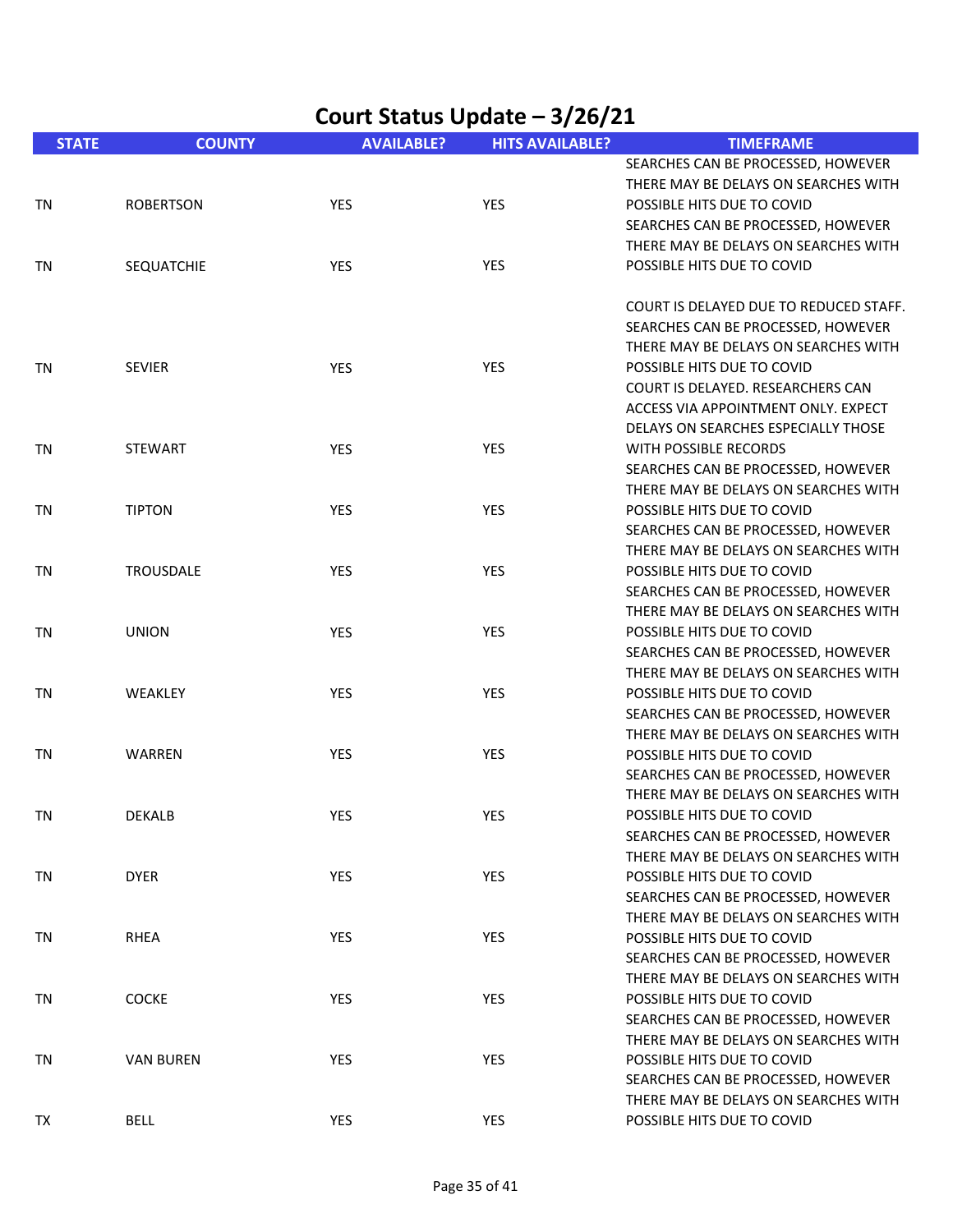| Court Status Update - 3/26/21 |                   |                   |                        |                                        |  |
|-------------------------------|-------------------|-------------------|------------------------|----------------------------------------|--|
| <b>STATE</b>                  | <b>COUNTY</b>     | <b>AVAILABLE?</b> | <b>HITS AVAILABLE?</b> | <b>TIMEFRAME</b>                       |  |
|                               |                   |                   |                        | SEARCHES CAN BE PROCESSED, HOWEVER     |  |
|                               |                   |                   |                        | THERE MAY BE DELAYS ON SEARCHES WITH   |  |
| TN                            | <b>ROBERTSON</b>  | <b>YES</b>        | <b>YES</b>             | POSSIBLE HITS DUE TO COVID             |  |
|                               |                   |                   |                        | SEARCHES CAN BE PROCESSED, HOWEVER     |  |
|                               |                   |                   |                        | THERE MAY BE DELAYS ON SEARCHES WITH   |  |
| TN                            | <b>SEQUATCHIE</b> | YES               | YES                    | POSSIBLE HITS DUE TO COVID             |  |
|                               |                   |                   |                        | COURT IS DELAYED DUE TO REDUCED STAFF. |  |
|                               |                   |                   |                        | SEARCHES CAN BE PROCESSED, HOWEVER     |  |
|                               |                   |                   |                        | THERE MAY BE DELAYS ON SEARCHES WITH   |  |
| <b>TN</b>                     | <b>SEVIER</b>     | <b>YES</b>        | <b>YES</b>             | POSSIBLE HITS DUE TO COVID             |  |
|                               |                   |                   |                        | COURT IS DELAYED. RESEARCHERS CAN      |  |
|                               |                   |                   |                        | ACCESS VIA APPOINTMENT ONLY. EXPECT    |  |
|                               |                   |                   |                        | DELAYS ON SEARCHES ESPECIALLY THOSE    |  |
| ΤN                            | <b>STEWART</b>    | <b>YES</b>        | YES                    | <b>WITH POSSIBLE RECORDS</b>           |  |
|                               |                   |                   |                        | SEARCHES CAN BE PROCESSED, HOWEVER     |  |
|                               |                   |                   |                        | THERE MAY BE DELAYS ON SEARCHES WITH   |  |
| <b>TN</b>                     | <b>TIPTON</b>     | YES               | <b>YES</b>             | POSSIBLE HITS DUE TO COVID             |  |
|                               |                   |                   |                        | SEARCHES CAN BE PROCESSED, HOWEVER     |  |
|                               |                   |                   |                        | THERE MAY BE DELAYS ON SEARCHES WITH   |  |
| TN                            | <b>TROUSDALE</b>  | YES               | <b>YES</b>             | POSSIBLE HITS DUE TO COVID             |  |
|                               |                   |                   |                        | SEARCHES CAN BE PROCESSED, HOWEVER     |  |
|                               |                   |                   |                        | THERE MAY BE DELAYS ON SEARCHES WITH   |  |
| ΤN                            | <b>UNION</b>      | <b>YES</b>        | <b>YES</b>             | POSSIBLE HITS DUE TO COVID             |  |
|                               |                   |                   |                        | SEARCHES CAN BE PROCESSED, HOWEVER     |  |
|                               |                   |                   |                        | THERE MAY BE DELAYS ON SEARCHES WITH   |  |
| <b>TN</b>                     | WEAKLEY           | YES               | <b>YES</b>             | POSSIBLE HITS DUE TO COVID             |  |
|                               |                   |                   |                        | SEARCHES CAN BE PROCESSED, HOWEVER     |  |
|                               |                   |                   |                        | THERE MAY BE DELAYS ON SEARCHES WITH   |  |
| <b>TN</b>                     | WARREN            | YES               | <b>YES</b>             | POSSIBLE HITS DUE TO COVID             |  |
|                               |                   |                   |                        | SEARCHES CAN BE PROCESSED, HOWEVER     |  |
|                               |                   |                   |                        | THERE MAY BE DELAYS ON SEARCHES WITH   |  |
| <b>TN</b>                     | <b>DEKALB</b>     | YES               | YES                    | POSSIBLE HITS DUE TO COVID             |  |
|                               |                   |                   |                        | SEARCHES CAN BE PROCESSED, HOWEVER     |  |
|                               |                   |                   |                        | THERE MAY BE DELAYS ON SEARCHES WITH   |  |
| TN                            | <b>DYER</b>       | YES               | YES                    | POSSIBLE HITS DUE TO COVID             |  |
|                               |                   |                   |                        | SEARCHES CAN BE PROCESSED, HOWEVER     |  |
|                               |                   |                   |                        | THERE MAY BE DELAYS ON SEARCHES WITH   |  |
| TN                            | <b>RHEA</b>       | <b>YES</b>        | YES                    | POSSIBLE HITS DUE TO COVID             |  |
|                               |                   |                   |                        | SEARCHES CAN BE PROCESSED, HOWEVER     |  |
|                               |                   |                   |                        | THERE MAY BE DELAYS ON SEARCHES WITH   |  |
| TN                            | COCKE             | YES               | YES                    | POSSIBLE HITS DUE TO COVID             |  |
|                               |                   |                   |                        | SEARCHES CAN BE PROCESSED, HOWEVER     |  |
|                               |                   |                   |                        | THERE MAY BE DELAYS ON SEARCHES WITH   |  |
| TN                            | <b>VAN BUREN</b>  | YES               | YES                    | POSSIBLE HITS DUE TO COVID             |  |
|                               |                   |                   |                        | SEARCHES CAN BE PROCESSED, HOWEVER     |  |
|                               |                   |                   |                        | THERE MAY BE DELAYS ON SEARCHES WITH   |  |
| TX                            | <b>BELL</b>       | YES               | YES                    | POSSIBLE HITS DUE TO COVID             |  |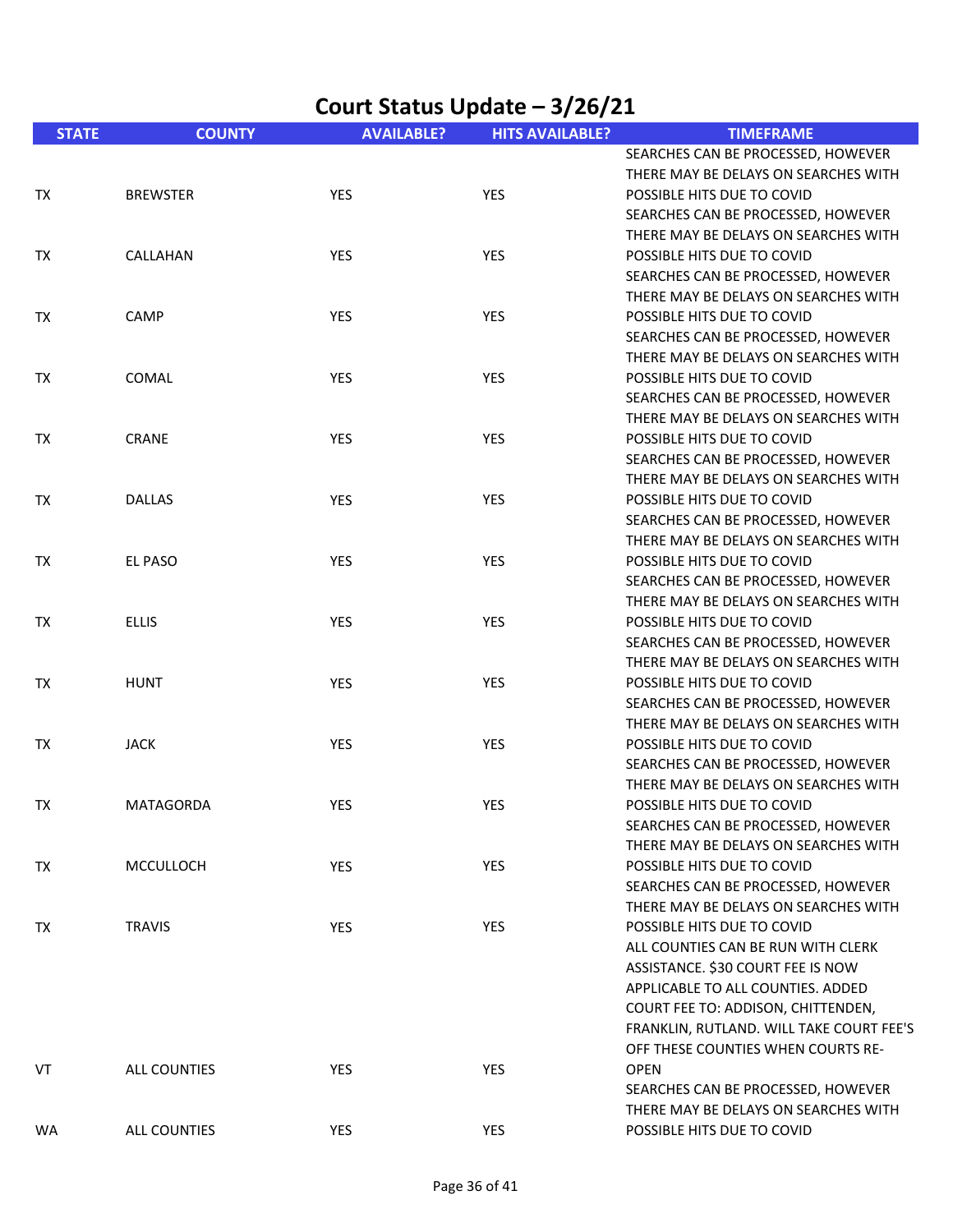| Court Status Update - 3/26/21 |                 |                   |                        |                                          |  |
|-------------------------------|-----------------|-------------------|------------------------|------------------------------------------|--|
| <b>STATE</b>                  | <b>COUNTY</b>   | <b>AVAILABLE?</b> | <b>HITS AVAILABLE?</b> | <b>TIMEFRAME</b>                         |  |
|                               |                 |                   |                        | SEARCHES CAN BE PROCESSED, HOWEVER       |  |
|                               |                 |                   |                        | THERE MAY BE DELAYS ON SEARCHES WITH     |  |
| TX                            | <b>BREWSTER</b> | YES               | YES                    | POSSIBLE HITS DUE TO COVID               |  |
|                               |                 |                   |                        | SEARCHES CAN BE PROCESSED, HOWEVER       |  |
|                               |                 |                   |                        | THERE MAY BE DELAYS ON SEARCHES WITH     |  |
| TX                            | CALLAHAN        | YES               | YES                    | POSSIBLE HITS DUE TO COVID               |  |
|                               |                 |                   |                        | SEARCHES CAN BE PROCESSED, HOWEVER       |  |
|                               |                 |                   |                        | THERE MAY BE DELAYS ON SEARCHES WITH     |  |
| TX                            | CAMP            | <b>YES</b>        | YES                    | POSSIBLE HITS DUE TO COVID               |  |
|                               |                 |                   |                        | SEARCHES CAN BE PROCESSED, HOWEVER       |  |
|                               |                 |                   |                        | THERE MAY BE DELAYS ON SEARCHES WITH     |  |
| TX                            | COMAL           | YES               | YES                    | POSSIBLE HITS DUE TO COVID               |  |
|                               |                 |                   |                        | SEARCHES CAN BE PROCESSED, HOWEVER       |  |
|                               |                 |                   |                        | THERE MAY BE DELAYS ON SEARCHES WITH     |  |
| TX                            | <b>CRANE</b>    | YES               | YES                    | POSSIBLE HITS DUE TO COVID               |  |
|                               |                 |                   |                        | SEARCHES CAN BE PROCESSED, HOWEVER       |  |
|                               |                 |                   |                        | THERE MAY BE DELAYS ON SEARCHES WITH     |  |
| TX                            | <b>DALLAS</b>   | YES               | YES                    | POSSIBLE HITS DUE TO COVID               |  |
|                               |                 |                   |                        | SEARCHES CAN BE PROCESSED, HOWEVER       |  |
|                               |                 |                   |                        | THERE MAY BE DELAYS ON SEARCHES WITH     |  |
| TX                            | EL PASO         | <b>YES</b>        | <b>YES</b>             | POSSIBLE HITS DUE TO COVID               |  |
|                               |                 |                   |                        | SEARCHES CAN BE PROCESSED, HOWEVER       |  |
|                               |                 |                   |                        | THERE MAY BE DELAYS ON SEARCHES WITH     |  |
| TX                            | <b>ELLIS</b>    | YES               | <b>YES</b>             | POSSIBLE HITS DUE TO COVID               |  |
|                               |                 |                   |                        | SEARCHES CAN BE PROCESSED, HOWEVER       |  |
|                               |                 |                   |                        | THERE MAY BE DELAYS ON SEARCHES WITH     |  |
| TX                            | <b>HUNT</b>     | YES               | YES                    | POSSIBLE HITS DUE TO COVID               |  |
|                               |                 |                   |                        | SEARCHES CAN BE PROCESSED, HOWEVER       |  |
|                               |                 |                   |                        | THERE MAY BE DELAYS ON SEARCHES WITH     |  |
| TX                            | <b>JACK</b>     | YES               | YES                    | POSSIBLE HITS DUE TO COVID               |  |
|                               |                 |                   |                        | SEARCHES CAN BE PROCESSED, HOWEVER       |  |
|                               |                 |                   |                        | THERE MAY BE DELAYS ON SEARCHES WITH     |  |
| TX                            | MATAGORDA       | YES               | <b>YES</b>             | POSSIBLE HITS DUE TO COVID               |  |
|                               |                 |                   |                        | SEARCHES CAN BE PROCESSED, HOWEVER       |  |
|                               |                 |                   |                        | THERE MAY BE DELAYS ON SEARCHES WITH     |  |
| TX                            | MCCULLOCH       | YES               | YES                    | POSSIBLE HITS DUE TO COVID               |  |
|                               |                 |                   |                        | SEARCHES CAN BE PROCESSED, HOWEVER       |  |
|                               |                 |                   |                        | THERE MAY BE DELAYS ON SEARCHES WITH     |  |
| TX                            | <b>TRAVIS</b>   | <b>YES</b>        | YES                    | POSSIBLE HITS DUE TO COVID               |  |
|                               |                 |                   |                        | ALL COUNTIES CAN BE RUN WITH CLERK       |  |
|                               |                 |                   |                        | ASSISTANCE. \$30 COURT FEE IS NOW        |  |
|                               |                 |                   |                        | APPLICABLE TO ALL COUNTIES. ADDED        |  |
|                               |                 |                   |                        | COURT FEE TO: ADDISON, CHITTENDEN,       |  |
|                               |                 |                   |                        | FRANKLIN, RUTLAND. WILL TAKE COURT FEE'S |  |
|                               |                 |                   |                        | OFF THESE COUNTIES WHEN COURTS RE-       |  |
| VT                            | ALL COUNTIES    | <b>YES</b>        | <b>YES</b>             | <b>OPEN</b>                              |  |
|                               |                 |                   |                        | SEARCHES CAN BE PROCESSED, HOWEVER       |  |
|                               |                 |                   |                        | THERE MAY BE DELAYS ON SEARCHES WITH     |  |
| <b>WA</b>                     | ALL COUNTIES    | YES               | YES                    | POSSIBLE HITS DUE TO COVID               |  |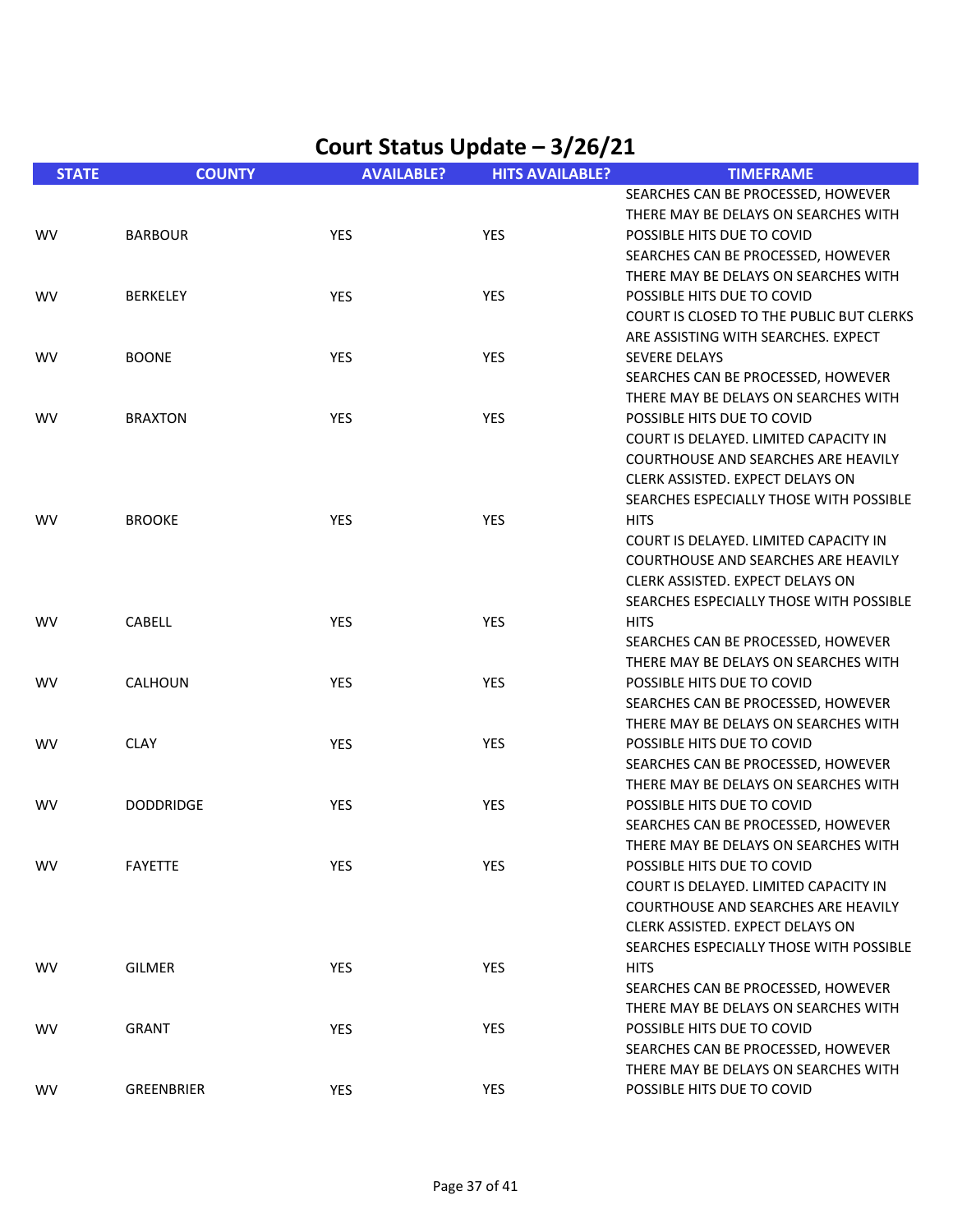| <b>STATE</b> | <b>COUNTY</b>     | <b>AVAILABLE?</b> | <b>HITS AVAILABLE?</b> | <b>TIMEFRAME</b>                           |
|--------------|-------------------|-------------------|------------------------|--------------------------------------------|
|              |                   |                   |                        | SEARCHES CAN BE PROCESSED, HOWEVER         |
|              |                   |                   |                        | THERE MAY BE DELAYS ON SEARCHES WITH       |
| <b>WV</b>    | <b>BARBOUR</b>    | YES               | <b>YES</b>             | POSSIBLE HITS DUE TO COVID                 |
|              |                   |                   |                        | SEARCHES CAN BE PROCESSED, HOWEVER         |
|              |                   |                   |                        | THERE MAY BE DELAYS ON SEARCHES WITH       |
| <b>WV</b>    | <b>BERKELEY</b>   | YES               | <b>YES</b>             | POSSIBLE HITS DUE TO COVID                 |
|              |                   |                   |                        | COURT IS CLOSED TO THE PUBLIC BUT CLERKS   |
|              |                   |                   |                        | ARE ASSISTING WITH SEARCHES. EXPECT        |
| <b>WV</b>    | <b>BOONE</b>      | YES               | <b>YES</b>             | <b>SEVERE DELAYS</b>                       |
|              |                   |                   |                        | SEARCHES CAN BE PROCESSED, HOWEVER         |
|              |                   |                   |                        | THERE MAY BE DELAYS ON SEARCHES WITH       |
| <b>WV</b>    | <b>BRAXTON</b>    | YES               | <b>YES</b>             | POSSIBLE HITS DUE TO COVID                 |
|              |                   |                   |                        | COURT IS DELAYED. LIMITED CAPACITY IN      |
|              |                   |                   |                        | COURTHOUSE AND SEARCHES ARE HEAVILY        |
|              |                   |                   |                        | CLERK ASSISTED. EXPECT DELAYS ON           |
|              |                   |                   |                        | SEARCHES ESPECIALLY THOSE WITH POSSIBLE    |
| <b>WV</b>    | <b>BROOKE</b>     | YES               | <b>YES</b>             | <b>HITS</b>                                |
|              |                   |                   |                        | COURT IS DELAYED. LIMITED CAPACITY IN      |
|              |                   |                   |                        | <b>COURTHOUSE AND SEARCHES ARE HEAVILY</b> |
|              |                   |                   |                        | CLERK ASSISTED. EXPECT DELAYS ON           |
|              |                   |                   |                        | SEARCHES ESPECIALLY THOSE WITH POSSIBLE    |
| <b>WV</b>    | CABELL            | YES               | <b>YES</b>             | <b>HITS</b>                                |
|              |                   |                   |                        | SEARCHES CAN BE PROCESSED, HOWEVER         |
|              |                   |                   |                        | THERE MAY BE DELAYS ON SEARCHES WITH       |
| <b>WV</b>    | CALHOUN           | YES               | YES                    | POSSIBLE HITS DUE TO COVID                 |
|              |                   |                   |                        |                                            |
|              |                   |                   |                        | SEARCHES CAN BE PROCESSED, HOWEVER         |
|              |                   |                   |                        | THERE MAY BE DELAYS ON SEARCHES WITH       |
| <b>WV</b>    | <b>CLAY</b>       | YES               | <b>YES</b>             | POSSIBLE HITS DUE TO COVID                 |
|              |                   |                   |                        | SEARCHES CAN BE PROCESSED, HOWEVER         |
|              |                   |                   |                        | THERE MAY BE DELAYS ON SEARCHES WITH       |
| <b>WV</b>    | <b>DODDRIDGE</b>  | <b>YES</b>        | YES                    | POSSIBLE HITS DUE TO COVID                 |
|              |                   |                   |                        | SEARCHES CAN BE PROCESSED, HOWEVER         |
|              |                   |                   |                        | THERE MAY BE DELAYS ON SEARCHES WITH       |
| <b>WV</b>    | <b>FAYETTE</b>    | YES               | YES                    | POSSIBLE HITS DUE TO COVID                 |
|              |                   |                   |                        | COURT IS DELAYED. LIMITED CAPACITY IN      |
|              |                   |                   |                        | <b>COURTHOUSE AND SEARCHES ARE HEAVILY</b> |
|              |                   |                   |                        | CLERK ASSISTED. EXPECT DELAYS ON           |
|              |                   |                   |                        | SEARCHES ESPECIALLY THOSE WITH POSSIBLE    |
| <b>WV</b>    | <b>GILMER</b>     | YES               | YES                    | <b>HITS</b>                                |
|              |                   |                   |                        | SEARCHES CAN BE PROCESSED, HOWEVER         |
|              |                   |                   |                        | THERE MAY BE DELAYS ON SEARCHES WITH       |
| <b>WV</b>    | <b>GRANT</b>      | <b>YES</b>        | YES                    | POSSIBLE HITS DUE TO COVID                 |
|              |                   |                   |                        | SEARCHES CAN BE PROCESSED, HOWEVER         |
|              |                   |                   |                        | THERE MAY BE DELAYS ON SEARCHES WITH       |
| <b>WV</b>    | <b>GREENBRIER</b> | <b>YES</b>        | YES                    | POSSIBLE HITS DUE TO COVID                 |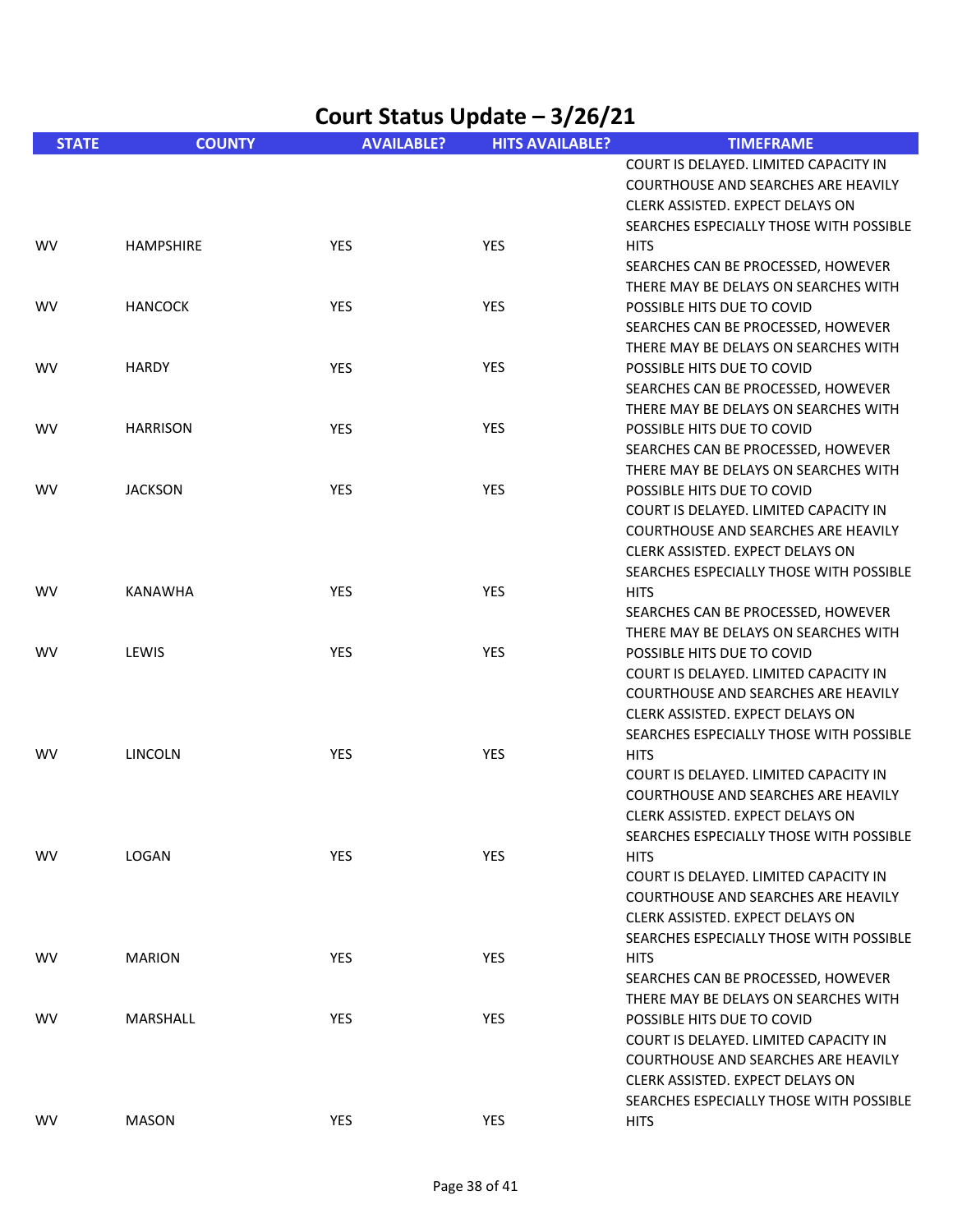| Court Status Update - 3/26/21 |                  |                   |                        |                                                                                                                                                                                                  |
|-------------------------------|------------------|-------------------|------------------------|--------------------------------------------------------------------------------------------------------------------------------------------------------------------------------------------------|
| <b>STATE</b>                  | <b>COUNTY</b>    | <b>AVAILABLE?</b> | <b>HITS AVAILABLE?</b> | <b>TIMEFRAME</b>                                                                                                                                                                                 |
|                               |                  |                   |                        | COURT IS DELAYED. LIMITED CAPACITY IN<br><b>COURTHOUSE AND SEARCHES ARE HEAVILY</b><br>CLERK ASSISTED. EXPECT DELAYS ON<br>SEARCHES ESPECIALLY THOSE WITH POSSIBLE                               |
| <b>WV</b>                     | <b>HAMPSHIRE</b> | YES               | YES                    | <b>HITS</b><br>SEARCHES CAN BE PROCESSED, HOWEVER<br>THERE MAY BE DELAYS ON SEARCHES WITH                                                                                                        |
| <b>WV</b>                     | <b>HANCOCK</b>   | <b>YES</b>        | <b>YES</b>             | POSSIBLE HITS DUE TO COVID<br>SEARCHES CAN BE PROCESSED, HOWEVER<br>THERE MAY BE DELAYS ON SEARCHES WITH                                                                                         |
| <b>WV</b>                     | <b>HARDY</b>     | <b>YES</b>        | <b>YES</b>             | POSSIBLE HITS DUE TO COVID<br>SEARCHES CAN BE PROCESSED, HOWEVER<br>THERE MAY BE DELAYS ON SEARCHES WITH                                                                                         |
| <b>WV</b>                     | <b>HARRISON</b>  | <b>YES</b>        | <b>YES</b>             | POSSIBLE HITS DUE TO COVID<br>SEARCHES CAN BE PROCESSED, HOWEVER<br>THERE MAY BE DELAYS ON SEARCHES WITH                                                                                         |
| <b>WV</b>                     | <b>JACKSON</b>   | YES               | <b>YES</b>             | POSSIBLE HITS DUE TO COVID<br>COURT IS DELAYED. LIMITED CAPACITY IN<br>COURTHOUSE AND SEARCHES ARE HEAVILY<br>CLERK ASSISTED. EXPECT DELAYS ON<br>SEARCHES ESPECIALLY THOSE WITH POSSIBLE        |
| <b>WV</b>                     | <b>KANAWHA</b>   | <b>YES</b>        | <b>YES</b>             | <b>HITS</b><br>SEARCHES CAN BE PROCESSED, HOWEVER<br>THERE MAY BE DELAYS ON SEARCHES WITH                                                                                                        |
| <b>WV</b>                     | LEWIS            | <b>YES</b>        | <b>YES</b>             | POSSIBLE HITS DUE TO COVID<br>COURT IS DELAYED. LIMITED CAPACITY IN<br>COURTHOUSE AND SEARCHES ARE HEAVILY<br>CLERK ASSISTED. EXPECT DELAYS ON<br>SEARCHES ESPECIALLY THOSE WITH POSSIBLE        |
| <b>WV</b>                     | LINCOLN          | YES               | YES                    | <b>HITS</b><br>COURT IS DELAYED. LIMITED CAPACITY IN<br>COURTHOUSE AND SEARCHES ARE HEAVILY<br>CLERK ASSISTED. EXPECT DELAYS ON<br>SEARCHES ESPECIALLY THOSE WITH POSSIBLE                       |
| <b>WV</b>                     | LOGAN            | YES               | YES                    | <b>HITS</b><br>COURT IS DELAYED. LIMITED CAPACITY IN<br><b>COURTHOUSE AND SEARCHES ARE HEAVILY</b><br>CLERK ASSISTED. EXPECT DELAYS ON<br>SEARCHES ESPECIALLY THOSE WITH POSSIBLE                |
| <b>WV</b>                     | <b>MARION</b>    | <b>YES</b>        | YES                    | <b>HITS</b><br>SEARCHES CAN BE PROCESSED, HOWEVER<br>THERE MAY BE DELAYS ON SEARCHES WITH                                                                                                        |
| <b>WV</b>                     | MARSHALL         | <b>YES</b>        | YES                    | POSSIBLE HITS DUE TO COVID<br>COURT IS DELAYED. LIMITED CAPACITY IN<br><b>COURTHOUSE AND SEARCHES ARE HEAVILY</b><br>CLERK ASSISTED. EXPECT DELAYS ON<br>SEARCHES ESPECIALLY THOSE WITH POSSIBLE |
| <b>WV</b>                     | <b>MASON</b>     | YES               | YES                    | <b>HITS</b>                                                                                                                                                                                      |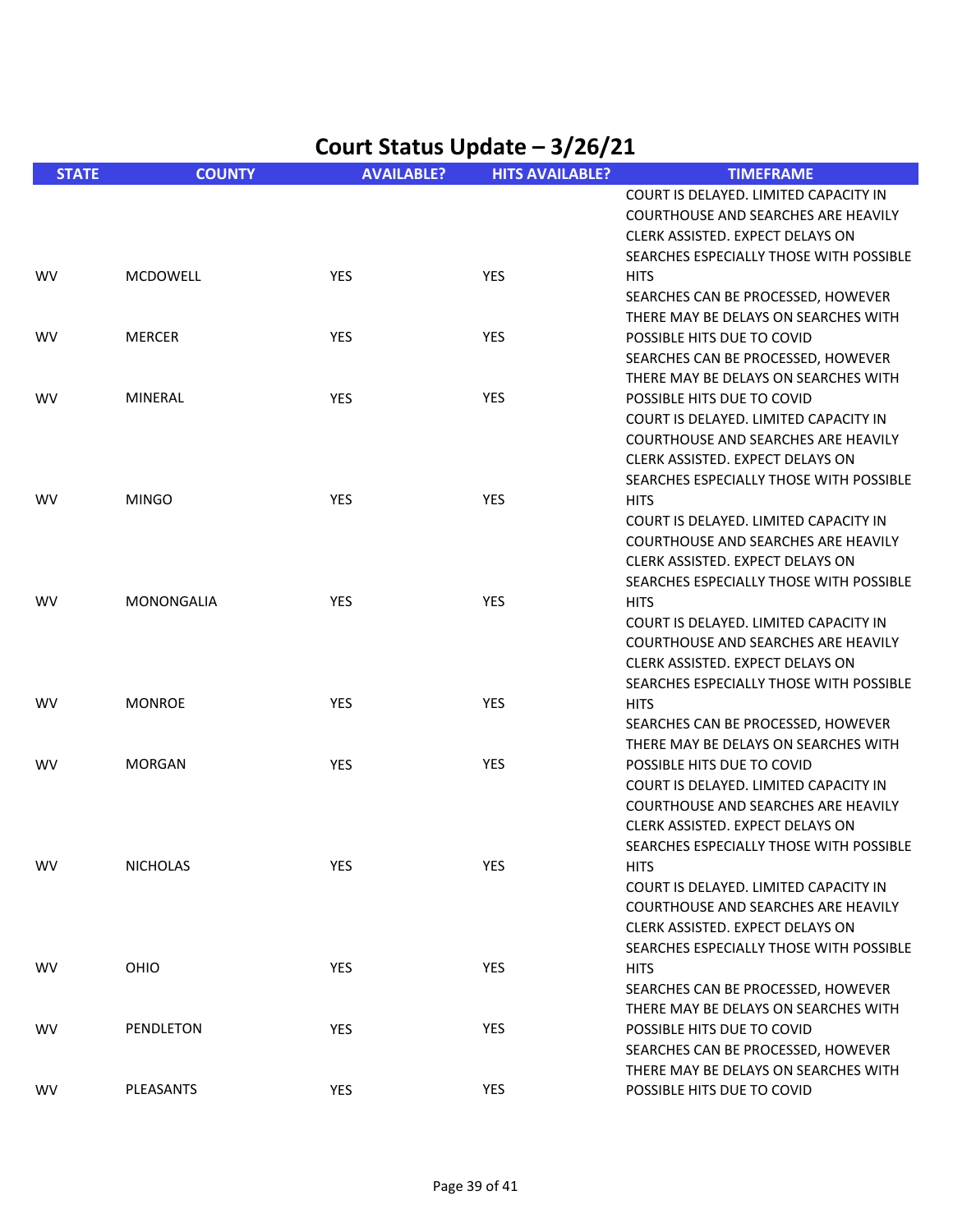| <b>STATE</b> | <b>COUNTY</b>   | <b>AVAILABLE?</b> | <b>HITS AVAILABLE?</b> | <b>TIMEFRAME</b>                           |
|--------------|-----------------|-------------------|------------------------|--------------------------------------------|
|              |                 |                   |                        | COURT IS DELAYED. LIMITED CAPACITY IN      |
|              |                 |                   |                        | COURTHOUSE AND SEARCHES ARE HEAVILY        |
|              |                 |                   |                        | CLERK ASSISTED. EXPECT DELAYS ON           |
|              |                 |                   |                        | SEARCHES ESPECIALLY THOSE WITH POSSIBLE    |
| <b>WV</b>    | <b>MCDOWELL</b> | YES               | <b>YES</b>             | <b>HITS</b>                                |
|              |                 |                   |                        | SEARCHES CAN BE PROCESSED, HOWEVER         |
|              |                 |                   |                        | THERE MAY BE DELAYS ON SEARCHES WITH       |
| <b>WV</b>    | <b>MERCER</b>   | YES               | YES                    | POSSIBLE HITS DUE TO COVID                 |
|              |                 |                   |                        | SEARCHES CAN BE PROCESSED, HOWEVER         |
|              |                 |                   |                        | THERE MAY BE DELAYS ON SEARCHES WITH       |
| <b>WV</b>    | <b>MINERAL</b>  | <b>YES</b>        | <b>YES</b>             | POSSIBLE HITS DUE TO COVID                 |
|              |                 |                   |                        |                                            |
|              |                 |                   |                        | COURT IS DELAYED. LIMITED CAPACITY IN      |
|              |                 |                   |                        | COURTHOUSE AND SEARCHES ARE HEAVILY        |
|              |                 |                   |                        | CLERK ASSISTED. EXPECT DELAYS ON           |
|              |                 |                   |                        | SEARCHES ESPECIALLY THOSE WITH POSSIBLE    |
| <b>WV</b>    | <b>MINGO</b>    | YES               | <b>YES</b>             | <b>HITS</b>                                |
|              |                 |                   |                        | COURT IS DELAYED. LIMITED CAPACITY IN      |
|              |                 |                   |                        | <b>COURTHOUSE AND SEARCHES ARE HEAVILY</b> |
|              |                 |                   |                        | CLERK ASSISTED. EXPECT DELAYS ON           |
|              |                 |                   |                        | SEARCHES ESPECIALLY THOSE WITH POSSIBLE    |
| WV.          | MONONGALIA      | <b>YES</b>        | <b>YES</b>             | <b>HITS</b>                                |
|              |                 |                   |                        | COURT IS DELAYED. LIMITED CAPACITY IN      |
|              |                 |                   |                        | <b>COURTHOUSE AND SEARCHES ARE HEAVILY</b> |
|              |                 |                   |                        | CLERK ASSISTED. EXPECT DELAYS ON           |
|              |                 |                   |                        | SEARCHES ESPECIALLY THOSE WITH POSSIBLE    |
| <b>WV</b>    | <b>MONROE</b>   | <b>YES</b>        | <b>YES</b>             | <b>HITS</b>                                |
|              |                 |                   |                        | SEARCHES CAN BE PROCESSED, HOWEVER         |
|              |                 |                   |                        | THERE MAY BE DELAYS ON SEARCHES WITH       |
| <b>WV</b>    | <b>MORGAN</b>   | YES               | <b>YES</b>             | POSSIBLE HITS DUE TO COVID                 |
|              |                 |                   |                        | COURT IS DELAYED. LIMITED CAPACITY IN      |
|              |                 |                   |                        | <b>COURTHOUSE AND SEARCHES ARE HEAVILY</b> |
|              |                 |                   |                        | CLERK ASSISTED. EXPECT DELAYS ON           |
|              |                 |                   |                        | SEARCHES ESPECIALLY THOSE WITH POSSIBLE    |
| <b>WV</b>    | <b>NICHOLAS</b> | YES               | YES                    | <b>HITS</b>                                |
|              |                 |                   |                        | COURT IS DELAYED. LIMITED CAPACITY IN      |
|              |                 |                   |                        | <b>COURTHOUSE AND SEARCHES ARE HEAVILY</b> |
|              |                 |                   |                        |                                            |
|              |                 |                   |                        | CLERK ASSISTED. EXPECT DELAYS ON           |
|              |                 |                   |                        | SEARCHES ESPECIALLY THOSE WITH POSSIBLE    |
| <b>WV</b>    | OHIO            | <b>YES</b>        | <b>YES</b>             | <b>HITS</b>                                |
|              |                 |                   |                        | SEARCHES CAN BE PROCESSED, HOWEVER         |
|              |                 |                   |                        | THERE MAY BE DELAYS ON SEARCHES WITH       |
| WV.          | PENDLETON       | YES               | <b>YES</b>             | POSSIBLE HITS DUE TO COVID                 |
|              |                 |                   |                        | SEARCHES CAN BE PROCESSED, HOWEVER         |
|              |                 |                   |                        | THERE MAY BE DELAYS ON SEARCHES WITH       |
| WV           | PLEASANTS       | <b>YES</b>        | YES                    | POSSIBLE HITS DUE TO COVID                 |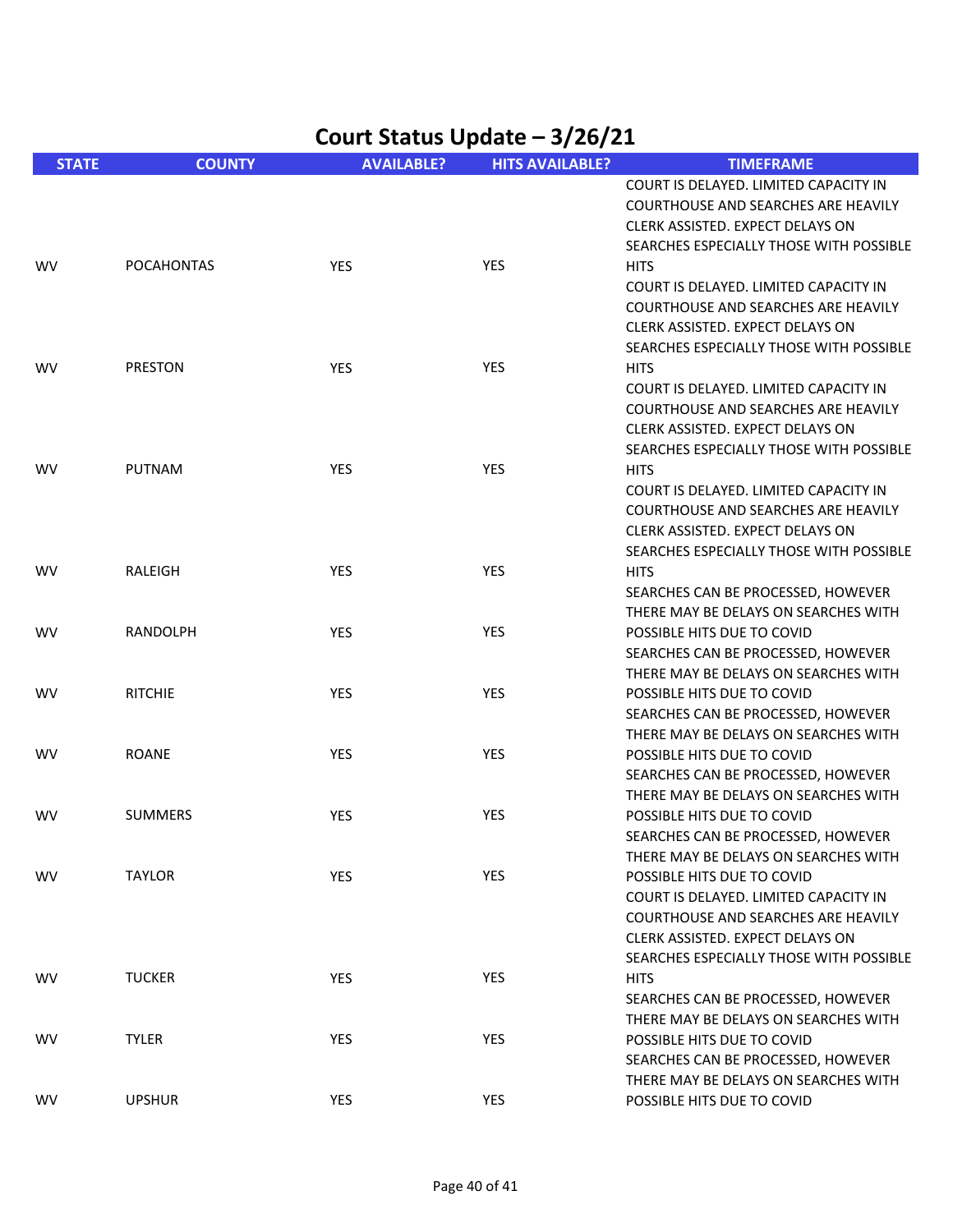| Court Status Update - 3/26/21 |                   |                   |                        |                                                                                                                                                                                                                                                                                                |
|-------------------------------|-------------------|-------------------|------------------------|------------------------------------------------------------------------------------------------------------------------------------------------------------------------------------------------------------------------------------------------------------------------------------------------|
| <b>STATE</b>                  | <b>COUNTY</b>     | <b>AVAILABLE?</b> | <b>HITS AVAILABLE?</b> | <b>TIMEFRAME</b>                                                                                                                                                                                                                                                                               |
| wv                            | <b>POCAHONTAS</b> | YES               | <b>YES</b>             | COURT IS DELAYED. LIMITED CAPACITY IN<br>COURTHOUSE AND SEARCHES ARE HEAVILY<br>CLERK ASSISTED. EXPECT DELAYS ON<br>SEARCHES ESPECIALLY THOSE WITH POSSIBLE<br><b>HITS</b><br>COURT IS DELAYED. LIMITED CAPACITY IN<br>COURTHOUSE AND SEARCHES ARE HEAVILY<br>CLERK ASSISTED. EXPECT DELAYS ON |
| wv                            | <b>PRESTON</b>    | <b>YES</b>        | <b>YES</b>             | SEARCHES ESPECIALLY THOSE WITH POSSIBLE<br><b>HITS</b><br>COURT IS DELAYED. LIMITED CAPACITY IN<br><b>COURTHOUSE AND SEARCHES ARE HEAVILY</b><br>CLERK ASSISTED. EXPECT DELAYS ON                                                                                                              |
| WV                            | <b>PUTNAM</b>     | <b>YES</b>        | <b>YES</b>             | SEARCHES ESPECIALLY THOSE WITH POSSIBLE<br><b>HITS</b><br>COURT IS DELAYED. LIMITED CAPACITY IN<br><b>COURTHOUSE AND SEARCHES ARE HEAVILY</b><br>CLERK ASSISTED. EXPECT DELAYS ON                                                                                                              |
| WV                            | <b>RALEIGH</b>    | <b>YES</b>        | <b>YES</b>             | SEARCHES ESPECIALLY THOSE WITH POSSIBLE<br><b>HITS</b><br>SEARCHES CAN BE PROCESSED, HOWEVER                                                                                                                                                                                                   |
| <b>WV</b>                     | <b>RANDOLPH</b>   | YES               | <b>YES</b>             | THERE MAY BE DELAYS ON SEARCHES WITH<br>POSSIBLE HITS DUE TO COVID<br>SEARCHES CAN BE PROCESSED, HOWEVER<br>THERE MAY BE DELAYS ON SEARCHES WITH                                                                                                                                               |
| WV                            | <b>RITCHIE</b>    | YES               | YES                    | POSSIBLE HITS DUE TO COVID<br>SEARCHES CAN BE PROCESSED, HOWEVER<br>THERE MAY BE DELAYS ON SEARCHES WITH                                                                                                                                                                                       |
| WV                            | <b>ROANE</b>      | YES               | <b>YES</b>             | POSSIBLE HITS DUE TO COVID<br>SEARCHES CAN BE PROCESSED, HOWEVER<br>THERE MAY BE DELAYS ON SEARCHES WITH                                                                                                                                                                                       |
| WV                            | <b>SUMMERS</b>    | <b>YES</b>        | YES                    | POSSIBLE HITS DUE TO COVID<br>SEARCHES CAN BE PROCESSED, HOWEVER<br>THERE MAY BE DELAYS ON SEARCHES WITH                                                                                                                                                                                       |
| WV                            | <b>TAYLOR</b>     | YES               | <b>YES</b>             | POSSIBLE HITS DUE TO COVID<br>COURT IS DELAYED. LIMITED CAPACITY IN<br><b>COURTHOUSE AND SEARCHES ARE HEAVILY</b><br>CLERK ASSISTED. EXPECT DELAYS ON<br>SEARCHES ESPECIALLY THOSE WITH POSSIBLE                                                                                               |
| WV                            | <b>TUCKER</b>     | YES               | YES                    | <b>HITS</b><br>SEARCHES CAN BE PROCESSED, HOWEVER<br>THERE MAY BE DELAYS ON SEARCHES WITH                                                                                                                                                                                                      |
| WV                            | <b>TYLER</b>      | YES               | YES                    | POSSIBLE HITS DUE TO COVID<br>SEARCHES CAN BE PROCESSED, HOWEVER<br>THERE MAY BE DELAYS ON SEARCHES WITH                                                                                                                                                                                       |
| WV                            | <b>UPSHUR</b>     | YES               | YES                    | POSSIBLE HITS DUE TO COVID                                                                                                                                                                                                                                                                     |